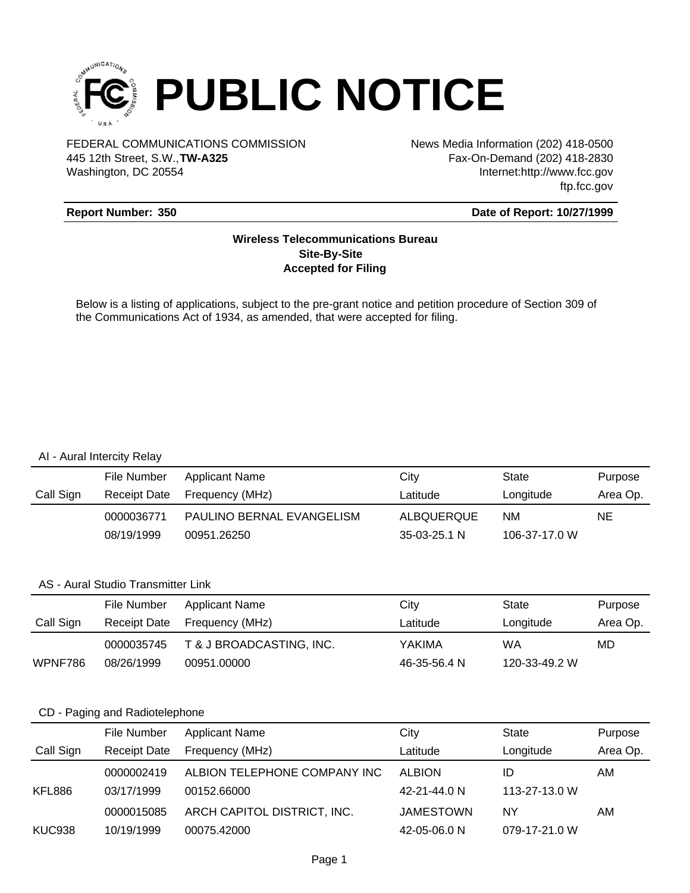

FEDERAL COMMUNICATIONS COMMISSION News Media Information (202) 418-0500 Washington, DC 20554 445 12th Street, S.W.,**TW-A325**

Fax-On-Demand (202) 418-2830 Internet:http://www.fcc.gov ftp.fcc.gov

### **Report Number: 350**

#### **Date of Report: 10/27/1999**

### **Wireless Telecommunications Bureau Site-By-Site Accepted for Filing**

Below is a listing of applications, subject to the pre-grant notice and petition procedure of Section 309 of the Communications Act of 1934, as amended, that were accepted for filing.

#### AI - Aural Intercity Relay

|           | File Number  | Applicant Name            | City              | State         | Purpose  |
|-----------|--------------|---------------------------|-------------------|---------------|----------|
| Call Sign | Receipt Date | Frequency (MHz)           | Latitude          | Longitude     | Area Op. |
|           | 0000036771   | PAULINO BERNAL EVANGELISM | <b>ALBOUERQUE</b> | <b>NM</b>     | NE.      |
|           | 08/19/1999   | 00951.26250               | 35-03-25.1 N      | 106-37-17.0 W |          |

#### AS - Aural Studio Transmitter Link

|           | File Number         | <b>Applicant Name</b>    | City         | State         | Purpose  |
|-----------|---------------------|--------------------------|--------------|---------------|----------|
| Call Sign | <b>Receipt Date</b> | Frequency (MHz)          | Latitude     | Longitude     | Area Op. |
|           | 0000035745          | T & J BROADCASTING, INC. | YAKIMA       | WA            | MD       |
| WPNF786   | 08/26/1999          | 00951.00000              | 46-35-56.4 N | 120-33-49.2 W |          |

#### CD - Paging and Radiotelephone

|           | File Number         | <b>Applicant Name</b>        | City             | <b>State</b>  | Purpose  |
|-----------|---------------------|------------------------------|------------------|---------------|----------|
| Call Sign | <b>Receipt Date</b> | Frequency (MHz)              | Latitude         | Longitude     | Area Op. |
|           | 0000002419          | ALBION TELEPHONE COMPANY INC | <b>ALBION</b>    | ID            | AM       |
| KFL886    | 03/17/1999          | 00152.66000                  | 42-21-44.0 N     | 113-27-13.0 W |          |
|           | 0000015085          | ARCH CAPITOL DISTRICT, INC.  | <b>JAMESTOWN</b> | ΝY            | AM       |
| KUC938    | 10/19/1999          | 00075.42000                  | 42-05-06.0 N     | 079-17-21.0 W |          |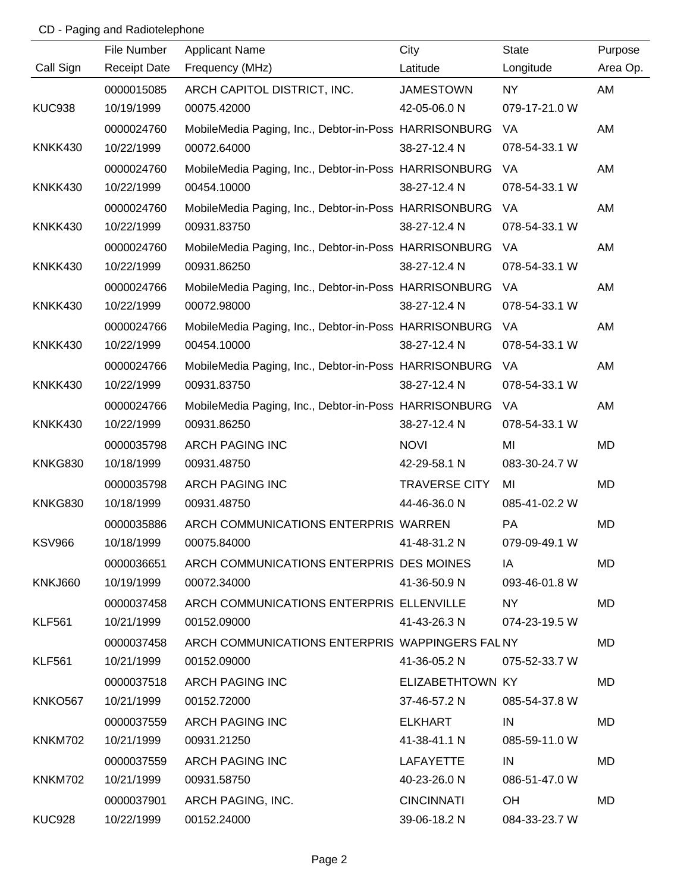# CD - Paging and Radiotelephone

|                | File Number         | <b>Applicant Name</b>                                 | City                 | <b>State</b>  | Purpose   |
|----------------|---------------------|-------------------------------------------------------|----------------------|---------------|-----------|
| Call Sign      | <b>Receipt Date</b> | Frequency (MHz)                                       | Latitude             | Longitude     | Area Op.  |
|                | 0000015085          | ARCH CAPITOL DISTRICT, INC.                           | <b>JAMESTOWN</b>     | <b>NY</b>     | AM        |
| <b>KUC938</b>  | 10/19/1999          | 00075.42000                                           | 42-05-06.0 N         | 079-17-21.0 W |           |
|                | 0000024760          | MobileMedia Paging, Inc., Debtor-in-Poss HARRISONBURG |                      | VA            | AM        |
| KNKK430        | 10/22/1999          | 00072.64000                                           | 38-27-12.4 N         | 078-54-33.1 W |           |
|                | 0000024760          | MobileMedia Paging, Inc., Debtor-in-Poss HARRISONBURG |                      | VA            | AM        |
| KNKK430        | 10/22/1999          | 00454.10000                                           | 38-27-12.4 N         | 078-54-33.1 W |           |
|                | 0000024760          | MobileMedia Paging, Inc., Debtor-in-Poss HARRISONBURG |                      | VA            | AM        |
| KNKK430        | 10/22/1999          | 00931.83750                                           | 38-27-12.4 N         | 078-54-33.1 W |           |
|                | 0000024760          | MobileMedia Paging, Inc., Debtor-in-Poss HARRISONBURG |                      | VA            | AM        |
| KNKK430        | 10/22/1999          | 00931.86250                                           | 38-27-12.4 N         | 078-54-33.1 W |           |
|                | 0000024766          | MobileMedia Paging, Inc., Debtor-in-Poss HARRISONBURG |                      | VA            | AM        |
| <b>KNKK430</b> | 10/22/1999          | 00072.98000                                           | 38-27-12.4 N         | 078-54-33.1 W |           |
|                | 0000024766          | MobileMedia Paging, Inc., Debtor-in-Poss HARRISONBURG |                      | VA            | AM        |
| KNKK430        | 10/22/1999          | 00454.10000                                           | 38-27-12.4 N         | 078-54-33.1 W |           |
|                | 0000024766          | MobileMedia Paging, Inc., Debtor-in-Poss HARRISONBURG |                      | VA            | AM        |
| KNKK430        | 10/22/1999          | 00931.83750                                           | 38-27-12.4 N         | 078-54-33.1 W |           |
|                | 0000024766          | MobileMedia Paging, Inc., Debtor-in-Poss HARRISONBURG |                      | VA            | AM        |
| KNKK430        | 10/22/1999          | 00931.86250                                           | 38-27-12.4 N         | 078-54-33.1 W |           |
|                | 0000035798          | <b>ARCH PAGING INC</b>                                | <b>NOVI</b>          | MI            | MD        |
| <b>KNKG830</b> | 10/18/1999          | 00931.48750                                           | 42-29-58.1 N         | 083-30-24.7 W |           |
|                | 0000035798          | <b>ARCH PAGING INC</b>                                | <b>TRAVERSE CITY</b> | MI            | MD        |
| <b>KNKG830</b> | 10/18/1999          | 00931.48750                                           | 44-46-36.0 N         | 085-41-02.2 W |           |
|                | 0000035886          | ARCH COMMUNICATIONS ENTERPRIS WARREN                  |                      | PA            | MD        |
| <b>KSV966</b>  | 10/18/1999          | 00075.84000                                           | 41-48-31.2 N         | 079-09-49.1 W |           |
|                | 0000036651          | ARCH COMMUNICATIONS ENTERPRIS DES MOINES              |                      | IA            | MD        |
| <b>KNKJ660</b> | 10/19/1999          | 00072.34000                                           | 41-36-50.9 N         | 093-46-01.8 W |           |
|                | 0000037458          | ARCH COMMUNICATIONS ENTERPRIS ELLENVILLE              |                      | NY.           | <b>MD</b> |
| <b>KLF561</b>  | 10/21/1999          | 00152.09000                                           | 41-43-26.3 N         | 074-23-19.5 W |           |
|                | 0000037458          | ARCH COMMUNICATIONS ENTERPRIS WAPPINGERS FALNY        |                      |               | <b>MD</b> |
| <b>KLF561</b>  | 10/21/1999          | 00152.09000                                           | 41-36-05.2 N         | 075-52-33.7 W |           |
|                | 0000037518          | <b>ARCH PAGING INC</b>                                | ELIZABETHTOWN KY     |               | MD        |
| KNKO567        | 10/21/1999          | 00152.72000                                           | 37-46-57.2 N         | 085-54-37.8 W |           |
|                | 0000037559          | <b>ARCH PAGING INC</b>                                | ELKHART              | IN            | MD        |
| KNKM702        | 10/21/1999          | 00931.21250                                           | 41-38-41.1 N         | 085-59-11.0 W |           |
|                | 0000037559          | <b>ARCH PAGING INC</b>                                | <b>LAFAYETTE</b>     | IN            | MD        |
| <b>KNKM702</b> | 10/21/1999          | 00931.58750                                           | 40-23-26.0 N         | 086-51-47.0 W |           |
|                | 0000037901          | ARCH PAGING, INC.                                     | <b>CINCINNATI</b>    | OH            | MD        |
| <b>KUC928</b>  | 10/22/1999          | 00152.24000                                           | 39-06-18.2 N         | 084-33-23.7 W |           |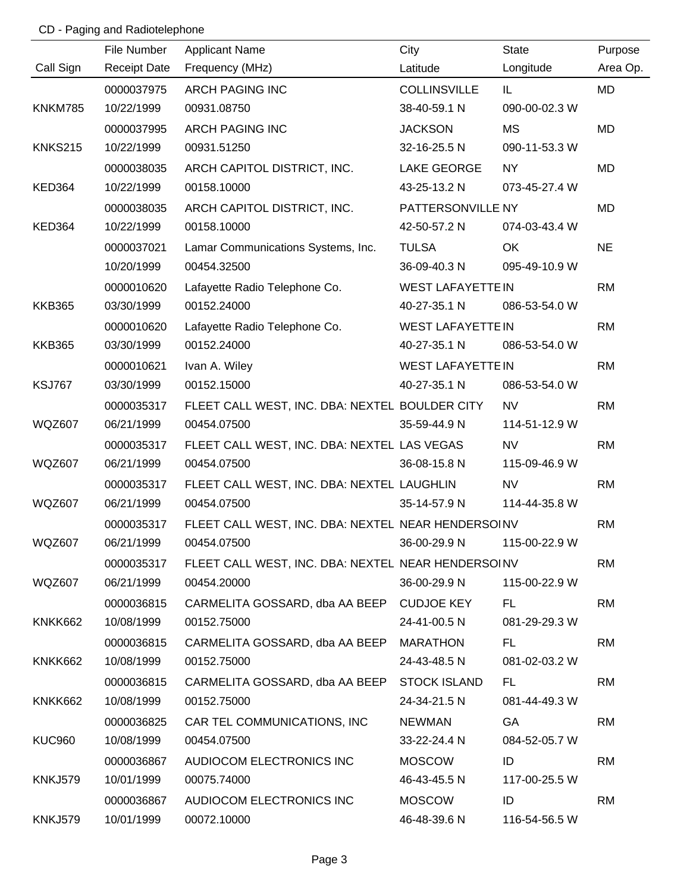# CD - Paging and Radiotelephone

|                | File Number         | <b>Applicant Name</b>                              | City                     | <b>State</b>  | Purpose   |
|----------------|---------------------|----------------------------------------------------|--------------------------|---------------|-----------|
| Call Sign      | <b>Receipt Date</b> | Frequency (MHz)                                    | Latitude                 | Longitude     | Area Op.  |
|                | 0000037975          | <b>ARCH PAGING INC</b>                             | <b>COLLINSVILLE</b>      | IL.           | <b>MD</b> |
| <b>KNKM785</b> | 10/22/1999          | 00931.08750                                        | 38-40-59.1 N             | 090-00-02.3 W |           |
|                | 0000037995          | <b>ARCH PAGING INC</b>                             | <b>JACKSON</b>           | <b>MS</b>     | MD        |
| <b>KNKS215</b> | 10/22/1999          | 00931.51250                                        | 32-16-25.5 N             | 090-11-53.3 W |           |
|                | 0000038035          | ARCH CAPITOL DISTRICT, INC.                        | LAKE GEORGE              | NY.           | MD        |
| <b>KED364</b>  | 10/22/1999          | 00158.10000                                        | 43-25-13.2 N             | 073-45-27.4 W |           |
|                | 0000038035          | ARCH CAPITOL DISTRICT, INC.                        | PATTERSONVILLE NY        |               | MD        |
| KED364         | 10/22/1999          | 00158.10000                                        | 42-50-57.2 N             | 074-03-43.4 W |           |
|                | 0000037021          | Lamar Communications Systems, Inc.                 | <b>TULSA</b>             | OK.           | <b>NE</b> |
|                | 10/20/1999          | 00454.32500                                        | 36-09-40.3 N             | 095-49-10.9 W |           |
|                | 0000010620          | Lafayette Radio Telephone Co.                      | <b>WEST LAFAYETTEIN</b>  |               | <b>RM</b> |
| <b>KKB365</b>  | 03/30/1999          | 00152.24000                                        | 40-27-35.1 N             | 086-53-54.0 W |           |
|                | 0000010620          | Lafayette Radio Telephone Co.                      | <b>WEST LAFAYETTE IN</b> |               | <b>RM</b> |
| <b>KKB365</b>  | 03/30/1999          | 00152.24000                                        | 40-27-35.1 N             | 086-53-54.0 W |           |
|                | 0000010621          | Ivan A. Wiley                                      | <b>WEST LAFAYETTE IN</b> |               | <b>RM</b> |
| <b>KSJ767</b>  | 03/30/1999          | 00152.15000                                        | 40-27-35.1 N             | 086-53-54.0 W |           |
|                | 0000035317          | FLEET CALL WEST, INC. DBA: NEXTEL BOULDER CITY     |                          | <b>NV</b>     | <b>RM</b> |
| <b>WQZ607</b>  | 06/21/1999          | 00454.07500                                        | 35-59-44.9 N             | 114-51-12.9 W |           |
|                | 0000035317          | FLEET CALL WEST, INC. DBA: NEXTEL LAS VEGAS        |                          | <b>NV</b>     | <b>RM</b> |
| <b>WQZ607</b>  | 06/21/1999          | 00454.07500                                        | 36-08-15.8 N             | 115-09-46.9 W |           |
|                | 0000035317          | FLEET CALL WEST, INC. DBA: NEXTEL LAUGHLIN         |                          | <b>NV</b>     | <b>RM</b> |
| WQZ607         | 06/21/1999          | 00454.07500                                        | 35-14-57.9 N             | 114-44-35.8 W |           |
|                | 0000035317          | FLEET CALL WEST, INC. DBA: NEXTEL NEAR HENDERSOINV |                          |               | <b>RM</b> |
| <b>WQZ607</b>  | 06/21/1999          | $36-00-29.9 N$<br>00454.07500                      |                          | 115-00-22.9 W |           |
|                | 0000035317          | FLEET CALL WEST, INC. DBA: NEXTEL NEAR HENDERSOINV |                          |               | <b>RM</b> |
| WQZ607         | 06/21/1999          | 00454.20000                                        | 36-00-29.9 N             | 115-00-22.9 W |           |
|                | 0000036815          | CARMELITA GOSSARD, dba AA BEEP CUDJOE KEY          |                          | FL.           | <b>RM</b> |
| KNKK662        | 10/08/1999          | 00152.75000                                        | 24-41-00.5 N             | 081-29-29.3 W |           |
|                | 0000036815          | CARMELITA GOSSARD, dba AA BEEP MARATHON            |                          | FL.           | <b>RM</b> |
| KNKK662        | 10/08/1999          | 00152.75000                                        | 24-43-48.5 N             | 081-02-03.2 W |           |
|                | 0000036815          | CARMELITA GOSSARD, dba AA BEEP STOCK ISLAND        |                          | FL.           | <b>RM</b> |
| KNKK662        | 10/08/1999          | 00152.75000                                        | 24-34-21.5 N             | 081-44-49.3 W |           |
|                | 0000036825          | CAR TEL COMMUNICATIONS, INC                        | <b>NEWMAN</b>            | GA            | <b>RM</b> |
| KUC960         | 10/08/1999          | 00454.07500                                        | 33-22-24.4 N             | 084-52-05.7 W |           |
|                | 0000036867          | AUDIOCOM ELECTRONICS INC                           | <b>MOSCOW</b>            | ID            | <b>RM</b> |
| <b>KNKJ579</b> | 10/01/1999          | 00075.74000                                        | 46-43-45.5 N             | 117-00-25.5 W |           |
|                | 0000036867          | AUDIOCOM ELECTRONICS INC                           | <b>MOSCOW</b>            | ID            | <b>RM</b> |
| KNKJ579        | 10/01/1999          | 00072.10000                                        | 46-48-39.6 N             | 116-54-56.5 W |           |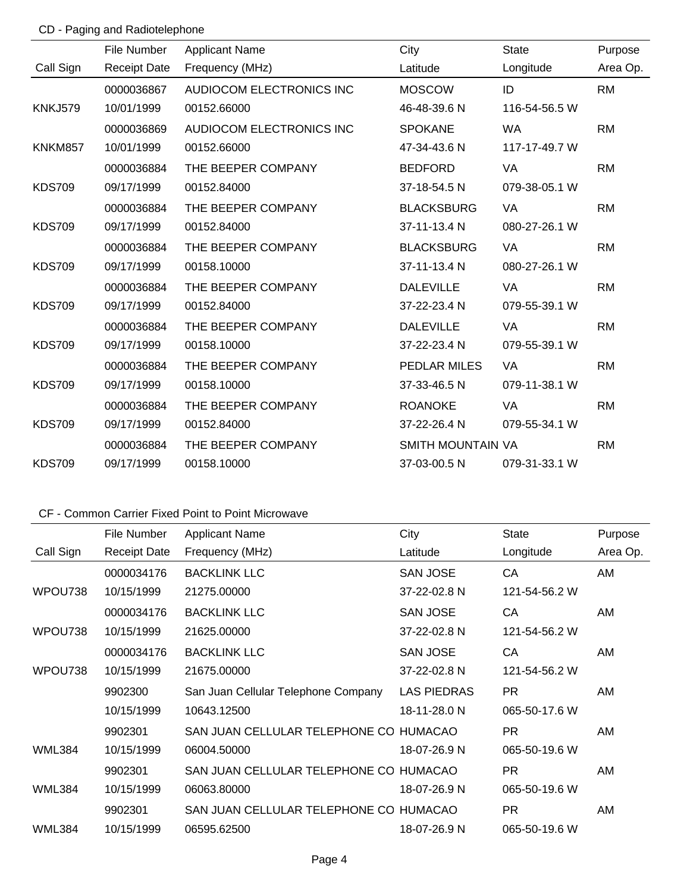# CD - Paging and Radiotelephone

|                | File Number         | <b>Applicant Name</b>    | City                | <b>State</b>  | Purpose   |
|----------------|---------------------|--------------------------|---------------------|---------------|-----------|
| Call Sign      | <b>Receipt Date</b> | Frequency (MHz)          | Latitude            | Longitude     | Area Op.  |
|                | 0000036867          | AUDIOCOM ELECTRONICS INC | <b>MOSCOW</b>       | ID            | <b>RM</b> |
| <b>KNKJ579</b> | 10/01/1999          | 00152.66000              | 46-48-39.6 N        | 116-54-56.5 W |           |
|                | 0000036869          | AUDIOCOM ELECTRONICS INC | <b>SPOKANE</b>      | <b>WA</b>     | <b>RM</b> |
| KNKM857        | 10/01/1999          | 00152.66000              | 47-34-43.6 N        | 117-17-49.7 W |           |
|                | 0000036884          | THE BEEPER COMPANY       | <b>BEDFORD</b>      | <b>VA</b>     | <b>RM</b> |
| <b>KDS709</b>  | 09/17/1999          | 00152.84000              | 37-18-54.5 N        | 079-38-05.1 W |           |
|                | 0000036884          | THE BEEPER COMPANY       | <b>BLACKSBURG</b>   | VA            | <b>RM</b> |
| <b>KDS709</b>  | 09/17/1999          | 00152.84000              | 37-11-13.4 N        | 080-27-26.1 W |           |
|                | 0000036884          | THE BEEPER COMPANY       | <b>BLACKSBURG</b>   | <b>VA</b>     | <b>RM</b> |
| <b>KDS709</b>  | 09/17/1999          | 00158.10000              | 37-11-13.4 N        | 080-27-26.1 W |           |
|                | 0000036884          | THE BEEPER COMPANY       | <b>DALEVILLE</b>    | <b>VA</b>     | <b>RM</b> |
| <b>KDS709</b>  | 09/17/1999          | 00152.84000              | 37-22-23.4 N        | 079-55-39.1 W |           |
|                | 0000036884          | THE BEEPER COMPANY       | <b>DALEVILLE</b>    | <b>VA</b>     | <b>RM</b> |
| <b>KDS709</b>  | 09/17/1999          | 00158.10000              | 37-22-23.4 N        | 079-55-39.1 W |           |
|                | 0000036884          | THE BEEPER COMPANY       | <b>PEDLAR MILES</b> | <b>VA</b>     | <b>RM</b> |
| <b>KDS709</b>  | 09/17/1999          | 00158.10000              | 37-33-46.5 N        | 079-11-38.1 W |           |
|                | 0000036884          | THE BEEPER COMPANY       | <b>ROANOKE</b>      | <b>VA</b>     | <b>RM</b> |
| <b>KDS709</b>  | 09/17/1999          | 00152.84000              | 37-22-26.4 N        | 079-55-34.1 W |           |
|                | 0000036884          | THE BEEPER COMPANY       | SMITH MOUNTAIN VA   |               | <b>RM</b> |
| <b>KDS709</b>  | 09/17/1999          | 00158.10000              | 37-03-00.5 N        | 079-31-33.1 W |           |

|           | File Number         | <b>Applicant Name</b>                  | City            | <b>State</b>  | Purpose  |
|-----------|---------------------|----------------------------------------|-----------------|---------------|----------|
| Call Sign | <b>Receipt Date</b> | Frequency (MHz)                        | Latitude        | Longitude     | Area Op. |
|           | 0000034176          | <b>BACKLINK LLC</b>                    | <b>SAN JOSE</b> | СA            | AM       |
| WPOU738   | 10/15/1999          | 21275.00000                            | 37-22-02.8 N    | 121-54-56.2 W |          |
|           | 0000034176          | <b>BACKLINK LLC</b>                    | <b>SAN JOSE</b> | CA            | AM       |
| WPOU738   | 10/15/1999          | 21625,00000                            | 37-22-02.8 N    | 121-54-56.2 W |          |
|           | 0000034176          | <b>BACKLINK LLC</b>                    | <b>SAN JOSE</b> | СA            | AM       |
| WPOU738   | 10/15/1999          | 21675,00000                            | 37-22-02.8 N    | 121-54-56.2 W |          |
|           | 9902300             | San Juan Cellular Telephone Company    | LAS PIEDRAS     | <b>PR</b>     | AM       |
|           | 10/15/1999          | 10643.12500                            | 18-11-28.0 N    | 065-50-17.6 W |          |
|           | 9902301             | SAN JUAN CELLULAR TELEPHONE CO HUMACAO |                 | <b>PR</b>     | AM       |
| WML384    | 10/15/1999          | 06004.50000                            | 18-07-26.9 N    | 065-50-19.6 W |          |
|           | 9902301             | SAN JUAN CELLULAR TELEPHONE CO HUMACAO |                 | <b>PR</b>     | AM       |
| WML384    | 10/15/1999          | 06063,80000                            | 18-07-26.9 N    | 065-50-19.6 W |          |
|           | 9902301             | SAN JUAN CELLULAR TELEPHONE CO HUMACAO |                 | PR.           | AM       |
| WML384    | 10/15/1999          | 06595.62500                            | 18-07-26.9 N    | 065-50-19.6 W |          |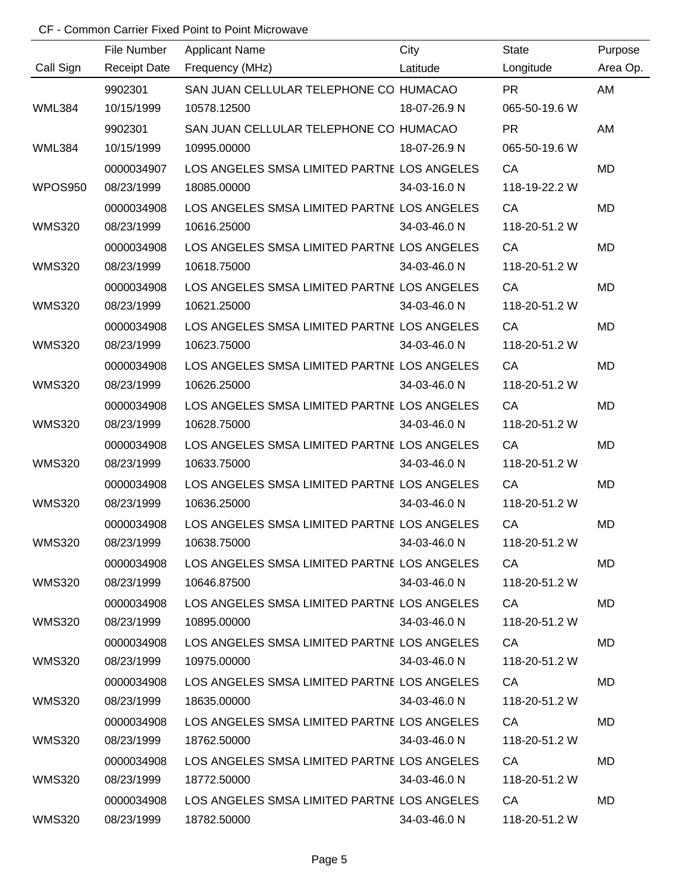|               | File Number         | <b>Applicant Name</b>                       | City         | <b>State</b>  | Purpose   |
|---------------|---------------------|---------------------------------------------|--------------|---------------|-----------|
| Call Sign     | <b>Receipt Date</b> | Frequency (MHz)                             | Latitude     | Longitude     | Area Op.  |
|               | 9902301             | SAN JUAN CELLULAR TELEPHONE CO HUMACAO      |              | <b>PR</b>     | AM        |
| <b>WML384</b> | 10/15/1999          | 10578.12500                                 | 18-07-26.9 N | 065-50-19.6 W |           |
|               | 9902301             | SAN JUAN CELLULAR TELEPHONE CO HUMACAO      |              | <b>PR</b>     | AM        |
| <b>WML384</b> | 10/15/1999          | 10995.00000                                 | 18-07-26.9 N | 065-50-19.6 W |           |
|               | 0000034907          | LOS ANGELES SMSA LIMITED PARTNE LOS ANGELES |              | CA            | <b>MD</b> |
| WPOS950       | 08/23/1999          | 18085.00000                                 | 34-03-16.0 N | 118-19-22.2 W |           |
|               | 0000034908          | LOS ANGELES SMSA LIMITED PARTNE LOS ANGELES |              | CA            | <b>MD</b> |
| <b>WMS320</b> | 08/23/1999          | 10616.25000                                 | 34-03-46.0 N | 118-20-51.2 W |           |
|               | 0000034908          | LOS ANGELES SMSA LIMITED PARTNE LOS ANGELES |              | CA            | <b>MD</b> |
| <b>WMS320</b> | 08/23/1999          | 10618.75000                                 | 34-03-46.0 N | 118-20-51.2 W |           |
|               | 0000034908          | LOS ANGELES SMSA LIMITED PARTNE LOS ANGELES |              | CA            | <b>MD</b> |
| <b>WMS320</b> | 08/23/1999          | 10621.25000                                 | 34-03-46.0 N | 118-20-51.2 W |           |
|               | 0000034908          | LOS ANGELES SMSA LIMITED PARTNE LOS ANGELES |              | CA            | <b>MD</b> |
| <b>WMS320</b> | 08/23/1999          | 10623.75000                                 | 34-03-46.0 N | 118-20-51.2 W |           |
|               | 0000034908          | LOS ANGELES SMSA LIMITED PARTNE LOS ANGELES |              | CA            | <b>MD</b> |
| <b>WMS320</b> | 08/23/1999          | 10626.25000                                 | 34-03-46.0 N | 118-20-51.2 W |           |
|               | 0000034908          | LOS ANGELES SMSA LIMITED PARTNE LOS ANGELES |              | CA            | <b>MD</b> |
| <b>WMS320</b> | 08/23/1999          | 10628.75000                                 | 34-03-46.0 N | 118-20-51.2 W |           |
|               | 0000034908          | LOS ANGELES SMSA LIMITED PARTNE LOS ANGELES |              | CA            | <b>MD</b> |
| <b>WMS320</b> | 08/23/1999          | 10633.75000                                 | 34-03-46.0 N | 118-20-51.2 W |           |
|               | 0000034908          | LOS ANGELES SMSA LIMITED PARTNE LOS ANGELES |              | CA            | <b>MD</b> |
| <b>WMS320</b> | 08/23/1999          | 10636.25000                                 | 34-03-46.0 N | 118-20-51.2 W |           |
|               | 0000034908          | LOS ANGELES SMSA LIMITED PARTNE LOS ANGELES |              | CA            | <b>MD</b> |
| <b>WMS320</b> | 08/23/1999          | 10638.75000                                 | 34-03-46.0 N | 118-20-51.2 W |           |
|               | 0000034908          | LOS ANGELES SMSA LIMITED PARTNE LOS ANGELES |              | CA            | MD        |
| <b>WMS320</b> | 08/23/1999          | 10646.87500                                 | 34-03-46.0 N | 118-20-51.2 W |           |
|               | 0000034908          | LOS ANGELES SMSA LIMITED PARTNE LOS ANGELES |              | CA            | MD        |
| <b>WMS320</b> | 08/23/1999          | 10895.00000                                 | 34-03-46.0 N | 118-20-51.2 W |           |
|               | 0000034908          | LOS ANGELES SMSA LIMITED PARTNE LOS ANGELES |              | CA            | <b>MD</b> |
| <b>WMS320</b> | 08/23/1999          | 10975.00000                                 | 34-03-46.0 N | 118-20-51.2 W |           |
|               | 0000034908          | LOS ANGELES SMSA LIMITED PARTNE LOS ANGELES |              | CA            | MD        |
| <b>WMS320</b> | 08/23/1999          | 18635.00000                                 | 34-03-46.0 N | 118-20-51.2 W |           |
|               | 0000034908          | LOS ANGELES SMSA LIMITED PARTNE LOS ANGELES |              | CA            | MD        |
| <b>WMS320</b> | 08/23/1999          | 18762.50000                                 | 34-03-46.0 N | 118-20-51.2 W |           |
|               | 0000034908          | LOS ANGELES SMSA LIMITED PARTNE LOS ANGELES |              | CA            | <b>MD</b> |
| <b>WMS320</b> | 08/23/1999          | 18772.50000                                 | 34-03-46.0 N | 118-20-51.2 W |           |
|               | 0000034908          | LOS ANGELES SMSA LIMITED PARTNE LOS ANGELES |              | CA            | <b>MD</b> |
| <b>WMS320</b> | 08/23/1999          | 18782.50000                                 | 34-03-46.0 N | 118-20-51.2 W |           |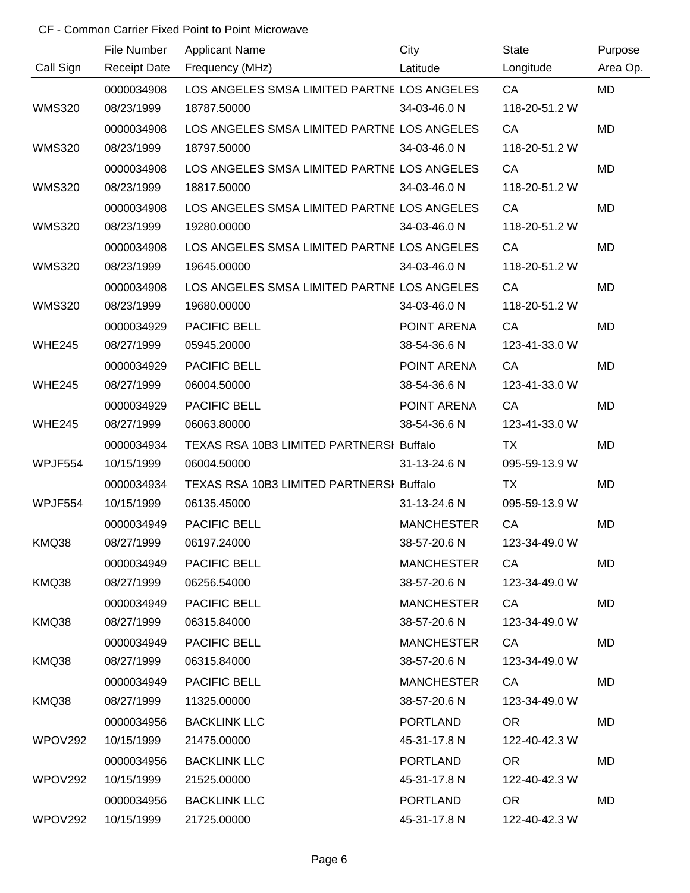|               | File Number         | <b>Applicant Name</b>                         | City              | <b>State</b>  | Purpose   |
|---------------|---------------------|-----------------------------------------------|-------------------|---------------|-----------|
| Call Sign     | <b>Receipt Date</b> | Frequency (MHz)<br><b>Example 12</b> Latitude |                   | Longitude     | Area Op.  |
|               | 0000034908          | LOS ANGELES SMSA LIMITED PARTNE LOS ANGELES   |                   | CA            | MD        |
| <b>WMS320</b> | 08/23/1999          | 18787.50000                                   | 34-03-46.0 N      | 118-20-51.2 W |           |
|               | 0000034908          | LOS ANGELES SMSA LIMITED PARTNE LOS ANGELES   |                   | CA            | <b>MD</b> |
| <b>WMS320</b> | 08/23/1999          | 18797.50000                                   | 34-03-46.0 N      | 118-20-51.2 W |           |
|               | 0000034908          | LOS ANGELES SMSA LIMITED PARTNE LOS ANGELES   |                   | CA            | MD        |
| <b>WMS320</b> | 08/23/1999          | 18817.50000                                   | 34-03-46.0 N      | 118-20-51.2 W |           |
|               | 0000034908          | LOS ANGELES SMSA LIMITED PARTNE LOS ANGELES   |                   | CA            | MD        |
| <b>WMS320</b> | 08/23/1999          | 19280.00000                                   | 34-03-46.0 N      | 118-20-51.2 W |           |
|               | 0000034908          | LOS ANGELES SMSA LIMITED PARTNE LOS ANGELES   |                   | CA            | MD        |
| <b>WMS320</b> | 08/23/1999          | 19645.00000                                   | 34-03-46.0 N      | 118-20-51.2 W |           |
|               | 0000034908          | LOS ANGELES SMSA LIMITED PARTNE LOS ANGELES   |                   | CA            | <b>MD</b> |
| <b>WMS320</b> | 08/23/1999          | 19680.00000                                   | 34-03-46.0 N      | 118-20-51.2 W |           |
|               | 0000034929          | PACIFIC BELL                                  | POINT ARENA       | CA            | <b>MD</b> |
| <b>WHE245</b> | 08/27/1999          | 05945.20000                                   | 38-54-36.6 N      | 123-41-33.0 W |           |
|               | 0000034929          | <b>PACIFIC BELL</b>                           | POINT ARENA       | CA            | MD        |
| <b>WHE245</b> | 08/27/1999          | 06004.50000                                   | 38-54-36.6 N      | 123-41-33.0 W |           |
|               | 0000034929          | PACIFIC BELL                                  | POINT ARENA       | CA            | <b>MD</b> |
| <b>WHE245</b> | 08/27/1999          | 06063.80000                                   | 38-54-36.6 N      | 123-41-33.0 W |           |
|               | 0000034934          | TEXAS RSA 10B3 LIMITED PARTNERSI Buffalo      |                   | <b>TX</b>     | <b>MD</b> |
| WPJF554       | 10/15/1999          | 06004.50000                                   | 31-13-24.6 N      | 095-59-13.9 W |           |
|               | 0000034934          | TEXAS RSA 10B3 LIMITED PARTNERSI Buffalo      |                   | <b>TX</b>     | <b>MD</b> |
| WPJF554       | 10/15/1999          | 06135.45000                                   | 31-13-24.6 N      | 095-59-13.9 W |           |
|               | 0000034949          | <b>PACIFIC BELL</b>                           | <b>MANCHESTER</b> | CA            | <b>MD</b> |
| KMQ38         | 08/27/1999          | 06197.24000                                   | 38-57-20.6 N      | 123-34-49.0 W |           |
|               | 0000034949          | <b>PACIFIC BELL</b>                           | <b>MANCHESTER</b> | CA            | MD        |
| KMQ38         | 08/27/1999          | 06256.54000                                   | 38-57-20.6 N      | 123-34-49.0 W |           |
|               | 0000034949          | PACIFIC BELL                                  | <b>MANCHESTER</b> | CA            | MD        |
| KMQ38         | 08/27/1999          | 06315.84000                                   | 38-57-20.6 N      | 123-34-49.0 W |           |
|               | 0000034949          | PACIFIC BELL                                  | <b>MANCHESTER</b> | CA            | MD        |
| KMQ38         | 08/27/1999          | 06315.84000                                   | 38-57-20.6 N      | 123-34-49.0 W |           |
|               | 0000034949          | <b>PACIFIC BELL</b>                           | <b>MANCHESTER</b> | CA            | MD        |
| KMQ38         | 08/27/1999          | 11325.00000                                   | 38-57-20.6 N      | 123-34-49.0 W |           |
|               | 0000034956          | <b>BACKLINK LLC</b>                           | PORTLAND          | <b>OR</b>     | MD        |
| WPOV292       | 10/15/1999          | 21475.00000                                   | 45-31-17.8 N      | 122-40-42.3 W |           |
|               | 0000034956          | <b>BACKLINK LLC</b>                           | PORTLAND          | <b>OR</b>     | MD        |
| WPOV292       | 10/15/1999          | 21525.00000                                   | 45-31-17.8 N      | 122-40-42.3 W |           |
|               | 0000034956          | <b>BACKLINK LLC</b>                           | <b>PORTLAND</b>   | OR.           | MD        |
| WPOV292       | 10/15/1999          | 21725.00000                                   | 45-31-17.8 N      | 122-40-42.3 W |           |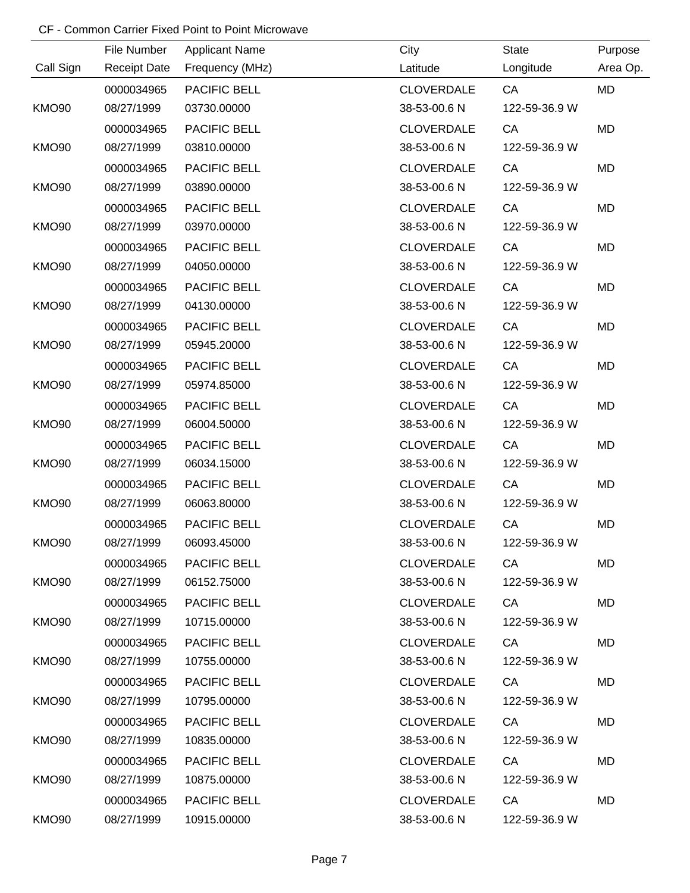|                   | File Number         | <b>Applicant Name</b> | City              | State         | Purpose   |
|-------------------|---------------------|-----------------------|-------------------|---------------|-----------|
| Call Sign         | <b>Receipt Date</b> | Frequency (MHz)       | Latitude          | Longitude     | Area Op.  |
|                   | 0000034965          | PACIFIC BELL          | <b>CLOVERDALE</b> | CA            | MD        |
| <b>KMO90</b>      | 08/27/1999          | 03730.00000           | 38-53-00.6 N      | 122-59-36.9 W |           |
|                   | 0000034965          | PACIFIC BELL          | <b>CLOVERDALE</b> | CA            | MD        |
| <b>KMO90</b>      | 08/27/1999          | 03810.00000           | 38-53-00.6 N      | 122-59-36.9 W |           |
|                   | 0000034965          | PACIFIC BELL          | <b>CLOVERDALE</b> | CA            | MD        |
| <b>KMO90</b>      | 08/27/1999          | 03890.00000           | 38-53-00.6 N      | 122-59-36.9 W |           |
|                   | 0000034965          | PACIFIC BELL          | <b>CLOVERDALE</b> | CA            | MD        |
| <b>KMO90</b>      | 08/27/1999          | 03970.00000           | 38-53-00.6 N      | 122-59-36.9 W |           |
|                   | 0000034965          | PACIFIC BELL          | <b>CLOVERDALE</b> | CA            | MD        |
| <b>KMO90</b>      | 08/27/1999          | 04050.00000           | 38-53-00.6 N      | 122-59-36.9 W |           |
|                   | 0000034965          | <b>PACIFIC BELL</b>   | <b>CLOVERDALE</b> | CA            | MD        |
| <b>KMO90</b>      | 08/27/1999          | 04130.00000           | 38-53-00.6 N      | 122-59-36.9 W |           |
|                   | 0000034965          | PACIFIC BELL          | <b>CLOVERDALE</b> | CA            | <b>MD</b> |
| <b>KMO90</b>      | 08/27/1999          | 05945.20000           | 38-53-00.6 N      | 122-59-36.9 W |           |
|                   | 0000034965          | PACIFIC BELL          | <b>CLOVERDALE</b> | CA            | <b>MD</b> |
| <b>KMO90</b>      | 08/27/1999          | 05974.85000           | 38-53-00.6 N      | 122-59-36.9 W |           |
|                   | 0000034965          | PACIFIC BELL          | <b>CLOVERDALE</b> | CA            | MD        |
| <b>KMO90</b>      | 08/27/1999          | 06004.50000           | 38-53-00.6 N      | 122-59-36.9 W |           |
|                   | 0000034965          | PACIFIC BELL          | <b>CLOVERDALE</b> | CA            | MD        |
| <b>KMO90</b>      | 08/27/1999          | 06034.15000           | 38-53-00.6 N      | 122-59-36.9 W |           |
|                   | 0000034965          | PACIFIC BELL          | <b>CLOVERDALE</b> | CA            | MD        |
| <b>KMO90</b>      | 08/27/1999          | 06063.80000           | 38-53-00.6 N      | 122-59-36.9 W |           |
|                   | 0000034965          | PACIFIC BELL          | <b>CLOVERDALE</b> | CA            | <b>MD</b> |
| <b>KMO90</b>      | 08/27/1999          | 06093.45000           | 38-53-00.6 N      | 122-59-36.9 W |           |
|                   | 0000034965          | <b>PACIFIC BELL</b>   | <b>CLOVERDALE</b> | CA            | MD        |
| <b>KMO90</b>      | 08/27/1999          | 06152.75000           | 38-53-00.6 N      | 122-59-36.9 W |           |
|                   | 0000034965          | <b>PACIFIC BELL</b>   | <b>CLOVERDALE</b> | CA            | MD        |
| KMO90             | 08/27/1999          | 10715.00000           | 38-53-00.6 N      | 122-59-36.9 W |           |
|                   | 0000034965          | <b>PACIFIC BELL</b>   | <b>CLOVERDALE</b> | CA            | MD        |
| KMO <sub>90</sub> | 08/27/1999          | 10755.00000           | 38-53-00.6 N      | 122-59-36.9 W |           |
|                   | 0000034965          | <b>PACIFIC BELL</b>   | <b>CLOVERDALE</b> | CA            | MD        |
| KMO <sub>90</sub> | 08/27/1999          | 10795.00000           | 38-53-00.6 N      | 122-59-36.9 W |           |
|                   | 0000034965          | <b>PACIFIC BELL</b>   | <b>CLOVERDALE</b> | CA            | MD        |
| KMO <sub>90</sub> | 08/27/1999          | 10835.00000           | 38-53-00.6 N      | 122-59-36.9 W |           |
|                   | 0000034965          | <b>PACIFIC BELL</b>   | <b>CLOVERDALE</b> | CA            | MD        |
| KMO <sub>90</sub> | 08/27/1999          | 10875.00000           | 38-53-00.6 N      | 122-59-36.9 W |           |
|                   | 0000034965          | <b>PACIFIC BELL</b>   | <b>CLOVERDALE</b> | CA D          | MD        |
| KMO90             | 08/27/1999          | 10915.00000           | 38-53-00.6 N      | 122-59-36.9 W |           |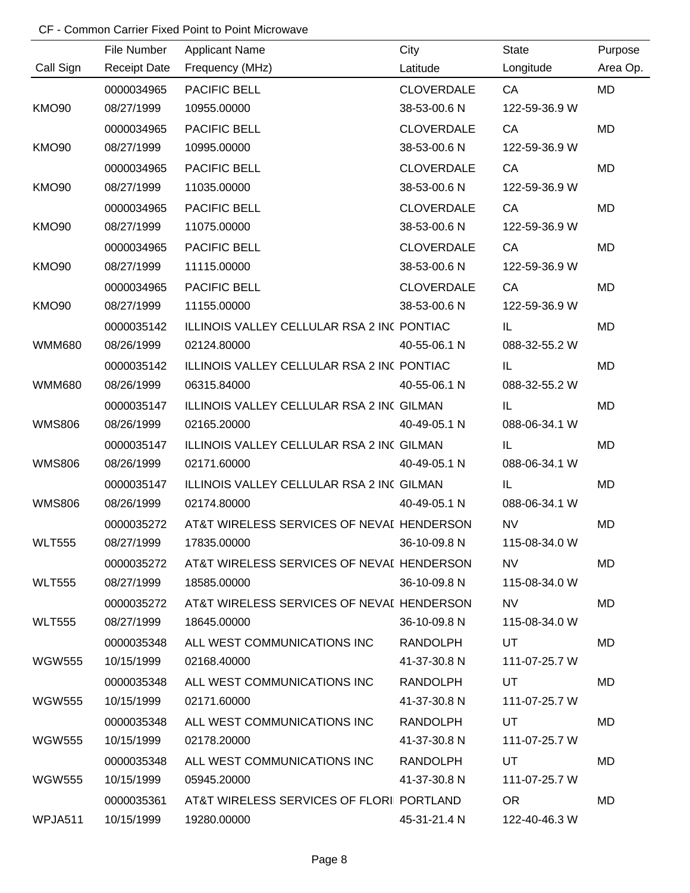|                   | File Number         | <b>Applicant Name</b>                      | City              | <b>State</b>  | Purpose   |
|-------------------|---------------------|--------------------------------------------|-------------------|---------------|-----------|
| Call Sign         | <b>Receipt Date</b> | Frequency (MHz)                            | Latitude          | Longitude     | Area Op.  |
|                   | 0000034965          | PACIFIC BELL                               | <b>CLOVERDALE</b> | CA            | MD        |
| KMO <sub>90</sub> | 08/27/1999          | 10955.00000                                | 38-53-00.6 N      | 122-59-36.9 W |           |
|                   | 0000034965          | PACIFIC BELL                               | <b>CLOVERDALE</b> | CA            | <b>MD</b> |
| <b>KMO90</b>      | 08/27/1999          | 10995.00000                                | 38-53-00.6 N      | 122-59-36.9 W |           |
|                   | 0000034965          | <b>PACIFIC BELL</b>                        | <b>CLOVERDALE</b> | CA            | <b>MD</b> |
| <b>KMO90</b>      | 08/27/1999          | 11035.00000                                | 38-53-00.6 N      | 122-59-36.9 W |           |
|                   | 0000034965          | PACIFIC BELL                               | <b>CLOVERDALE</b> | CA            | <b>MD</b> |
| <b>KMO90</b>      | 08/27/1999          | 11075.00000                                | 38-53-00.6 N      | 122-59-36.9 W |           |
|                   | 0000034965          | PACIFIC BELL                               | <b>CLOVERDALE</b> | CA            | <b>MD</b> |
| <b>KMO90</b>      | 08/27/1999          | 11115.00000                                | 38-53-00.6 N      | 122-59-36.9 W |           |
|                   | 0000034965          | PACIFIC BELL                               | <b>CLOVERDALE</b> | CA            | <b>MD</b> |
| <b>KMO90</b>      | 08/27/1999          | 11155.00000                                | 38-53-00.6 N      | 122-59-36.9 W |           |
|                   | 0000035142          | ILLINOIS VALLEY CELLULAR RSA 2 INC PONTIAC |                   | IL            | <b>MD</b> |
| <b>WMM680</b>     | 08/26/1999          | 02124.80000                                | 40-55-06.1 N      | 088-32-55.2 W |           |
|                   | 0000035142          | ILLINOIS VALLEY CELLULAR RSA 2 INC PONTIAC |                   | IL            | <b>MD</b> |
| <b>WMM680</b>     | 08/26/1999          | 06315.84000                                | 40-55-06.1 N      | 088-32-55.2 W |           |
|                   | 0000035147          | ILLINOIS VALLEY CELLULAR RSA 2 INC GILMAN  |                   | IL.           | <b>MD</b> |
| <b>WMS806</b>     | 08/26/1999          | 02165.20000                                | 40-49-05.1 N      | 088-06-34.1 W |           |
|                   | 0000035147          | ILLINOIS VALLEY CELLULAR RSA 2 INC GILMAN  |                   | IL            | <b>MD</b> |
| <b>WMS806</b>     | 08/26/1999          | 02171.60000                                | 40-49-05.1 N      | 088-06-34.1 W |           |
|                   | 0000035147          | ILLINOIS VALLEY CELLULAR RSA 2 INC GILMAN  |                   | IL            | <b>MD</b> |
| <b>WMS806</b>     | 08/26/1999          | 02174.80000                                | 40-49-05.1 N      | 088-06-34.1 W |           |
|                   | 0000035272          | AT&T WIRELESS SERVICES OF NEVAL HENDERSON  |                   | <b>NV</b>     | <b>MD</b> |
| <b>WLT555</b>     | 08/27/1999          | 17835.00000                                | 36-10-09.8 N      | 115-08-34.0 W |           |
|                   | 0000035272          | AT&T WIRELESS SERVICES OF NEVAL HENDERSON  |                   | <b>NV</b>     | MD        |
| <b>WLT555</b>     | 08/27/1999          | 18585.00000                                | 36-10-09.8 N      | 115-08-34.0 W |           |
|                   | 0000035272          | AT&T WIRELESS SERVICES OF NEVAL HENDERSON  |                   | NV.           | MD        |
| <b>WLT555</b>     | 08/27/1999          | 18645.00000                                | 36-10-09.8 N      | 115-08-34.0 W |           |
|                   | 0000035348          | ALL WEST COMMUNICATIONS INC RANDOLPH       |                   | UT            | MD.       |
| <b>WGW555</b>     | 10/15/1999          | 02168.40000                                | 41-37-30.8 N      | 111-07-25.7 W |           |
|                   | 0000035348          | ALL WEST COMMUNICATIONS INC                | RANDOLPH          | UT            | MD        |
| <b>WGW555</b>     | 10/15/1999          | 02171.60000                                | 41-37-30.8 N      | 111-07-25.7 W |           |
|                   | 0000035348          | ALL WEST COMMUNICATIONS INC                | RANDOLPH          | UT            | MD        |
| <b>WGW555</b>     | 10/15/1999          | 02178.20000                                | 41-37-30.8 N      | 111-07-25.7 W |           |
|                   | 0000035348          | ALL WEST COMMUNICATIONS INC                | RANDOLPH          | UT            | MD        |
| <b>WGW555</b>     | 10/15/1999          | 05945.20000                                | 41-37-30.8 N      | 111-07-25.7 W |           |
|                   | 0000035361          | AT&T WIRELESS SERVICES OF FLORII PORTLAND  |                   | OR.           | MD        |
| WPJA511           | 10/15/1999          | 19280.00000                                | 45-31-21.4 N      | 122-40-46.3 W |           |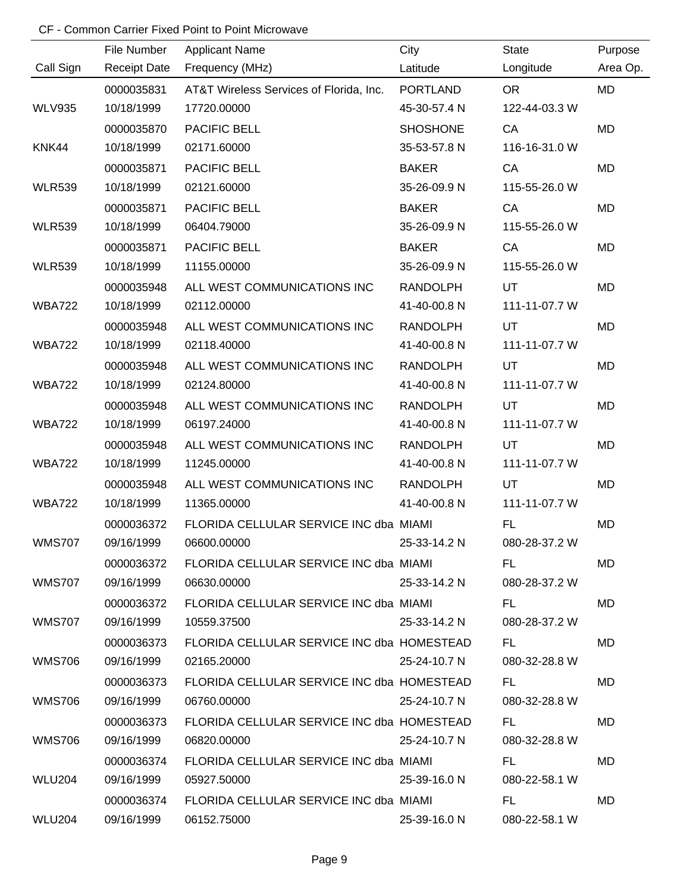|               | File Number         | <b>Applicant Name</b>                      | City            | <b>State</b>  | Purpose   |
|---------------|---------------------|--------------------------------------------|-----------------|---------------|-----------|
| Call Sign     | <b>Receipt Date</b> | Frequency (MHz)                            | Latitude        | Longitude     | Area Op.  |
|               | 0000035831          | AT&T Wireless Services of Florida, Inc.    | PORTLAND        | OR.           | <b>MD</b> |
| <b>WLV935</b> | 10/18/1999          | 17720.00000                                | 45-30-57.4 N    | 122-44-03.3 W |           |
|               | 0000035870          | PACIFIC BELL                               | <b>SHOSHONE</b> | CA            | <b>MD</b> |
| KNK44         | 10/18/1999          | 02171.60000                                | 35-53-57.8 N    | 116-16-31.0 W |           |
|               | 0000035871          | PACIFIC BELL                               | <b>BAKER</b>    | CA            | <b>MD</b> |
| <b>WLR539</b> | 10/18/1999          | 02121.60000                                | 35-26-09.9 N    | 115-55-26.0 W |           |
|               | 0000035871          | PACIFIC BELL                               | <b>BAKER</b>    | CA            | MD        |
| <b>WLR539</b> | 10/18/1999          | 06404.79000                                | 35-26-09.9 N    | 115-55-26.0 W |           |
|               | 0000035871          | PACIFIC BELL                               | <b>BAKER</b>    | CA            | MD        |
| <b>WLR539</b> | 10/18/1999          | 11155.00000                                | 35-26-09.9 N    | 115-55-26.0 W |           |
|               | 0000035948          | ALL WEST COMMUNICATIONS INC                | <b>RANDOLPH</b> | UT            | <b>MD</b> |
| <b>WBA722</b> | 10/18/1999          | 02112.00000                                | 41-40-00.8 N    | 111-11-07.7 W |           |
|               | 0000035948          | ALL WEST COMMUNICATIONS INC                | <b>RANDOLPH</b> | UT            | MD        |
| <b>WBA722</b> | 10/18/1999          | 02118.40000                                | 41-40-00.8 N    | 111-11-07.7 W |           |
|               | 0000035948          | ALL WEST COMMUNICATIONS INC                | <b>RANDOLPH</b> | UT            | MD        |
| <b>WBA722</b> | 10/18/1999          | 02124.80000                                | 41-40-00.8 N    | 111-11-07.7 W |           |
|               | 0000035948          | ALL WEST COMMUNICATIONS INC                | <b>RANDOLPH</b> | UT            | <b>MD</b> |
| <b>WBA722</b> | 10/18/1999          | 06197.24000                                | 41-40-00.8 N    | 111-11-07.7 W |           |
|               | 0000035948          | ALL WEST COMMUNICATIONS INC                | RANDOLPH        | UT            | MD        |
| <b>WBA722</b> | 10/18/1999          | 11245.00000                                | 41-40-00.8 N    | 111-11-07.7 W |           |
|               | 0000035948          | ALL WEST COMMUNICATIONS INC                | RANDOLPH        | UT            | MD        |
| <b>WBA722</b> | 10/18/1999          | 11365.00000                                | 41-40-00.8 N    | 111-11-07.7 W |           |
|               | 0000036372          | FLORIDA CELLULAR SERVICE INC dba MIAMI     |                 | FL.           | <b>MD</b> |
| <b>WMS707</b> | 09/16/1999          | 06600.00000                                | 25-33-14.2 N    | 080-28-37.2 W |           |
|               | 0000036372          | FLORIDA CELLULAR SERVICE INC dba MIAMI     |                 | FL.           | MD        |
| <b>WMS707</b> | 09/16/1999          | 06630.00000                                | 25-33-14.2 N    | 080-28-37.2 W |           |
|               | 0000036372          | FLORIDA CELLULAR SERVICE INC dba MIAMI     |                 | FL.           | MD        |
| <b>WMS707</b> | 09/16/1999          | 10559.37500                                | 25-33-14.2 N    | 080-28-37.2 W |           |
|               | 0000036373          | FLORIDA CELLULAR SERVICE INC dba HOMESTEAD |                 | FL.           | MD.       |
| <b>WMS706</b> | 09/16/1999          | 02165.20000                                | 25-24-10.7 N    | 080-32-28.8 W |           |
|               | 0000036373          | FLORIDA CELLULAR SERVICE INC dba HOMESTEAD |                 | FL.           | MD        |
| <b>WMS706</b> | 09/16/1999          | 06760.00000                                | 25-24-10.7 N    | 080-32-28.8 W |           |
|               | 0000036373          | FLORIDA CELLULAR SERVICE INC dba HOMESTEAD |                 | FL.           | MD        |
| <b>WMS706</b> | 09/16/1999          | 06820.00000                                | 25-24-10.7 N    | 080-32-28.8 W |           |
|               | 0000036374          | FLORIDA CELLULAR SERVICE INC dba MIAMI     |                 | FL.           | MD        |
| WLU204        | 09/16/1999          | 05927.50000                                | 25-39-16.0 N    | 080-22-58.1 W |           |
|               | 0000036374          | FLORIDA CELLULAR SERVICE INC dba MIAMI     |                 | FL.           | MD        |
| WLU204        | 09/16/1999          | 06152.75000                                | 25-39-16.0 N    | 080-22-58.1 W |           |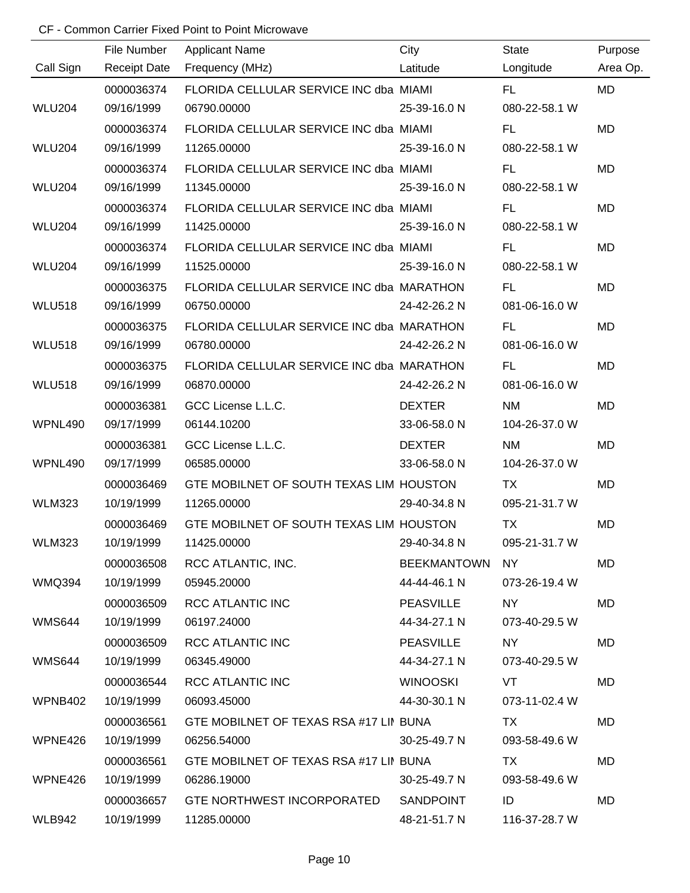|               | File Number         | <b>Applicant Name</b>                     | City               | <b>State</b>  | Purpose   |
|---------------|---------------------|-------------------------------------------|--------------------|---------------|-----------|
| Call Sign     | <b>Receipt Date</b> | Frequency (MHz)                           | Latitude           | Longitude     | Area Op.  |
|               | 0000036374          | FLORIDA CELLULAR SERVICE INC dba MIAMI    |                    | FL.           | MD        |
| <b>WLU204</b> | 09/16/1999          | 06790.00000                               | 25-39-16.0 N       | 080-22-58.1 W |           |
|               | 0000036374          | FLORIDA CELLULAR SERVICE INC dba MIAMI    |                    | FL.           | <b>MD</b> |
| <b>WLU204</b> | 09/16/1999          | 11265.00000                               | 25-39-16.0 N       | 080-22-58.1 W |           |
|               | 0000036374          | FLORIDA CELLULAR SERVICE INC dba MIAMI    |                    | FL.           | MD        |
| <b>WLU204</b> | 09/16/1999          | 11345.00000                               | 25-39-16.0 N       | 080-22-58.1 W |           |
|               | 0000036374          | FLORIDA CELLULAR SERVICE INC dba MIAMI    |                    | FL.           | <b>MD</b> |
| <b>WLU204</b> | 09/16/1999          | 11425.00000                               | 25-39-16.0 N       | 080-22-58.1 W |           |
|               | 0000036374          | FLORIDA CELLULAR SERVICE INC dba MIAMI    |                    | FL.           | MD        |
| <b>WLU204</b> | 09/16/1999          | 11525.00000                               | 25-39-16.0 N       | 080-22-58.1 W |           |
|               | 0000036375          | FLORIDA CELLULAR SERVICE INC dba MARATHON |                    | FL.           | <b>MD</b> |
| <b>WLU518</b> | 09/16/1999          | 06750.00000                               | 24-42-26.2 N       | 081-06-16.0 W |           |
|               | 0000036375          | FLORIDA CELLULAR SERVICE INC dba MARATHON |                    | FL.           | <b>MD</b> |
| <b>WLU518</b> | 09/16/1999          | 06780.00000                               | 24-42-26.2 N       | 081-06-16.0 W |           |
|               | 0000036375          | FLORIDA CELLULAR SERVICE INC dba MARATHON |                    | FL.           | <b>MD</b> |
| <b>WLU518</b> | 09/16/1999          | 06870.00000                               | 24-42-26.2 N       | 081-06-16.0 W |           |
|               | 0000036381          | GCC License L.L.C.                        | <b>DEXTER</b>      | <b>NM</b>     | <b>MD</b> |
| WPNL490       | 09/17/1999          | 06144.10200                               | 33-06-58.0 N       | 104-26-37.0 W |           |
|               | 0000036381          | GCC License L.L.C.                        | <b>DEXTER</b>      | <b>NM</b>     | <b>MD</b> |
| WPNL490       | 09/17/1999          | 06585.00000                               | 33-06-58.0 N       | 104-26-37.0 W |           |
|               | 0000036469          | GTE MOBILNET OF SOUTH TEXAS LIM HOUSTON   |                    | <b>TX</b>     | <b>MD</b> |
| <b>WLM323</b> | 10/19/1999          | 11265.00000                               | 29-40-34.8 N       | 095-21-31.7 W |           |
|               | 0000036469          | GTE MOBILNET OF SOUTH TEXAS LIM HOUSTON   |                    | <b>TX</b>     | <b>MD</b> |
| <b>WLM323</b> | 10/19/1999          | 11425.00000                               | 29-40-34.8 N       | 095-21-31.7 W |           |
|               | 0000036508          | RCC ATLANTIC, INC.                        | <b>BEEKMANTOWN</b> | NY.           | MD        |
| <b>WMQ394</b> | 10/19/1999          | 05945.20000                               | 44-44-46.1 N       | 073-26-19.4 W |           |
|               | 0000036509          | RCC ATLANTIC INC                          | PEASVILLE          | NY .          | MD        |
| WMS644        | 10/19/1999          | 06197.24000                               | 44-34-27.1 N       | 073-40-29.5 W |           |
|               | 0000036509          | <b>RCC ATLANTIC INC</b>                   | PEASVILLE          | <b>NY</b>     | MD        |
| <b>WMS644</b> | 10/19/1999          | 06345.49000                               | 44-34-27.1 N       | 073-40-29.5 W |           |
|               | 0000036544          | <b>RCC ATLANTIC INC</b>                   | WINOOSKI           | VT            | MD        |
| WPNB402       | 10/19/1999          | 06093.45000                               | 44-30-30.1 N       | 073-11-02.4 W |           |
|               | 0000036561          | GTE MOBILNET OF TEXAS RSA #17 LII BUNA    |                    | TX            | MD        |
| WPNE426       | 10/19/1999          | 06256.54000                               | 30-25-49.7 N       | 093-58-49.6 W |           |
|               | 0000036561          | GTE MOBILNET OF TEXAS RSA #17 LII BUNA    |                    | TX            | MD        |
| WPNE426       | 10/19/1999          | 06286.19000                               | 30-25-49.7 N       | 093-58-49.6 W |           |
|               | 0000036657          | GTE NORTHWEST INCORPORATED                | SANDPOINT          | ID            | MD        |
| WLB942        | 10/19/1999          | 11285.00000                               | 48-21-51.7 N       | 116-37-28.7 W |           |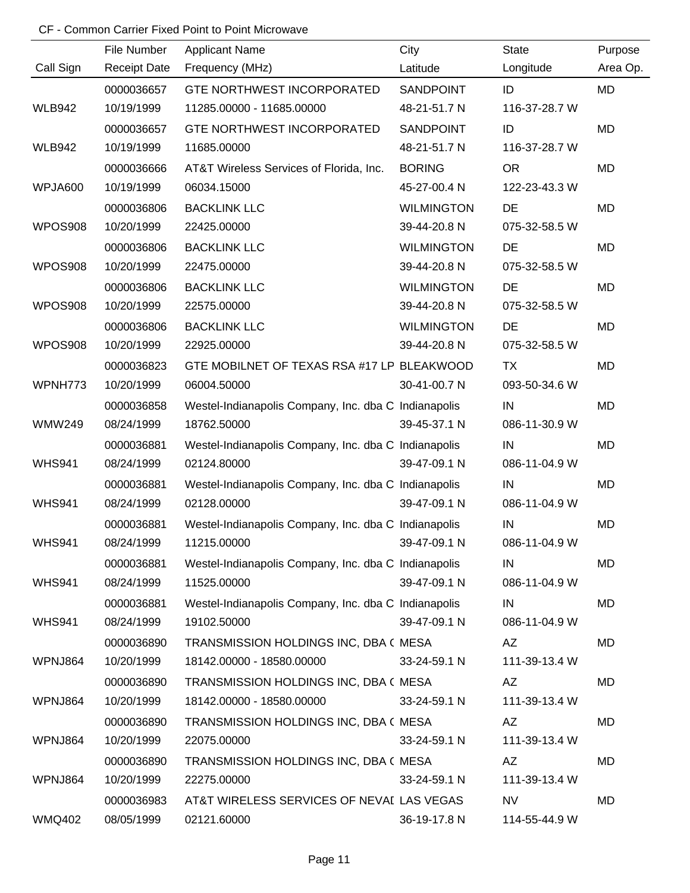|               | File Number         | <b>Applicant Name</b>                                | City              | <b>State</b>  | Purpose   |
|---------------|---------------------|------------------------------------------------------|-------------------|---------------|-----------|
| Call Sign     | <b>Receipt Date</b> | Frequency (MHz)                                      | Latitude          | Longitude     | Area Op.  |
|               | 0000036657          | <b>GTE NORTHWEST INCORPORATED</b>                    | <b>SANDPOINT</b>  | ID            | <b>MD</b> |
| <b>WLB942</b> | 10/19/1999          | 11285.00000 - 11685.00000                            | 48-21-51.7 N      | 116-37-28.7 W |           |
|               | 0000036657          | <b>GTE NORTHWEST INCORPORATED</b>                    | SANDPOINT         | ID            | <b>MD</b> |
| <b>WLB942</b> | 10/19/1999          | 11685.00000                                          | 48-21-51.7 N      | 116-37-28.7 W |           |
|               | 0000036666          | AT&T Wireless Services of Florida, Inc.              | <b>BORING</b>     | <b>OR</b>     | MD        |
| WPJA600       | 10/19/1999          | 06034.15000                                          | 45-27-00.4 N      | 122-23-43.3 W |           |
|               | 0000036806          | <b>BACKLINK LLC</b>                                  | <b>WILMINGTON</b> | DE            | MD        |
| WPOS908       | 10/20/1999          | 22425.00000                                          | 39-44-20.8 N      | 075-32-58.5 W |           |
|               | 0000036806          | <b>BACKLINK LLC</b>                                  | <b>WILMINGTON</b> | DE            | MD        |
| WPOS908       | 10/20/1999          | 22475.00000                                          | 39-44-20.8 N      | 075-32-58.5 W |           |
|               | 0000036806          | <b>BACKLINK LLC</b>                                  | <b>WILMINGTON</b> | DE            | MD        |
| WPOS908       | 10/20/1999          | 22575.00000                                          | 39-44-20.8 N      | 075-32-58.5 W |           |
|               | 0000036806          | <b>BACKLINK LLC</b>                                  | <b>WILMINGTON</b> | DE            | <b>MD</b> |
| WPOS908       | 10/20/1999          | 22925.00000                                          | 39-44-20.8 N      | 075-32-58.5 W |           |
|               | 0000036823          | GTE MOBILNET OF TEXAS RSA #17 LP BLEAKWOOD           |                   | <b>TX</b>     | <b>MD</b> |
| WPNH773       | 10/20/1999          | 06004.50000                                          | 30-41-00.7 N      | 093-50-34.6 W |           |
|               | 0000036858          | Westel-Indianapolis Company, Inc. dba C Indianapolis |                   | IN            | MD        |
| <b>WMW249</b> | 08/24/1999          | 18762.50000                                          | 39-45-37.1 N      | 086-11-30.9 W |           |
|               | 0000036881          | Westel-Indianapolis Company, Inc. dba C Indianapolis |                   | IN            | <b>MD</b> |
| <b>WHS941</b> | 08/24/1999          | 02124.80000                                          | 39-47-09.1 N      | 086-11-04.9 W |           |
|               | 0000036881          | Westel-Indianapolis Company, Inc. dba C Indianapolis |                   | IN            | <b>MD</b> |
| <b>WHS941</b> | 08/24/1999          | 02128.00000                                          | 39-47-09.1 N      | 086-11-04.9 W |           |
|               | 0000036881          | Westel-Indianapolis Company, Inc. dba C Indianapolis |                   | IN            | <b>MD</b> |
| <b>WHS941</b> | 08/24/1999          | 11215.00000                                          | 39-47-09.1 N      | 086-11-04.9 W |           |
|               | 0000036881          | Westel-Indianapolis Company, Inc. dba C Indianapolis |                   | IN            | MD        |
| <b>WHS941</b> | 08/24/1999          | 11525.00000                                          | 39-47-09.1 N      | 086-11-04.9 W |           |
|               | 0000036881          | Westel-Indianapolis Company, Inc. dba C Indianapolis |                   | IN            | MD        |
| <b>WHS941</b> | 08/24/1999          | 19102.50000                                          | 39-47-09.1 N      | 086-11-04.9 W |           |
|               | 0000036890          | TRANSMISSION HOLDINGS INC, DBA ( MESA                |                   | AZ            | MD        |
| WPNJ864       | 10/20/1999          | 18142.00000 - 18580.00000                            | 33-24-59.1 N      | 111-39-13.4 W |           |
|               | 0000036890          | TRANSMISSION HOLDINGS INC, DBA ( MESA                |                   | AZ            | MD        |
| WPNJ864       | 10/20/1999          | 18142.00000 - 18580.00000                            | 33-24-59.1 N      | 111-39-13.4 W |           |
|               | 0000036890          | TRANSMISSION HOLDINGS INC, DBA ( MESA                |                   | AZ            | MD        |
| WPNJ864       | 10/20/1999          | 22075.00000                                          | 33-24-59.1 N      | 111-39-13.4 W |           |
|               | 0000036890          | TRANSMISSION HOLDINGS INC, DBA ( MESA                |                   | AZ            | MD        |
| WPNJ864       | 10/20/1999          | 22275.00000                                          | 33-24-59.1 N      | 111-39-13.4 W |           |
|               | 0000036983          | AT&T WIRELESS SERVICES OF NEVAL LAS VEGAS            |                   | <b>NV</b>     | MD        |
| <b>WMQ402</b> | 08/05/1999          | 02121.60000                                          | 36-19-17.8 N      | 114-55-44.9 W |           |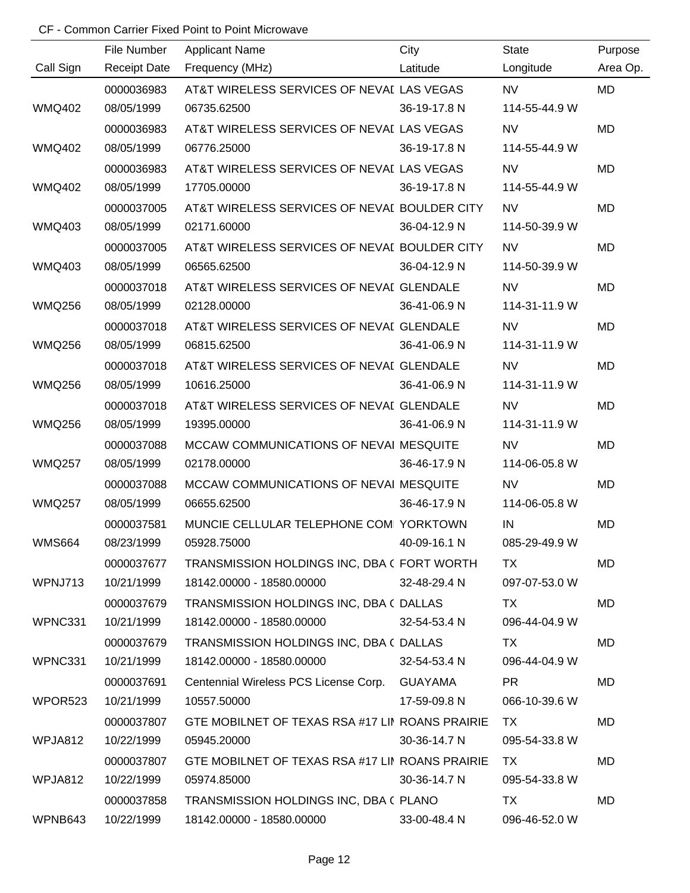|               | File Number | <b>Applicant Name</b>                                              | City         | State                                                                                                                                                                                                                          | Purpose   |
|---------------|-------------|--------------------------------------------------------------------|--------------|--------------------------------------------------------------------------------------------------------------------------------------------------------------------------------------------------------------------------------|-----------|
| Call Sign     |             | Receipt Date Frequency (MHz)<br><b>Example 12 Service Latitude</b> |              | Longitude                                                                                                                                                                                                                      | Area Op.  |
|               | 0000036983  | AT&T WIRELESS SERVICES OF NEVAL LAS VEGAS                          |              | NV and the state of the state of the state of the state of the state of the state of the state of the state of the state of the state of the state of the state of the state of the state of the state of the state of the sta | MD        |
| <b>WMQ402</b> | 08/05/1999  | 06735.62500                                                        | 36-19-17.8 N | 114-55-44.9 W                                                                                                                                                                                                                  |           |
|               | 0000036983  | AT&T WIRELESS SERVICES OF NEVAL LAS VEGAS                          |              | <b>NV</b>                                                                                                                                                                                                                      | MD        |
| <b>WMQ402</b> | 08/05/1999  | 06776.25000                                                        | 36-19-17.8 N | 114-55-44.9 W                                                                                                                                                                                                                  |           |
|               | 0000036983  | AT&T WIRELESS SERVICES OF NEVAL LAS VEGAS                          |              | <b>NV</b>                                                                                                                                                                                                                      | MD        |
| <b>WMQ402</b> | 08/05/1999  | 17705.00000                                                        | 36-19-17.8 N | 114-55-44.9 W                                                                                                                                                                                                                  |           |
|               | 0000037005  | AT&T WIRELESS SERVICES OF NEVAL BOULDER CITY                       |              | NV.                                                                                                                                                                                                                            | <b>MD</b> |
| <b>WMQ403</b> | 08/05/1999  | 02171.60000                                                        | 36-04-12.9 N | 114-50-39.9 W                                                                                                                                                                                                                  |           |
|               | 0000037005  | AT&T WIRELESS SERVICES OF NEVAL BOULDER CITY                       |              | NV.                                                                                                                                                                                                                            | MD        |
| <b>WMQ403</b> | 08/05/1999  | 06565.62500                                                        | 36-04-12.9 N | 114-50-39.9 W                                                                                                                                                                                                                  |           |
|               | 0000037018  | AT&T WIRELESS SERVICES OF NEVAL GLENDALE                           |              | <b>NV</b>                                                                                                                                                                                                                      | MD        |
| <b>WMQ256</b> | 08/05/1999  | 02128.00000                                                        | 36-41-06.9 N | 114-31-11.9 W                                                                                                                                                                                                                  |           |
|               | 0000037018  | AT&T WIRELESS SERVICES OF NEVAL GLENDALE                           |              | <b>NV</b>                                                                                                                                                                                                                      | <b>MD</b> |
| <b>WMQ256</b> | 08/05/1999  | 06815.62500                                                        | 36-41-06.9 N | 114-31-11.9 W                                                                                                                                                                                                                  |           |
|               | 0000037018  | AT&T WIRELESS SERVICES OF NEVAL GLENDALE                           |              | <b>NV</b>                                                                                                                                                                                                                      | <b>MD</b> |
| <b>WMQ256</b> | 08/05/1999  | 10616.25000                                                        | 36-41-06.9 N | 114-31-11.9 W                                                                                                                                                                                                                  |           |
|               | 0000037018  | AT&T WIRELESS SERVICES OF NEVAL GLENDALE                           |              | <b>NV</b>                                                                                                                                                                                                                      | MD        |
| <b>WMQ256</b> | 08/05/1999  | 19395.00000                                                        | 36-41-06.9 N | 114-31-11.9 W                                                                                                                                                                                                                  |           |
|               | 0000037088  | MCCAW COMMUNICATIONS OF NEVAL MESQUITE                             |              | <b>NV</b>                                                                                                                                                                                                                      | <b>MD</b> |
| <b>WMQ257</b> | 08/05/1999  | 02178.00000                                                        | 36-46-17.9 N | 114-06-05.8 W                                                                                                                                                                                                                  |           |
|               | 0000037088  | MCCAW COMMUNICATIONS OF NEVAI MESQUITE                             |              | <b>NV</b>                                                                                                                                                                                                                      | <b>MD</b> |
| <b>WMQ257</b> | 08/05/1999  | 06655.62500                                                        | 36-46-17.9 N | 114-06-05.8 W                                                                                                                                                                                                                  |           |
|               | 0000037581  | MUNCIE CELLULAR TELEPHONE COM YORKTOWN                             |              | IN                                                                                                                                                                                                                             | <b>MD</b> |
| <b>WMS664</b> | 08/23/1999  | 05928.75000                                                        | 40-09-16.1 N | 085-29-49.9 W                                                                                                                                                                                                                  |           |
|               | 0000037677  | TRANSMISSION HOLDINGS INC, DBA ( FORT WORTH                        |              | TX.                                                                                                                                                                                                                            | MD        |
| WPNJ713       | 10/21/1999  | 18142.00000 - 18580.00000                                          | 32-48-29.4 N | 097-07-53.0 W                                                                                                                                                                                                                  |           |
|               | 0000037679  | TRANSMISSION HOLDINGS INC, DBA ( DALLAS                            |              | TX F                                                                                                                                                                                                                           | MD        |
| WPNC331       | 10/21/1999  | 18142.00000 - 18580.00000                                          | 32-54-53.4 N | 096-44-04.9 W                                                                                                                                                                                                                  |           |
|               | 0000037679  | TRANSMISSION HOLDINGS INC, DBA ( DALLAS                            |              | TX.                                                                                                                                                                                                                            | MD        |
| WPNC331       | 10/21/1999  | 18142.00000 - 18580.00000                                          | 32-54-53.4 N | 096-44-04.9 W                                                                                                                                                                                                                  |           |
|               | 0000037691  | Centennial Wireless PCS License Corp. GUAYAMA                      |              | <b>PR</b>                                                                                                                                                                                                                      | MD        |
| WPOR523       | 10/21/1999  | 10557.50000                                                        | 17-59-09.8 N | 066-10-39.6 W                                                                                                                                                                                                                  |           |
|               | 0000037807  | GTE MOBILNET OF TEXAS RSA #17 LII ROANS PRAIRIE                    |              | TX.                                                                                                                                                                                                                            | MD        |
| WPJA812       | 10/22/1999  | 05945.20000                                                        | 30-36-14.7 N | 095-54-33.8 W                                                                                                                                                                                                                  |           |
|               | 0000037807  | GTE MOBILNET OF TEXAS RSA #17 LII ROANS PRAIRIE                    |              | TX.                                                                                                                                                                                                                            | MD        |
| WPJA812       | 10/22/1999  | 05974.85000                                                        | 30-36-14.7 N | 095-54-33.8 W                                                                                                                                                                                                                  |           |
|               | 0000037858  | TRANSMISSION HOLDINGS INC, DBA ( PLANO                             |              | TX TX                                                                                                                                                                                                                          | <b>MD</b> |
| WPNB643       | 10/22/1999  | 18142.00000 - 18580.00000                                          | 33-00-48.4 N | 096-46-52.0 W                                                                                                                                                                                                                  |           |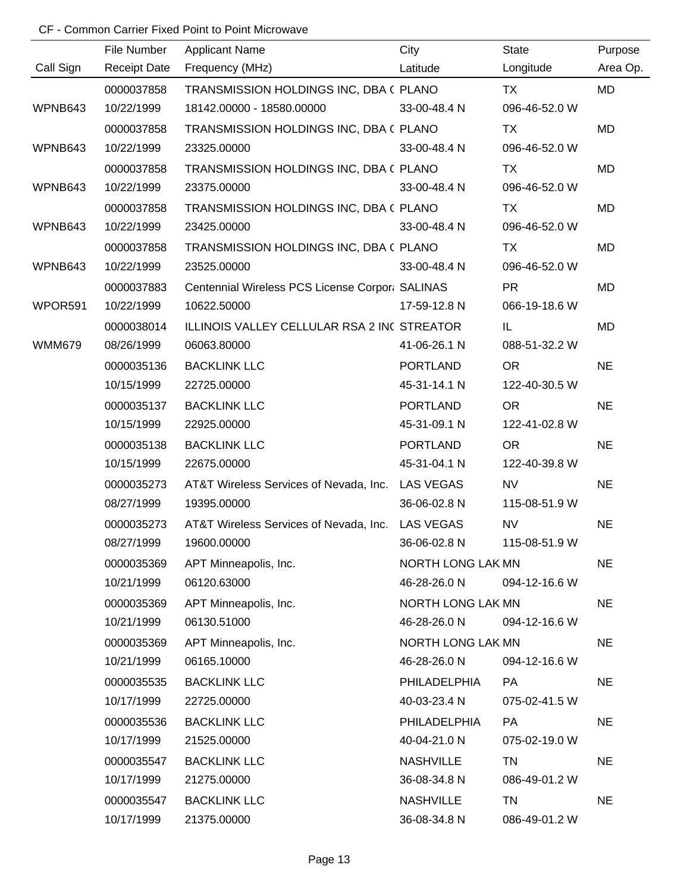|               | File Number         | <b>Applicant Name</b>                            | City                     | State         | Purpose   |
|---------------|---------------------|--------------------------------------------------|--------------------------|---------------|-----------|
| Call Sign     | <b>Receipt Date</b> | Frequency (MHz)                                  | Latitude                 | Longitude     | Area Op.  |
|               | 0000037858          | TRANSMISSION HOLDINGS INC, DBA ( PLANO           |                          | <b>TX</b>     | MD        |
| WPNB643       | 10/22/1999          | 18142.00000 - 18580.00000                        | 33-00-48.4 N             | 096-46-52.0 W |           |
|               | 0000037858          | TRANSMISSION HOLDINGS INC, DBA ( PLANO           |                          | <b>TX</b>     | MD        |
| WPNB643       | 10/22/1999          | 23325.00000                                      | 33-00-48.4 N             | 096-46-52.0 W |           |
|               | 0000037858          | TRANSMISSION HOLDINGS INC, DBA ( PLANO           |                          | TX            | MD        |
| WPNB643       | 10/22/1999          | 23375.00000                                      | 33-00-48.4 N             | 096-46-52.0 W |           |
|               | 0000037858          | TRANSMISSION HOLDINGS INC, DBA ( PLANO           |                          | TX            | MD        |
| WPNB643       | 10/22/1999          | 23425.00000                                      | 33-00-48.4 N             | 096-46-52.0 W |           |
|               | 0000037858          | TRANSMISSION HOLDINGS INC, DBA ( PLANO           |                          | TX            | MD        |
| WPNB643       | 10/22/1999          | 23525.00000                                      | 33-00-48.4 N             | 096-46-52.0 W |           |
|               | 0000037883          | Centennial Wireless PCS License Corpor: SALINAS  |                          | <b>PR</b>     | MD        |
| WPOR591       | 10/22/1999          | 10622.50000                                      | 17-59-12.8 N             | 066-19-18.6 W |           |
|               | 0000038014          | ILLINOIS VALLEY CELLULAR RSA 2 INC STREATOR      |                          | IL.           | MD        |
| <b>WMM679</b> | 08/26/1999          | 06063.80000                                      | 41-06-26.1 N             | 088-51-32.2 W |           |
|               | 0000035136          | <b>BACKLINK LLC</b>                              | <b>PORTLAND</b>          | <b>OR</b>     | <b>NE</b> |
|               | 10/15/1999          | 22725.00000                                      | 45-31-14.1 N             | 122-40-30.5 W |           |
|               | 0000035137          | <b>BACKLINK LLC</b>                              | <b>PORTLAND</b>          | <b>OR</b>     | <b>NE</b> |
|               | 10/15/1999          | 22925.00000                                      | 45-31-09.1 N             | 122-41-02.8 W |           |
|               | 0000035138          | <b>BACKLINK LLC</b>                              | <b>PORTLAND</b>          | <b>OR</b>     | <b>NE</b> |
|               | 10/15/1999          | 22675.00000                                      | 45-31-04.1 N             | 122-40-39.8 W |           |
|               | 0000035273          | AT&T Wireless Services of Nevada, Inc.           | <b>LAS VEGAS</b>         | <b>NV</b>     | <b>NE</b> |
|               | 08/27/1999          | 19395.00000                                      | 36-06-02.8 N             | 115-08-51.9 W |           |
|               | 0000035273          | AT&T Wireless Services of Nevada, Inc. LAS VEGAS |                          | <b>NV</b>     | <b>NE</b> |
|               | 08/27/1999          | 19600.00000                                      | 36-06-02.8 N             | 115-08-51.9 W |           |
|               | 0000035369          | APT Minneapolis, Inc.                            | NORTH LONG LAK MN        |               | <b>NE</b> |
|               | 10/21/1999          | 06120.63000                                      | 46-28-26.0 N             | 094-12-16.6 W |           |
|               | 0000035369          | APT Minneapolis, Inc.                            | NORTH LONG LAK MN        |               | <b>NE</b> |
|               | 10/21/1999          | 06130.51000                                      | 46-28-26.0 N             | 094-12-16.6 W |           |
|               | 0000035369          | APT Minneapolis, Inc.                            | <b>NORTH LONG LAK MN</b> |               | <b>NE</b> |
|               | 10/21/1999          | 06165.10000                                      | 46-28-26.0 N             | 094-12-16.6 W |           |
|               | 0000035535          | <b>BACKLINK LLC</b>                              | PHILADELPHIA             | PA            | <b>NE</b> |
|               | 10/17/1999          | 22725.00000                                      | 40-03-23.4 N             | 075-02-41.5 W |           |
|               | 0000035536          | <b>BACKLINK LLC</b>                              | <b>PHILADELPHIA</b>      | <b>PA</b>     | <b>NE</b> |
|               | 10/17/1999          | 21525.00000                                      | 40-04-21.0 N             | 075-02-19.0 W |           |
|               | 0000035547          | <b>BACKLINK LLC</b>                              | <b>NASHVILLE</b>         | <b>TN</b>     | <b>NE</b> |
|               | 10/17/1999          | 21275.00000                                      | 36-08-34.8 N             | 086-49-01.2 W |           |
|               | 0000035547          | <b>BACKLINK LLC</b>                              | <b>NASHVILLE</b>         | <b>TN</b>     | <b>NE</b> |
|               | 10/17/1999          | 21375.00000                                      | 36-08-34.8 N             | 086-49-01.2 W |           |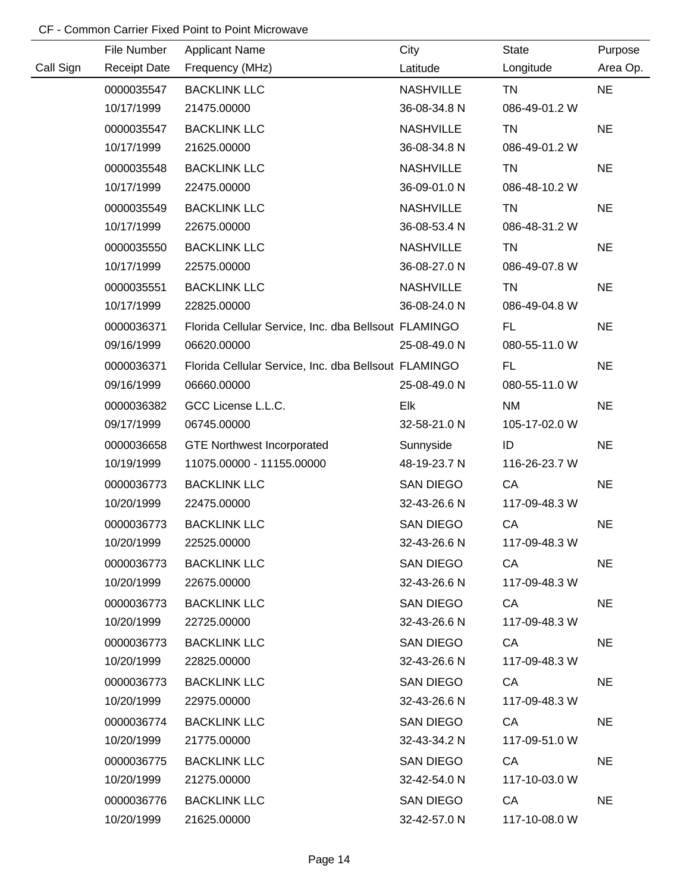|           | File Number         | <b>Applicant Name</b>                                | City             | <b>State</b>  | Purpose   |
|-----------|---------------------|------------------------------------------------------|------------------|---------------|-----------|
| Call Sign | <b>Receipt Date</b> | Frequency (MHz)                                      | Latitude         | Longitude     | Area Op.  |
|           | 0000035547          | <b>BACKLINK LLC</b>                                  | <b>NASHVILLE</b> | <b>TN</b>     | <b>NE</b> |
|           | 10/17/1999          | 21475.00000                                          | 36-08-34.8 N     | 086-49-01.2 W |           |
|           | 0000035547          | <b>BACKLINK LLC</b>                                  | <b>NASHVILLE</b> | <b>TN</b>     | <b>NE</b> |
|           | 10/17/1999          | 21625.00000                                          | 36-08-34.8 N     | 086-49-01.2 W |           |
|           | 0000035548          | <b>BACKLINK LLC</b>                                  | <b>NASHVILLE</b> | <b>TN</b>     | <b>NE</b> |
|           | 10/17/1999          | 22475.00000                                          | 36-09-01.0 N     | 086-48-10.2 W |           |
|           | 0000035549          | <b>BACKLINK LLC</b>                                  | <b>NASHVILLE</b> | <b>TN</b>     | <b>NE</b> |
|           | 10/17/1999          | 22675.00000                                          | 36-08-53.4 N     | 086-48-31.2 W |           |
|           | 0000035550          | <b>BACKLINK LLC</b>                                  | <b>NASHVILLE</b> | <b>TN</b>     | <b>NE</b> |
|           | 10/17/1999          | 22575.00000                                          | 36-08-27.0 N     | 086-49-07.8 W |           |
|           | 0000035551          | <b>BACKLINK LLC</b>                                  | <b>NASHVILLE</b> | <b>TN</b>     | <b>NE</b> |
|           | 10/17/1999          | 22825.00000                                          | 36-08-24.0 N     | 086-49-04.8 W |           |
|           | 0000036371          | Florida Cellular Service, Inc. dba Bellsout FLAMINGO |                  | <b>FL</b>     | <b>NE</b> |
|           | 09/16/1999          | 06620.00000                                          | 25-08-49.0 N     | 080-55-11.0 W |           |
|           | 0000036371          | Florida Cellular Service, Inc. dba Bellsout FLAMINGO |                  | FL.           | <b>NE</b> |
|           | 09/16/1999          | 06660.00000                                          | 25-08-49.0 N     | 080-55-11.0 W |           |
|           | 0000036382          | GCC License L.L.C.                                   | Elk              | <b>NM</b>     | <b>NE</b> |
|           | 09/17/1999          | 06745.00000                                          | 32-58-21.0 N     | 105-17-02.0 W |           |
|           | 0000036658          | <b>GTE Northwest Incorporated</b>                    | Sunnyside        | ID            | <b>NE</b> |
|           | 10/19/1999          | 11075.00000 - 11155.00000                            | 48-19-23.7 N     | 116-26-23.7 W |           |
|           | 0000036773          | <b>BACKLINK LLC</b>                                  | SAN DIEGO        | CA            | <b>NE</b> |
|           | 10/20/1999          | 22475.00000                                          | 32-43-26.6 N     | 117-09-48.3 W |           |
|           | 0000036773          | <b>BACKLINK LLC</b>                                  | <b>SAN DIEGO</b> | CA            | <b>NE</b> |
|           | 10/20/1999          | 22525.00000                                          | 32-43-26.6 N     | 117-09-48.3 W |           |
|           | 0000036773          | <b>BACKLINK LLC</b>                                  | SAN DIEGO        | <b>CA</b>     | <b>NE</b> |
|           | 10/20/1999          | 22675.00000                                          | 32-43-26.6 N     | 117-09-48.3 W |           |
|           | 0000036773          | <b>BACKLINK LLC</b>                                  | SAN DIEGO        | CA            | <b>NE</b> |
|           | 10/20/1999          | 22725.00000                                          | 32-43-26.6 N     | 117-09-48.3 W |           |
|           | 0000036773          | <b>BACKLINK LLC</b>                                  | SAN DIEGO        | <b>CA</b>     | <b>NE</b> |
|           | 10/20/1999          | 22825.00000                                          | 32-43-26.6 N     | 117-09-48.3 W |           |
|           | 0000036773          | <b>BACKLINK LLC</b>                                  | SAN DIEGO        | CA            | <b>NE</b> |
|           | 10/20/1999          | 22975.00000                                          | 32-43-26.6 N     | 117-09-48.3 W |           |
|           | 0000036774          | <b>BACKLINK LLC</b>                                  | SAN DIEGO        | CA            | <b>NE</b> |
|           | 10/20/1999          | 21775.00000                                          | 32-43-34.2 N     | 117-09-51.0 W |           |
|           | 0000036775          | <b>BACKLINK LLC</b>                                  | SAN DIEGO        | <b>CA</b>     | <b>NE</b> |
|           | 10/20/1999          | 21275.00000                                          | 32-42-54.0 N     | 117-10-03.0 W |           |
|           | 0000036776          | <b>BACKLINK LLC</b>                                  | SAN DIEGO        | CA .          | <b>NE</b> |
|           | 10/20/1999          | 21625.00000                                          | 32-42-57.0 N     | 117-10-08.0 W |           |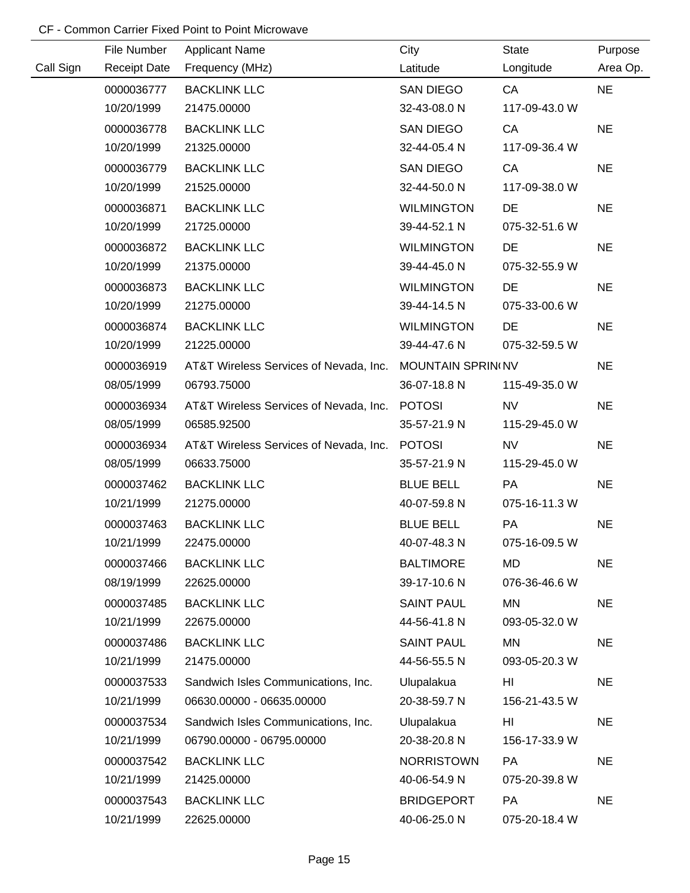|           | File Number         | <b>Applicant Name</b>                  | City                     | <b>State</b>  | Purpose   |
|-----------|---------------------|----------------------------------------|--------------------------|---------------|-----------|
| Call Sign | <b>Receipt Date</b> | Frequency (MHz)                        | Latitude                 | Longitude     | Area Op.  |
|           | 0000036777          | <b>BACKLINK LLC</b>                    | SAN DIEGO                | CA            | <b>NE</b> |
|           | 10/20/1999          | 21475.00000                            | 32-43-08.0 N             | 117-09-43.0 W |           |
|           | 0000036778          | <b>BACKLINK LLC</b>                    | <b>SAN DIEGO</b>         | CA            | <b>NE</b> |
|           | 10/20/1999          | 21325.00000                            | 32-44-05.4 N             | 117-09-36.4 W |           |
|           | 0000036779          | <b>BACKLINK LLC</b>                    | SAN DIEGO                | CA            | <b>NE</b> |
|           | 10/20/1999          | 21525.00000                            | 32-44-50.0 N             | 117-09-38.0 W |           |
|           | 0000036871          | <b>BACKLINK LLC</b>                    | <b>WILMINGTON</b>        | DE            | <b>NE</b> |
|           | 10/20/1999          | 21725.00000                            | 39-44-52.1 N             | 075-32-51.6 W |           |
|           | 0000036872          | <b>BACKLINK LLC</b>                    | <b>WILMINGTON</b>        | DE            | <b>NE</b> |
|           | 10/20/1999          | 21375.00000                            | 39-44-45.0 N             | 075-32-55.9 W |           |
|           | 0000036873          | <b>BACKLINK LLC</b>                    | <b>WILMINGTON</b>        | <b>DE</b>     | <b>NE</b> |
|           | 10/20/1999          | 21275.00000                            | 39-44-14.5 N             | 075-33-00.6 W |           |
|           | 0000036874          | <b>BACKLINK LLC</b>                    | <b>WILMINGTON</b>        | <b>DE</b>     | <b>NE</b> |
|           | 10/20/1999          | 21225.00000                            | 39-44-47.6 N             | 075-32-59.5 W |           |
|           | 0000036919          | AT&T Wireless Services of Nevada, Inc. | <b>MOUNTAIN SPRIN(NV</b> |               | <b>NE</b> |
|           | 08/05/1999          | 06793.75000                            | 36-07-18.8 N             | 115-49-35.0 W |           |
|           | 0000036934          | AT&T Wireless Services of Nevada, Inc. | <b>POTOSI</b>            | <b>NV</b>     | <b>NE</b> |
|           | 08/05/1999          | 06585.92500                            | 35-57-21.9 N             | 115-29-45.0 W |           |
|           | 0000036934          | AT&T Wireless Services of Nevada, Inc. | <b>POTOSI</b>            | <b>NV</b>     | <b>NE</b> |
|           | 08/05/1999          | 06633.75000                            | 35-57-21.9 N             | 115-29-45.0 W |           |
|           | 0000037462          | <b>BACKLINK LLC</b>                    | <b>BLUE BELL</b>         | PA            | <b>NE</b> |
|           | 10/21/1999          | 21275.00000                            | 40-07-59.8 N             | 075-16-11.3 W |           |
|           | 0000037463          | <b>BACKLINK LLC</b>                    | <b>BLUE BELL</b>         | PA            | <b>NE</b> |
|           | 10/21/1999          | 22475.00000                            | 40-07-48.3 N             | 075-16-09.5 W |           |
|           | 0000037466          | <b>BACKLINK LLC</b>                    | <b>BALTIMORE</b>         | <b>MD</b>     | <b>NE</b> |
|           | 08/19/1999          | 22625.00000                            | 39-17-10.6 N             | 076-36-46.6 W |           |
|           | 0000037485          | <b>BACKLINK LLC</b>                    | <b>SAINT PAUL</b>        | MN            | <b>NE</b> |
|           | 10/21/1999          | 22675.00000                            | 44-56-41.8 N             | 093-05-32.0 W |           |
|           | 0000037486          | <b>BACKLINK LLC</b>                    | <b>SAINT PAUL</b>        | <b>MN</b>     | <b>NE</b> |
|           | 10/21/1999          | 21475.00000                            | 44-56-55.5 N             | 093-05-20.3 W |           |
|           | 0000037533          | Sandwich Isles Communications, Inc.    | Ulupalakua               | HI            | <b>NE</b> |
|           | 10/21/1999          | 06630.00000 - 06635.00000              | 20-38-59.7 N             | 156-21-43.5 W |           |
|           | 0000037534          | Sandwich Isles Communications, Inc.    | Ulupalakua               | HI            | <b>NE</b> |
|           | 10/21/1999          | 06790.00000 - 06795.00000              | 20-38-20.8 N             | 156-17-33.9 W |           |
|           | 0000037542          | <b>BACKLINK LLC</b>                    | <b>NORRISTOWN</b>        | PA            | <b>NE</b> |
|           | 10/21/1999          | 21425.00000                            | 40-06-54.9 N             | 075-20-39.8 W |           |
|           | 0000037543          | <b>BACKLINK LLC</b>                    | <b>BRIDGEPORT</b>        | <b>PA</b>     | <b>NE</b> |
|           | 10/21/1999          | 22625.00000                            | 40-06-25.0 N             | 075-20-18.4 W |           |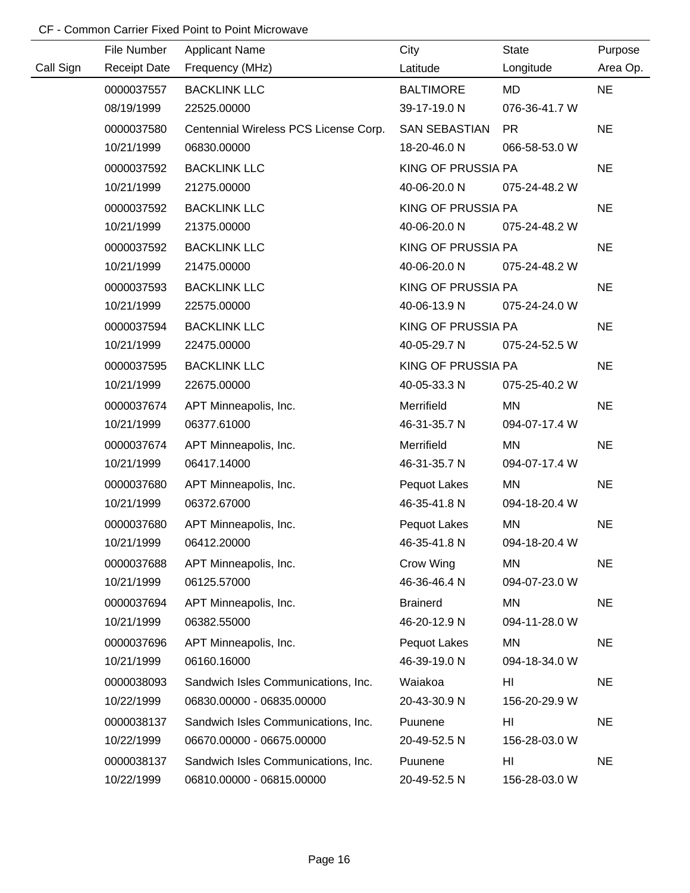|           | File Number         | <b>Applicant Name</b>                 | City                 | <b>State</b>  | Purpose   |
|-----------|---------------------|---------------------------------------|----------------------|---------------|-----------|
| Call Sign | <b>Receipt Date</b> | Frequency (MHz)                       | Latitude             | Longitude     | Area Op.  |
|           | 0000037557          | <b>BACKLINK LLC</b>                   | <b>BALTIMORE</b>     | MD            | <b>NE</b> |
|           | 08/19/1999          | 22525.00000                           | 39-17-19.0 N         | 076-36-41.7 W |           |
|           | 0000037580          | Centennial Wireless PCS License Corp. | <b>SAN SEBASTIAN</b> | <b>PR</b>     | <b>NE</b> |
|           | 10/21/1999          | 06830.00000                           | 18-20-46.0 N         | 066-58-53.0 W |           |
|           | 0000037592          | <b>BACKLINK LLC</b>                   | KING OF PRUSSIA PA   |               | <b>NE</b> |
|           | 10/21/1999          | 21275.00000                           | 40-06-20.0 N         | 075-24-48.2 W |           |
|           | 0000037592          | <b>BACKLINK LLC</b>                   | KING OF PRUSSIA PA   |               | <b>NE</b> |
|           | 10/21/1999          | 21375.00000                           | 40-06-20.0 N         | 075-24-48.2 W |           |
|           | 0000037592          | <b>BACKLINK LLC</b>                   | KING OF PRUSSIA PA   |               | <b>NE</b> |
|           | 10/21/1999          | 21475.00000                           | 40-06-20.0 N         | 075-24-48.2 W |           |
|           | 0000037593          | <b>BACKLINK LLC</b>                   | KING OF PRUSSIA PA   |               | <b>NE</b> |
|           | 10/21/1999          | 22575.00000                           | 40-06-13.9 N         | 075-24-24.0 W |           |
|           | 0000037594          | <b>BACKLINK LLC</b>                   | KING OF PRUSSIA PA   |               | <b>NE</b> |
|           | 10/21/1999          | 22475.00000                           | 40-05-29.7 N         | 075-24-52.5 W |           |
|           | 0000037595          | <b>BACKLINK LLC</b>                   | KING OF PRUSSIA PA   |               | <b>NE</b> |
|           | 10/21/1999          | 22675.00000                           | 40-05-33.3 N         | 075-25-40.2 W |           |
|           | 0000037674          | APT Minneapolis, Inc.                 | Merrifield           | <b>MN</b>     | <b>NE</b> |
|           | 10/21/1999          | 06377.61000                           | 46-31-35.7 N         | 094-07-17.4 W |           |
|           | 0000037674          | APT Minneapolis, Inc.                 | Merrifield           | <b>MN</b>     | <b>NE</b> |
|           | 10/21/1999          | 06417.14000                           | 46-31-35.7 N         | 094-07-17.4 W |           |
|           | 0000037680          | APT Minneapolis, Inc.                 | Pequot Lakes         | MN            | <b>NE</b> |
|           | 10/21/1999          | 06372.67000                           | 46-35-41.8 N         | 094-18-20.4 W |           |
|           | 0000037680          | APT Minneapolis, Inc.                 | Pequot Lakes         | <b>MN</b>     | <b>NE</b> |
|           | 10/21/1999          | 06412.20000                           | 46-35-41.8 N         | 094-18-20.4 W |           |
|           | 0000037688          | APT Minneapolis, Inc.                 | Crow Wing            | <b>MN</b>     | <b>NE</b> |
|           | 10/21/1999          | 06125.57000                           | 46-36-46.4 N         | 094-07-23.0 W |           |
|           | 0000037694          | APT Minneapolis, Inc.                 | <b>Brainerd</b>      | MN            | <b>NE</b> |
|           | 10/21/1999          | 06382.55000                           | 46-20-12.9 N         | 094-11-28.0 W |           |
|           | 0000037696          | APT Minneapolis, Inc.                 | Pequot Lakes         | MN            | <b>NE</b> |
|           | 10/21/1999          | 06160.16000                           | 46-39-19.0 N         | 094-18-34.0 W |           |
|           | 0000038093          | Sandwich Isles Communications, Inc.   | Waiakoa              | HI            | <b>NE</b> |
|           | 10/22/1999          | 06830.00000 - 06835.00000             | 20-43-30.9 N         | 156-20-29.9 W |           |
|           | 0000038137          | Sandwich Isles Communications, Inc.   | Puunene              | HI            | <b>NE</b> |
|           | 10/22/1999          | 06670.00000 - 06675.00000             | 20-49-52.5 N         | 156-28-03.0 W |           |
|           | 0000038137          | Sandwich Isles Communications, Inc.   | Puunene              | HI            | <b>NE</b> |
|           | 10/22/1999          | 06810.00000 - 06815.00000             | 20-49-52.5 N         | 156-28-03.0 W |           |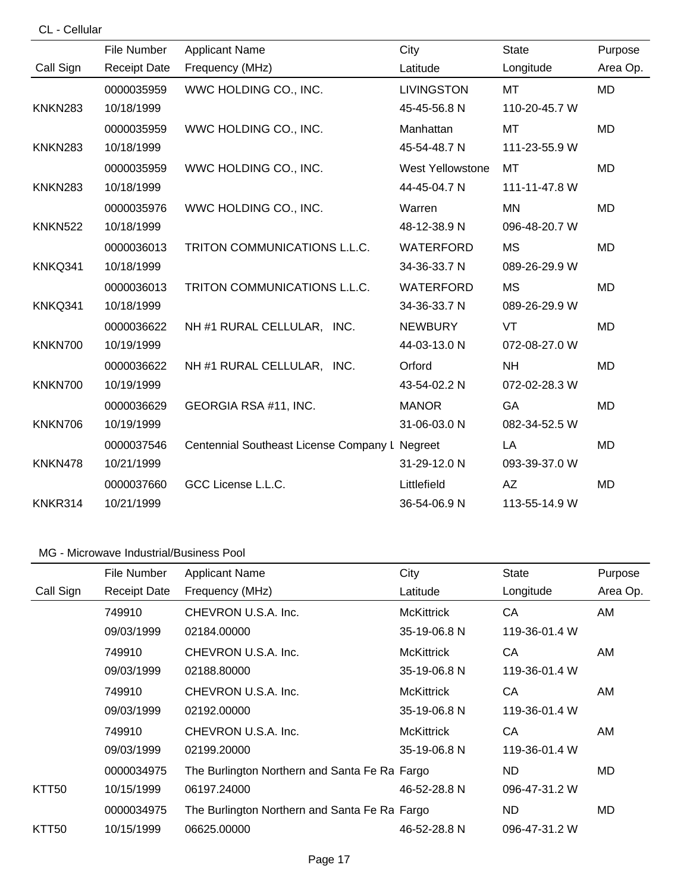| CL -<br>Cellular |
|------------------|
|------------------|

|                | File Number         | <b>Applicant Name</b>                          | City              | <b>State</b>  | Purpose   |
|----------------|---------------------|------------------------------------------------|-------------------|---------------|-----------|
| Call Sign      | <b>Receipt Date</b> | Frequency (MHz)                                | Latitude          | Longitude     | Area Op.  |
|                | 0000035959          | WWC HOLDING CO., INC.                          | <b>LIVINGSTON</b> | <b>MT</b>     | <b>MD</b> |
| <b>KNKN283</b> | 10/18/1999          |                                                | 45-45-56.8 N      | 110-20-45.7 W |           |
|                | 0000035959          | WWC HOLDING CO., INC.                          | Manhattan         | <b>MT</b>     | <b>MD</b> |
| KNKN283        | 10/18/1999          |                                                | 45-54-48.7 N      | 111-23-55.9 W |           |
|                | 0000035959          | WWC HOLDING CO., INC.                          | West Yellowstone  | MT            | <b>MD</b> |
| KNKN283        | 10/18/1999          |                                                | 44-45-04.7 N      | 111-11-47.8 W |           |
|                | 0000035976          | WWC HOLDING CO., INC.                          | Warren            | <b>MN</b>     | <b>MD</b> |
| <b>KNKN522</b> | 10/18/1999          |                                                | 48-12-38.9 N      | 096-48-20.7 W |           |
|                | 0000036013          | TRITON COMMUNICATIONS L.L.C.                   | WATERFORD         | <b>MS</b>     | <b>MD</b> |
| KNKQ341        | 10/18/1999          |                                                | 34-36-33.7 N      | 089-26-29.9 W |           |
|                | 0000036013          | TRITON COMMUNICATIONS L.L.C.                   | <b>WATERFORD</b>  | <b>MS</b>     | <b>MD</b> |
| KNKQ341        | 10/18/1999          |                                                | 34-36-33.7 N      | 089-26-29.9 W |           |
|                | 0000036622          | NH #1 RURAL CELLULAR, INC.                     | <b>NEWBURY</b>    | <b>VT</b>     | <b>MD</b> |
| KNKN700        | 10/19/1999          |                                                | 44-03-13.0 N      | 072-08-27.0 W |           |
|                | 0000036622          | NH #1 RURAL CELLULAR, INC.                     | Orford            | <b>NH</b>     | <b>MD</b> |
| KNKN700        | 10/19/1999          |                                                | 43-54-02.2 N      | 072-02-28.3 W |           |
|                | 0000036629          | GEORGIA RSA #11, INC.                          | <b>MANOR</b>      | GA            | <b>MD</b> |
| KNKN706        | 10/19/1999          |                                                | 31-06-03.0 N      | 082-34-52.5 W |           |
|                | 0000037546          | Centennial Southeast License Company L Negreet |                   | LA            | <b>MD</b> |
| KNKN478        | 10/21/1999          |                                                | 31-29-12.0 N      | 093-39-37.0 W |           |
|                | 0000037660          | GCC License L.L.C.                             | Littlefield       | AZ            | <b>MD</b> |
| KNKR314        | 10/21/1999          |                                                | 36-54-06.9 N      | 113-55-14.9 W |           |

|           | File Number         | <b>Applicant Name</b>                         | City              | State         | Purpose  |
|-----------|---------------------|-----------------------------------------------|-------------------|---------------|----------|
| Call Sign | <b>Receipt Date</b> | Frequency (MHz)                               | Latitude          | Longitude     | Area Op. |
|           | 749910              | CHEVRON U.S.A. Inc.                           | <b>McKittrick</b> | CA            | AM       |
|           | 09/03/1999          | 02184.00000                                   | 35-19-06.8 N      | 119-36-01.4 W |          |
|           | 749910              | CHEVRON U.S.A. Inc.                           | <b>McKittrick</b> | CA            | AM       |
|           | 09/03/1999          | 02188.80000                                   | 35-19-06.8 N      | 119-36-01.4 W |          |
|           | 749910              | CHEVRON U.S.A. Inc.                           | <b>McKittrick</b> | CA            | AM       |
|           | 09/03/1999          | 02192.00000                                   | 35-19-06.8 N      | 119-36-01.4 W |          |
|           | 749910              | CHEVRON U.S.A. Inc.                           | <b>McKittrick</b> | CA            | AM       |
|           | 09/03/1999          | 02199.20000                                   | 35-19-06.8 N      | 119-36-01.4 W |          |
|           | 0000034975          | The Burlington Northern and Santa Fe Ra Fargo |                   | ND.           | MD.      |
| KTT50     | 10/15/1999          | 06197.24000                                   | 46-52-28.8 N      | 096-47-31.2 W |          |
|           | 0000034975          | The Burlington Northern and Santa Fe Ra Fargo |                   | ND.           | MD.      |
| KTT50     | 10/15/1999          | 06625.00000                                   | 46-52-28.8 N      | 096-47-31.2 W |          |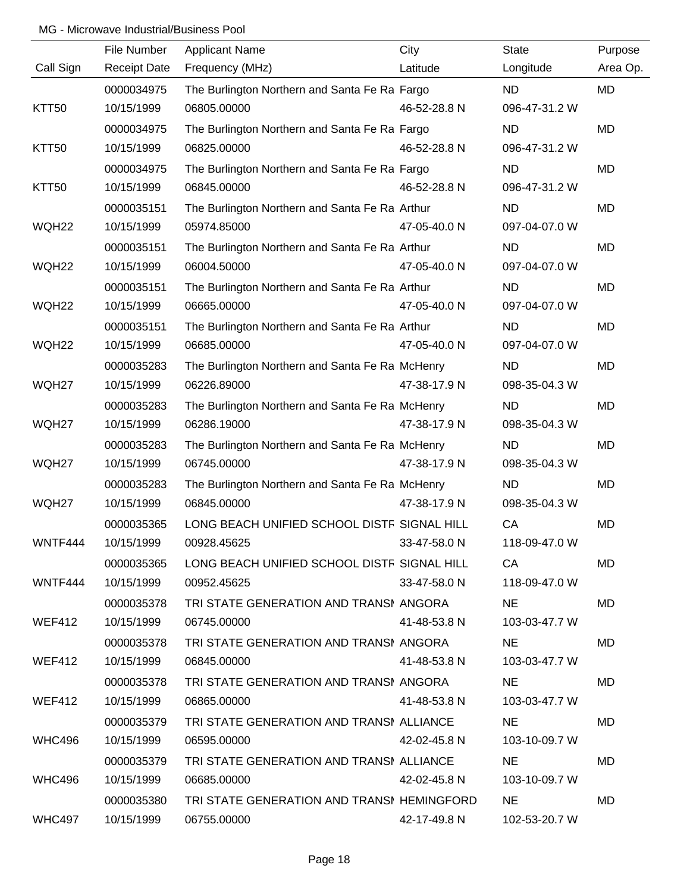|               | File Number         | <b>Applicant Name</b>                           | City         | <b>State</b>  | Purpose   |
|---------------|---------------------|-------------------------------------------------|--------------|---------------|-----------|
| Call Sign     | <b>Receipt Date</b> | Frequency (MHz)                                 | Latitude     | Longitude     | Area Op.  |
|               | 0000034975          | The Burlington Northern and Santa Fe Ra Fargo   |              | <b>ND</b>     | <b>MD</b> |
| KTT50         | 10/15/1999          | 06805.00000                                     | 46-52-28.8 N | 096-47-31.2 W |           |
|               | 0000034975          | The Burlington Northern and Santa Fe Ra Fargo   |              | <b>ND</b>     | <b>MD</b> |
| KTT50         | 10/15/1999          | 06825.00000                                     | 46-52-28.8 N | 096-47-31.2 W |           |
|               | 0000034975          | The Burlington Northern and Santa Fe Ra Fargo   |              | <b>ND</b>     | <b>MD</b> |
| KTT50         | 10/15/1999          | 06845.00000                                     | 46-52-28.8 N | 096-47-31.2 W |           |
|               | 0000035151          | The Burlington Northern and Santa Fe Ra Arthur  |              | ND.           | <b>MD</b> |
| WQH22         | 10/15/1999          | 05974.85000                                     | 47-05-40.0 N | 097-04-07.0 W |           |
|               | 0000035151          | The Burlington Northern and Santa Fe Ra Arthur  |              | ND.           | MD        |
| WQH22         | 10/15/1999          | 06004.50000                                     | 47-05-40.0 N | 097-04-07.0 W |           |
|               | 0000035151          | The Burlington Northern and Santa Fe Ra Arthur  |              | <b>ND</b>     | MD        |
| WQH22         | 10/15/1999          | 06665.00000                                     | 47-05-40.0 N | 097-04-07.0 W |           |
|               | 0000035151          | The Burlington Northern and Santa Fe Ra Arthur  |              | <b>ND</b>     | <b>MD</b> |
| WQH22         | 10/15/1999          | 06685.00000                                     | 47-05-40.0 N | 097-04-07.0 W |           |
|               | 0000035283          | The Burlington Northern and Santa Fe Ra McHenry |              | <b>ND</b>     | MD        |
| WQH27         | 10/15/1999          | 06226.89000                                     | 47-38-17.9 N | 098-35-04.3 W |           |
|               | 0000035283          | The Burlington Northern and Santa Fe Ra McHenry |              | <b>ND</b>     | <b>MD</b> |
| WQH27         | 10/15/1999          | 06286.19000                                     | 47-38-17.9 N | 098-35-04.3 W |           |
|               | 0000035283          | The Burlington Northern and Santa Fe Ra McHenry |              | <b>ND</b>     | <b>MD</b> |
| WQH27         | 10/15/1999          | 06745.00000                                     | 47-38-17.9 N | 098-35-04.3 W |           |
|               | 0000035283          | The Burlington Northern and Santa Fe Ra McHenry |              | <b>ND</b>     | MD        |
| WQH27         | 10/15/1999          | 06845.00000                                     | 47-38-17.9 N | 098-35-04.3 W |           |
|               | 0000035365          | LONG BEACH UNIFIED SCHOOL DISTF SIGNAL HILL     |              | CA            | MD        |
| WNTF444       | 10/15/1999          | 00928.45625                                     | 33-47-58.0 N | 118-09-47.0 W |           |
|               | 0000035365          | LONG BEACH UNIFIED SCHOOL DISTF SIGNAL HILL     |              | CA            | MD        |
| WNTF444       | 10/15/1999          | 00952.45625                                     | 33-47-58.0 N | 118-09-47.0 W |           |
|               | 0000035378          | TRI STATE GENERATION AND TRANSI ANGORA          |              | NE.           | <b>MD</b> |
| WEF412        | 10/15/1999          | 06745.00000                                     | 41-48-53.8 N | 103-03-47.7 W |           |
|               | 0000035378          | TRI STATE GENERATION AND TRANSI ANGORA          |              | <b>NE</b>     | <b>MD</b> |
| <b>WEF412</b> | 10/15/1999          | 06845.00000                                     | 41-48-53.8 N | 103-03-47.7 W |           |
|               | 0000035378          | TRI STATE GENERATION AND TRANSI ANGORA          |              | <b>NE</b>     | MD        |
| <b>WEF412</b> | 10/15/1999          | 06865.00000                                     | 41-48-53.8 N | 103-03-47.7 W |           |
|               | 0000035379          | TRI STATE GENERATION AND TRANSI ALLIANCE        |              | NE.           | MD        |
| WHC496        | 10/15/1999          | 06595.00000                                     | 42-02-45.8 N | 103-10-09.7 W |           |
|               | 0000035379          | TRI STATE GENERATION AND TRANSI ALLIANCE        |              | <b>NE</b>     | <b>MD</b> |
| WHC496        | 10/15/1999          | 06685.00000                                     | 42-02-45.8 N | 103-10-09.7 W |           |
|               | 0000035380          | TRI STATE GENERATION AND TRANSI HEMINGFORD      |              | NE.           | <b>MD</b> |
| <b>WHC497</b> | 10/15/1999          | 06755.00000                                     | 42-17-49.8 N | 102-53-20.7 W |           |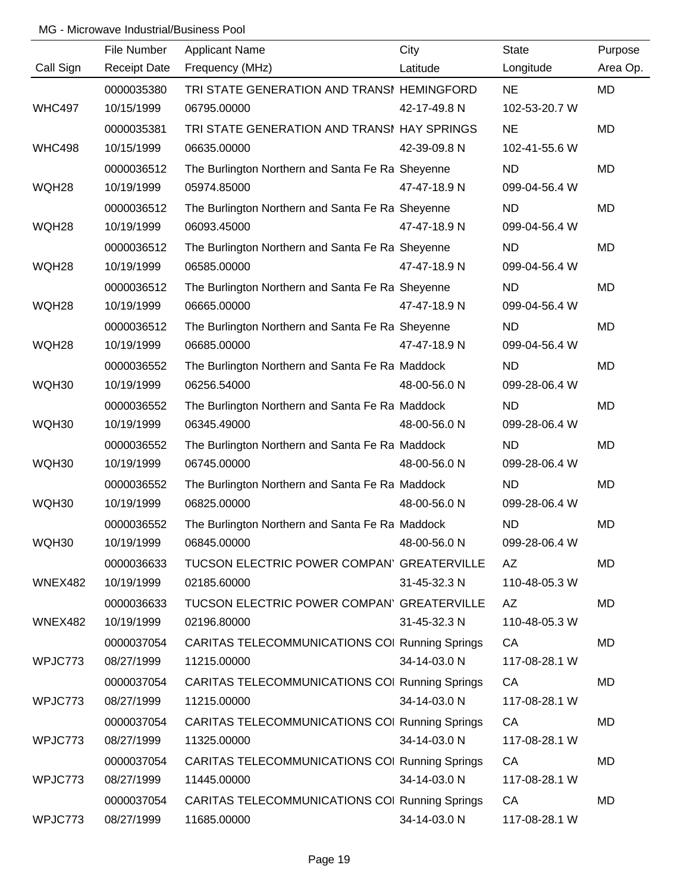|               | File Number         | <b>Applicant Name</b>                            | City         | <b>State</b>  | Purpose   |
|---------------|---------------------|--------------------------------------------------|--------------|---------------|-----------|
| Call Sign     | <b>Receipt Date</b> | Frequency (MHz)                                  | Latitude     | Longitude     | Area Op.  |
|               | 0000035380          | TRI STATE GENERATION AND TRANSI HEMINGFORD       |              | <b>NE</b>     | <b>MD</b> |
| <b>WHC497</b> | 10/15/1999          | 06795.00000                                      | 42-17-49.8 N | 102-53-20.7 W |           |
|               | 0000035381          | TRI STATE GENERATION AND TRANSI HAY SPRINGS      |              | <b>NE</b>     | <b>MD</b> |
| <b>WHC498</b> | 10/15/1999          | 06635.00000                                      | 42-39-09.8 N | 102-41-55.6 W |           |
|               | 0000036512          | The Burlington Northern and Santa Fe Ra Sheyenne |              | ND            | MD        |
| WQH28         | 10/19/1999          | 05974.85000                                      | 47-47-18.9 N | 099-04-56.4 W |           |
|               | 0000036512          | The Burlington Northern and Santa Fe Ra Sheyenne |              | <b>ND</b>     | <b>MD</b> |
| WQH28         | 10/19/1999          | 06093.45000                                      | 47-47-18.9 N | 099-04-56.4 W |           |
|               | 0000036512          | The Burlington Northern and Santa Fe Ra Sheyenne |              | <b>ND</b>     | <b>MD</b> |
| WQH28         | 10/19/1999          | 06585.00000                                      | 47-47-18.9 N | 099-04-56.4 W |           |
|               | 0000036512          | The Burlington Northern and Santa Fe Ra Sheyenne |              | <b>ND</b>     | MD        |
| WQH28         | 10/19/1999          | 06665.00000                                      | 47-47-18.9 N | 099-04-56.4 W |           |
|               | 0000036512          | The Burlington Northern and Santa Fe Ra Sheyenne |              | ND            | <b>MD</b> |
| WQH28         | 10/19/1999          | 06685.00000                                      | 47-47-18.9 N | 099-04-56.4 W |           |
|               | 0000036552          | The Burlington Northern and Santa Fe Ra Maddock  |              | <b>ND</b>     | <b>MD</b> |
| WQH30         | 10/19/1999          | 06256.54000                                      | 48-00-56.0 N | 099-28-06.4 W |           |
|               | 0000036552          | The Burlington Northern and Santa Fe Ra Maddock  |              | <b>ND</b>     | MD        |
| WQH30         | 10/19/1999          | 06345.49000                                      | 48-00-56.0 N | 099-28-06.4 W |           |
|               | 0000036552          | The Burlington Northern and Santa Fe Ra Maddock  |              | <b>ND</b>     | <b>MD</b> |
| WQH30         | 10/19/1999          | 06745.00000                                      | 48-00-56.0 N | 099-28-06.4 W |           |
|               | 0000036552          | The Burlington Northern and Santa Fe Ra Maddock  |              | <b>ND</b>     | <b>MD</b> |
| WQH30         | 10/19/1999          | 06825.00000                                      | 48-00-56.0 N | 099-28-06.4 W |           |
|               | 0000036552          | The Burlington Northern and Santa Fe Ra Maddock  |              | <b>ND</b>     | MD        |
| WQH30         | 10/19/1999          | 06845.00000                                      | 48-00-56.0 N | 099-28-06.4 W |           |
|               | 0000036633          | TUCSON ELECTRIC POWER COMPAN' GREATERVILLE       |              | AZ            | MD        |
| WNEX482       | 10/19/1999          | 02185.60000                                      | 31-45-32.3 N | 110-48-05.3 W |           |
|               | 0000036633          | TUCSON ELECTRIC POWER COMPAN' GREATERVILLE       |              | AZ            | <b>MD</b> |
| WNEX482       | 10/19/1999          | 02196.80000                                      | 31-45-32.3 N | 110-48-05.3 W |           |
|               | 0000037054          | CARITAS TELECOMMUNICATIONS COI Running Springs   |              | CA            | MD        |
| WPJC773       | 08/27/1999          | 11215.00000                                      | 34-14-03.0 N | 117-08-28.1 W |           |
|               | 0000037054          | CARITAS TELECOMMUNICATIONS COI Running Springs   |              | CA            | MD        |
| WPJC773       | 08/27/1999          | 11215.00000                                      | 34-14-03.0 N | 117-08-28.1 W |           |
|               | 0000037054          | CARITAS TELECOMMUNICATIONS COI Running Springs   |              | CA            | MD        |
| WPJC773       | 08/27/1999          | 11325.00000                                      | 34-14-03.0 N | 117-08-28.1 W |           |
|               | 0000037054          | CARITAS TELECOMMUNICATIONS COI Running Springs   |              | CA            | MD        |
| WPJC773       | 08/27/1999          | 11445.00000                                      | 34-14-03.0 N | 117-08-28.1 W |           |
|               | 0000037054          | CARITAS TELECOMMUNICATIONS COI Running Springs   |              | CA            | MD        |
| WPJC773       | 08/27/1999          | 11685.00000                                      | 34-14-03.0 N | 117-08-28.1 W |           |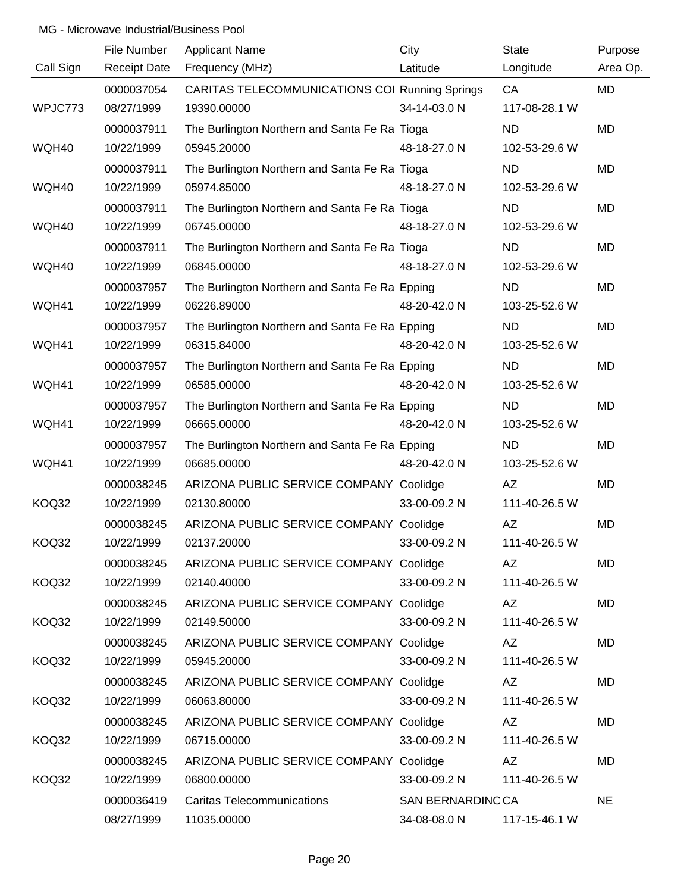|           | File Number         | <b>Applicant Name</b>                                 | City             | <b>State</b>  | Purpose   |
|-----------|---------------------|-------------------------------------------------------|------------------|---------------|-----------|
| Call Sign | <b>Receipt Date</b> | Frequency (MHz)                                       | Latitude         | Longitude     | Area Op.  |
|           | 0000037054          | <b>CARITAS TELECOMMUNICATIONS COI Running Springs</b> |                  | CA            | <b>MD</b> |
| WPJC773   | 08/27/1999          | 19390.00000                                           | 34-14-03.0 N     | 117-08-28.1 W |           |
|           | 0000037911          | The Burlington Northern and Santa Fe Ra Tioga         |                  | <b>ND</b>     | <b>MD</b> |
| WQH40     | 10/22/1999          | 05945.20000                                           | 48-18-27.0 N     | 102-53-29.6 W |           |
|           | 0000037911          | The Burlington Northern and Santa Fe Ra Tioga         |                  | <b>ND</b>     | <b>MD</b> |
| WQH40     | 10/22/1999          | 05974.85000                                           | 48-18-27.0 N     | 102-53-29.6 W |           |
|           | 0000037911          | The Burlington Northern and Santa Fe Ra Tioga         |                  | <b>ND</b>     | <b>MD</b> |
| WQH40     | 10/22/1999          | 06745.00000                                           | 48-18-27.0 N     | 102-53-29.6 W |           |
|           | 0000037911          | The Burlington Northern and Santa Fe Ra Tioga         |                  | <b>ND</b>     | MD        |
| WQH40     | 10/22/1999          | 06845.00000                                           | 48-18-27.0 N     | 102-53-29.6 W |           |
|           | 0000037957          | The Burlington Northern and Santa Fe Ra Epping        |                  | <b>ND</b>     | <b>MD</b> |
| WQH41     | 10/22/1999          | 06226.89000                                           | 48-20-42.0 N     | 103-25-52.6 W |           |
|           | 0000037957          | The Burlington Northern and Santa Fe Ra Epping        |                  | <b>ND</b>     | <b>MD</b> |
| WQH41     | 10/22/1999          | 06315.84000                                           | 48-20-42.0 N     | 103-25-52.6 W |           |
|           | 0000037957          | The Burlington Northern and Santa Fe Ra Epping        |                  | ND            | <b>MD</b> |
| WQH41     | 10/22/1999          | 06585.00000                                           | 48-20-42.0 N     | 103-25-52.6 W |           |
|           | 0000037957          | The Burlington Northern and Santa Fe Ra Epping        |                  | <b>ND</b>     | <b>MD</b> |
| WQH41     | 10/22/1999          | 06665.00000                                           | 48-20-42.0 N     | 103-25-52.6 W |           |
|           | 0000037957          | The Burlington Northern and Santa Fe Ra Epping        |                  | <b>ND</b>     | <b>MD</b> |
| WQH41     | 10/22/1999          | 06685.00000                                           | 48-20-42.0 N     | 103-25-52.6 W |           |
|           | 0000038245          | ARIZONA PUBLIC SERVICE COMPANY Coolidge               |                  | AZ            | <b>MD</b> |
| KOQ32     | 10/22/1999          | 02130.80000                                           | 33-00-09.2 N     | 111-40-26.5 W |           |
|           | 0000038245          | ARIZONA PUBLIC SERVICE COMPANY Coolidge               |                  | AZ            | MD        |
| KOQ32     | 10/22/1999          | 02137.20000                                           | 33-00-09.2 N     | 111-40-26.5 W |           |
|           | 0000038245          | ARIZONA PUBLIC SERVICE COMPANY Coolidge               |                  | AZ            | MD        |
| KOQ32     | 10/22/1999          | 02140.40000                                           | 33-00-09.2 N     | 111-40-26.5 W |           |
|           | 0000038245          | ARIZONA PUBLIC SERVICE COMPANY Coolidge               |                  | AZ            | MD        |
| KOQ32     | 10/22/1999          | 02149.50000                                           | 33-00-09.2 N     | 111-40-26.5 W |           |
|           | 0000038245          | ARIZONA PUBLIC SERVICE COMPANY Coolidge               |                  | AZ            | MD        |
| KOQ32     | 10/22/1999          | 05945.20000                                           | 33-00-09.2 N     | 111-40-26.5 W |           |
|           | 0000038245          | ARIZONA PUBLIC SERVICE COMPANY Coolidge               |                  | AZ            | MD        |
| KOQ32     | 10/22/1999          | 06063.80000                                           | 33-00-09.2 N     | 111-40-26.5 W |           |
|           | 0000038245          | ARIZONA PUBLIC SERVICE COMPANY Coolidge               |                  | AZ            | MD        |
| KOQ32     | 10/22/1999          | 06715.00000                                           | 33-00-09.2 N     | 111-40-26.5 W |           |
|           | 0000038245          | ARIZONA PUBLIC SERVICE COMPANY Coolidge               |                  | AZ.           | <b>MD</b> |
| KOQ32     | 10/22/1999          | 06800.00000                                           | 33-00-09.2 N     | 111-40-26.5 W |           |
|           | 0000036419          | <b>Caritas Telecommunications</b>                     | SAN BERNARDINOCA |               | <b>NE</b> |
|           | 08/27/1999          | 11035.00000                                           | 34-08-08.0 N     | 117-15-46.1 W |           |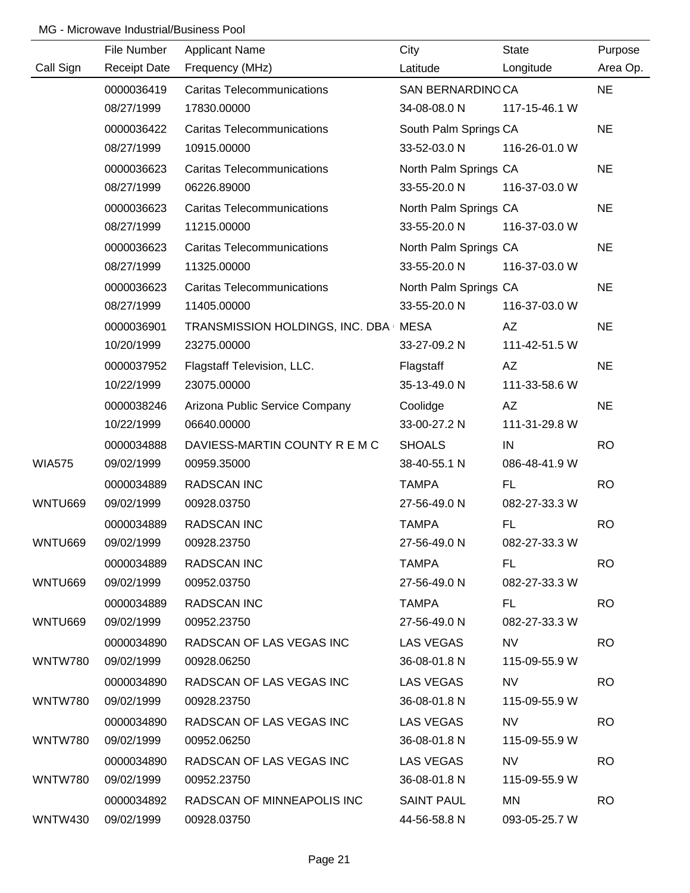|                | File Number         | <b>Applicant Name</b>                  | City                  | <b>State</b>  | Purpose   |
|----------------|---------------------|----------------------------------------|-----------------------|---------------|-----------|
| Call Sign      | <b>Receipt Date</b> | Frequency (MHz)                        | Latitude              | Longitude     | Area Op.  |
|                | 0000036419          | <b>Caritas Telecommunications</b>      | SAN BERNARDINOCA      |               | <b>NE</b> |
|                | 08/27/1999          | 17830.00000                            | 34-08-08.0 N          | 117-15-46.1 W |           |
|                | 0000036422          | <b>Caritas Telecommunications</b>      | South Palm Springs CA |               | <b>NE</b> |
|                | 08/27/1999          | 10915.00000                            | 33-52-03.0 N          | 116-26-01.0 W |           |
|                | 0000036623          | <b>Caritas Telecommunications</b>      | North Palm Springs CA |               | <b>NE</b> |
|                | 08/27/1999          | 06226.89000                            | 33-55-20.0 N          | 116-37-03.0 W |           |
|                | 0000036623          | <b>Caritas Telecommunications</b>      | North Palm Springs CA |               | <b>NE</b> |
|                | 08/27/1999          | 11215.00000                            | 33-55-20.0 N          | 116-37-03.0 W |           |
|                | 0000036623          | <b>Caritas Telecommunications</b>      | North Palm Springs CA |               | <b>NE</b> |
|                | 08/27/1999          | 11325.00000                            | 33-55-20.0 N          | 116-37-03.0 W |           |
|                | 0000036623          | <b>Caritas Telecommunications</b>      | North Palm Springs CA |               | <b>NE</b> |
|                | 08/27/1999          | 11405.00000                            | 33-55-20.0 N          | 116-37-03.0 W |           |
|                | 0000036901          | TRANSMISSION HOLDINGS, INC. DBA   MESA |                       | AZ            | <b>NE</b> |
|                | 10/20/1999          | 23275.00000                            | 33-27-09.2 N          | 111-42-51.5 W |           |
|                | 0000037952          | Flagstaff Television, LLC.             | Flagstaff             | AZ            | <b>NE</b> |
|                | 10/22/1999          | 23075.00000                            | 35-13-49.0 N          | 111-33-58.6 W |           |
|                | 0000038246          | Arizona Public Service Company         | Coolidge              | AZ            | <b>NE</b> |
|                | 10/22/1999          | 06640.00000                            | 33-00-27.2 N          | 111-31-29.8 W |           |
|                | 0000034888          | DAVIESS-MARTIN COUNTY R E M C          | <b>SHOALS</b>         | IN            | <b>RO</b> |
| <b>WIA575</b>  | 09/02/1999          | 00959.35000                            | 38-40-55.1 N          | 086-48-41.9 W |           |
|                | 0000034889          | <b>RADSCAN INC</b>                     | <b>TAMPA</b>          | <b>FL</b>     | <b>RO</b> |
| WNTU669        | 09/02/1999          | 00928.03750                            | 27-56-49.0 N          | 082-27-33.3 W |           |
|                | 0000034889          | <b>RADSCAN INC</b>                     | <b>TAMPA</b>          | <b>FL</b>     | <b>RO</b> |
| WNTU669        | 09/02/1999          | 00928.23750                            | 27-56-49.0 N          | 082-27-33.3 W |           |
|                | 0000034889          | <b>RADSCAN INC</b>                     | <b>TAMPA</b>          | FL.           | <b>RO</b> |
| WNTU669        | 09/02/1999          | 00952.03750                            | 27-56-49.0 N          | 082-27-33.3 W |           |
|                | 0000034889          | <b>RADSCAN INC</b>                     | TAMPA                 | FL.           | RO.       |
| WNTU669        | 09/02/1999          | 00952.23750                            | 27-56-49.0 N          | 082-27-33.3 W |           |
|                | 0000034890          | RADSCAN OF LAS VEGAS INC               | <b>LAS VEGAS</b>      | <b>NV</b>     | <b>RO</b> |
| <b>WNTW780</b> | 09/02/1999          | 00928.06250                            | 36-08-01.8 N          | 115-09-55.9 W |           |
|                | 0000034890          | RADSCAN OF LAS VEGAS INC               | <b>LAS VEGAS</b>      | <b>NV</b>     | <b>RO</b> |
| WNTW780        | 09/02/1999          | 00928.23750                            | 36-08-01.8 N          | 115-09-55.9 W |           |
|                | 0000034890          | RADSCAN OF LAS VEGAS INC               | LAS VEGAS             | NV.           | RO        |
| WNTW780        | 09/02/1999          | 00952.06250                            | 36-08-01.8 N          | 115-09-55.9 W |           |
|                | 0000034890          | RADSCAN OF LAS VEGAS INC               | LAS VEGAS             | <b>NV</b>     | <b>RO</b> |
| WNTW780        | 09/02/1999          | 00952.23750                            | 36-08-01.8 N          | 115-09-55.9 W |           |
|                | 0000034892          | RADSCAN OF MINNEAPOLIS INC             | <b>SAINT PAUL</b>     | MN            | <b>RO</b> |
| WNTW430        | 09/02/1999          | 00928.03750                            | 44-56-58.8 N          | 093-05-25.7 W |           |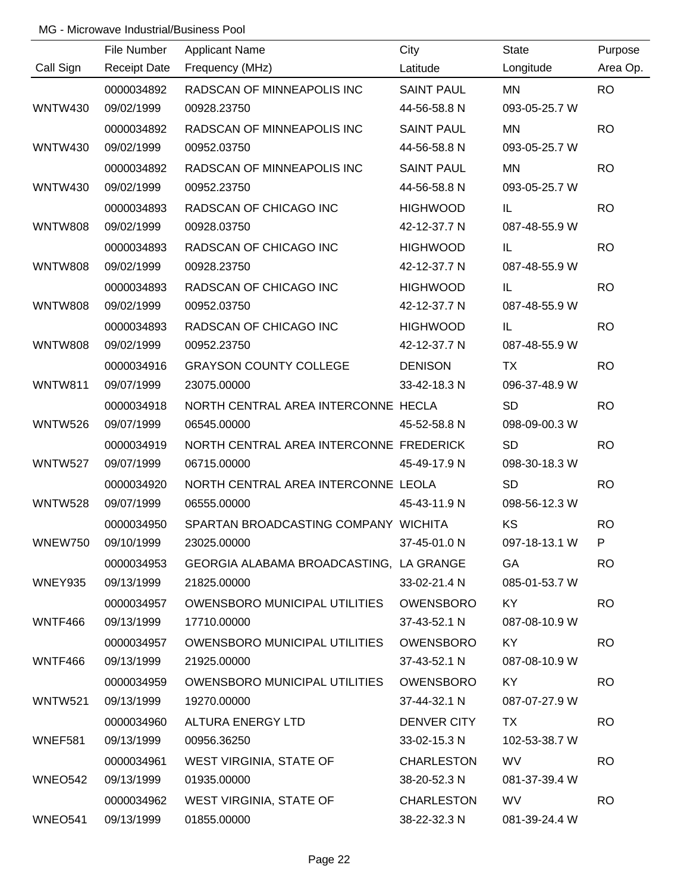|                | File Number         | <b>Applicant Name</b>                   | City              | <b>State</b>  | Purpose   |
|----------------|---------------------|-----------------------------------------|-------------------|---------------|-----------|
| Call Sign      | <b>Receipt Date</b> | Frequency (MHz)                         | Latitude          | Longitude     | Area Op.  |
|                | 0000034892          | RADSCAN OF MINNEAPOLIS INC              | <b>SAINT PAUL</b> | <b>MN</b>     | <b>RO</b> |
| <b>WNTW430</b> | 09/02/1999          | 00928.23750                             | 44-56-58.8 N      | 093-05-25.7 W |           |
|                | 0000034892          | RADSCAN OF MINNEAPOLIS INC              | <b>SAINT PAUL</b> | <b>MN</b>     | <b>RO</b> |
| <b>WNTW430</b> | 09/02/1999          | 00952.03750                             | 44-56-58.8 N      | 093-05-25.7 W |           |
|                | 0000034892          | RADSCAN OF MINNEAPOLIS INC              | <b>SAINT PAUL</b> | <b>MN</b>     | <b>RO</b> |
| <b>WNTW430</b> | 09/02/1999          | 00952.23750                             | 44-56-58.8 N      | 093-05-25.7 W |           |
|                | 0000034893          | RADSCAN OF CHICAGO INC                  | <b>HIGHWOOD</b>   | IL            | <b>RO</b> |
| <b>WNTW808</b> | 09/02/1999          | 00928.03750                             | 42-12-37.7 N      | 087-48-55.9 W |           |
|                | 0000034893          | RADSCAN OF CHICAGO INC                  | <b>HIGHWOOD</b>   | IL            | <b>RO</b> |
| <b>WNTW808</b> | 09/02/1999          | 00928.23750                             | 42-12-37.7 N      | 087-48-55.9 W |           |
|                | 0000034893          | RADSCAN OF CHICAGO INC                  | <b>HIGHWOOD</b>   | IL            | <b>RO</b> |
| <b>WNTW808</b> | 09/02/1999          | 00952.03750                             | 42-12-37.7 N      | 087-48-55.9 W |           |
|                | 0000034893          | RADSCAN OF CHICAGO INC                  | <b>HIGHWOOD</b>   | IL            | <b>RO</b> |
| <b>WNTW808</b> | 09/02/1999          | 00952.23750                             | 42-12-37.7 N      | 087-48-55.9 W |           |
|                | 0000034916          | <b>GRAYSON COUNTY COLLEGE</b>           | <b>DENISON</b>    | <b>TX</b>     | <b>RO</b> |
| <b>WNTW811</b> | 09/07/1999          | 23075.00000                             | 33-42-18.3 N      | 096-37-48.9 W |           |
|                | 0000034918          | NORTH CENTRAL AREA INTERCONNE HECLA     |                   | <b>SD</b>     | <b>RO</b> |
| <b>WNTW526</b> | 09/07/1999          | 06545.00000                             | 45-52-58.8 N      | 098-09-00.3 W |           |
|                | 0000034919          | NORTH CENTRAL AREA INTERCONNE FREDERICK |                   | <b>SD</b>     | <b>RO</b> |
| <b>WNTW527</b> | 09/07/1999          | 06715.00000                             | 45-49-17.9 N      | 098-30-18.3 W |           |
|                | 0000034920          | NORTH CENTRAL AREA INTERCONNE LEOLA     |                   | <b>SD</b>     | <b>RO</b> |
| <b>WNTW528</b> | 09/07/1999          | 06555.00000                             | 45-43-11.9 N      | 098-56-12.3 W |           |
|                | 0000034950          | SPARTAN BROADCASTING COMPANY WICHITA    |                   | KS            | <b>RO</b> |
| WNEW750        | 09/10/1999          | 23025.00000                             | 37-45-01.0 N      | 097-18-13.1 W | P.        |
|                | 0000034953          | GEORGIA ALABAMA BROADCASTING, LA GRANGE |                   | GA            | <b>RO</b> |
| <b>WNEY935</b> | 09/13/1999          | 21825.00000                             | 33-02-21.4 N      | 085-01-53.7 W |           |
|                | 0000034957          | OWENSBORO MUNICIPAL UTILITIES           | OWENSBORO         | KY            | <b>RO</b> |
| WNTF466        | 09/13/1999          | 17710.00000                             | 37-43-52.1 N      | 087-08-10.9 W |           |
|                | 0000034957          | OWENSBORO MUNICIPAL UTILITIES           | <b>OWENSBORO</b>  | KY            | <b>RO</b> |
| WNTF466        | 09/13/1999          | 21925.00000                             | 37-43-52.1 N      | 087-08-10.9 W |           |
|                | 0000034959          | OWENSBORO MUNICIPAL UTILITIES           | <b>OWENSBORO</b>  | KY            | <b>RO</b> |
| WNTW521        | 09/13/1999          | 19270.00000                             | 37-44-32.1 N      | 087-07-27.9 W |           |
|                | 0000034960          | ALTURA ENERGY LTD                       | DENVER CITY       | TX.           | <b>RO</b> |
| WNEF581        | 09/13/1999          | 00956.36250                             | 33-02-15.3 N      | 102-53-38.7 W |           |
|                | 0000034961          | WEST VIRGINIA, STATE OF                 | <b>CHARLESTON</b> | <b>WV</b>     | <b>RO</b> |
| WNEO542        | 09/13/1999          | 01935.00000                             | 38-20-52.3 N      | 081-37-39.4 W |           |
|                | 0000034962          | WEST VIRGINIA, STATE OF                 | <b>CHARLESTON</b> | <b>WV</b>     | <b>RO</b> |
| WNEO541        | 09/13/1999          | 01855.00000                             | 38-22-32.3 N      | 081-39-24.4 W |           |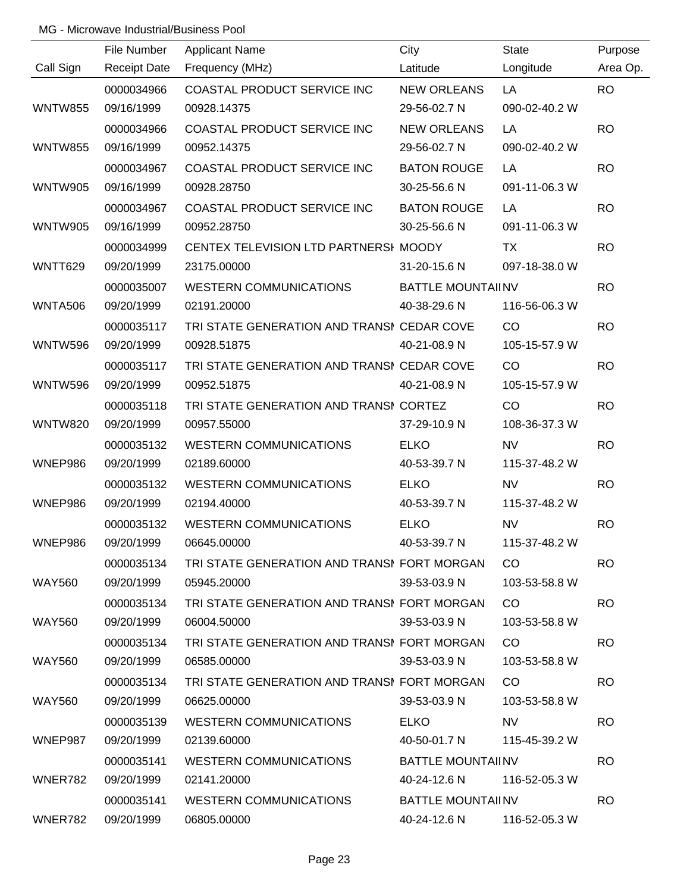|                | File Number         | <b>Applicant Name</b>                       | City                       | <b>State</b>  | Purpose   |
|----------------|---------------------|---------------------------------------------|----------------------------|---------------|-----------|
| Call Sign      | <b>Receipt Date</b> | Frequency (MHz)                             | Latitude                   | Longitude     | Area Op.  |
|                | 0000034966          | COASTAL PRODUCT SERVICE INC                 | <b>NEW ORLEANS</b>         | LA            | <b>RO</b> |
| <b>WNTW855</b> | 09/16/1999          | 00928.14375                                 | 29-56-02.7 N               | 090-02-40.2 W |           |
|                | 0000034966          | COASTAL PRODUCT SERVICE INC                 | <b>NEW ORLEANS</b>         | LA            | <b>RO</b> |
| <b>WNTW855</b> | 09/16/1999          | 00952.14375                                 | 29-56-02.7 N               | 090-02-40.2 W |           |
|                | 0000034967          | COASTAL PRODUCT SERVICE INC                 | <b>BATON ROUGE</b>         | LA            | <b>RO</b> |
| <b>WNTW905</b> | 09/16/1999          | 00928.28750                                 | 30-25-56.6 N               | 091-11-06.3 W |           |
|                | 0000034967          | COASTAL PRODUCT SERVICE INC                 | <b>BATON ROUGE</b>         | LA            | <b>RO</b> |
| <b>WNTW905</b> | 09/16/1999          | 00952.28750                                 | 30-25-56.6 N               | 091-11-06.3 W |           |
|                | 0000034999          | CENTEX TELEVISION LTD PARTNERSI MOODY       |                            | TX            | <b>RO</b> |
| <b>WNTT629</b> | 09/20/1999          | 23175.00000                                 | 31-20-15.6 N               | 097-18-38.0 W |           |
|                | 0000035007          | <b>WESTERN COMMUNICATIONS</b>               | <b>BATTLE MOUNTAII NV</b>  |               | <b>RO</b> |
| <b>WNTA506</b> | 09/20/1999          | 02191.20000                                 | 40-38-29.6 N               | 116-56-06.3 W |           |
|                | 0000035117          | TRI STATE GENERATION AND TRANSI CEDAR COVE  |                            | CO            | <b>RO</b> |
| <b>WNTW596</b> | 09/20/1999          | 00928.51875                                 | 40-21-08.9 N               | 105-15-57.9 W |           |
|                | 0000035117          | TRI STATE GENERATION AND TRANSI CEDAR COVE  |                            | CO            | <b>RO</b> |
| <b>WNTW596</b> | 09/20/1999          | 00952.51875                                 | 40-21-08.9 N               | 105-15-57.9 W |           |
|                | 0000035118          | TRI STATE GENERATION AND TRANSI CORTEZ      |                            | CO            | <b>RO</b> |
| <b>WNTW820</b> | 09/20/1999          | 00957.55000                                 | 37-29-10.9 N               | 108-36-37.3 W |           |
|                | 0000035132          | <b>WESTERN COMMUNICATIONS</b>               | <b>ELKO</b>                | <b>NV</b>     | <b>RO</b> |
| WNEP986        | 09/20/1999          | 02189.60000                                 | 40-53-39.7 N               | 115-37-48.2 W |           |
|                | 0000035132          | <b>WESTERN COMMUNICATIONS</b>               | <b>ELKO</b>                | <b>NV</b>     | <b>RO</b> |
| WNEP986        | 09/20/1999          | 02194.40000                                 | 40-53-39.7 N               | 115-37-48.2 W |           |
|                | 0000035132          | <b>WESTERN COMMUNICATIONS</b>               | <b>ELKO</b>                | <b>NV</b>     | <b>RO</b> |
| WNEP986        | 09/20/1999          | 06645.00000                                 | 40-53-39.7 N               | 115-37-48.2 W |           |
|                | 0000035134          | TRI STATE GENERATION AND TRANSI FORT MORGAN |                            | CO.           | <b>RO</b> |
| <b>WAY560</b>  | 09/20/1999          | 05945.20000                                 | 39-53-03.9 N               | 103-53-58.8 W |           |
|                | 0000035134          | TRI STATE GENERATION AND TRANSI FORT MORGAN |                            | CO.           | <b>RO</b> |
| <b>WAY560</b>  | 09/20/1999          | 06004.50000                                 | 39-53-03.9 N               | 103-53-58.8 W |           |
|                | 0000035134          | TRI STATE GENERATION AND TRANSI FORT MORGAN |                            | CO.           | <b>RO</b> |
| <b>WAY560</b>  | 09/20/1999          | 06585.00000                                 | 39-53-03.9 N               | 103-53-58.8 W |           |
|                | 0000035134          | TRI STATE GENERATION AND TRANSI FORT MORGAN |                            | CO.           | <b>RO</b> |
| WAY560         | 09/20/1999          | 06625.00000                                 | 39-53-03.9 N               | 103-53-58.8 W |           |
|                | 0000035139          | WESTERN COMMUNICATIONS                      | <b>ELKO</b>                | NV.           | <b>RO</b> |
| WNEP987        | 09/20/1999          | 02139.60000                                 | 40-50-01.7 N               | 115-45-39.2 W |           |
|                | 0000035141          | WESTERN COMMUNICATIONS                      | <b>BATTLE MOUNTAIINV</b>   |               | <b>RO</b> |
| WNER782        | 09/20/1999          | 02141.20000                                 | 40-24-12.6 N               | 116-52-05.3 W |           |
|                | 0000035141          | WESTERN COMMUNICATIONS                      | BATTLE MOUNTAII NV         |               | <b>RO</b> |
| WNER782        | 09/20/1999          | 06805.00000                                 | 40-24-12.6 N 116-52-05.3 W |               |           |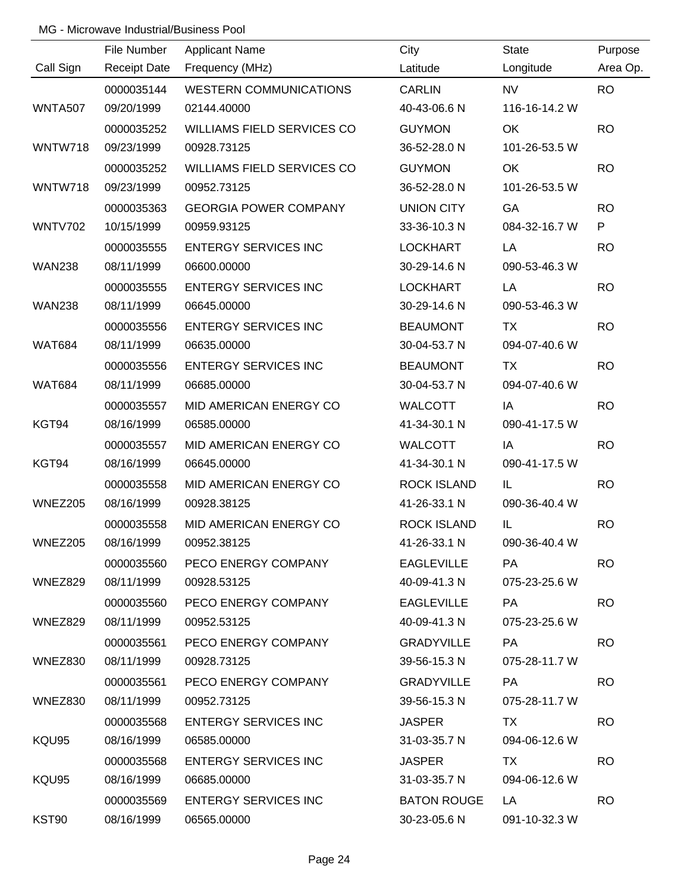|                | File Number         | <b>Applicant Name</b>             | City               | <b>State</b>  | Purpose   |
|----------------|---------------------|-----------------------------------|--------------------|---------------|-----------|
| Call Sign      | <b>Receipt Date</b> | Frequency (MHz)                   | Latitude           | Longitude     | Area Op.  |
|                | 0000035144          | <b>WESTERN COMMUNICATIONS</b>     | <b>CARLIN</b>      | <b>NV</b>     | <b>RO</b> |
| <b>WNTA507</b> | 09/20/1999          | 02144.40000                       | 40-43-06.6 N       | 116-16-14.2 W |           |
|                | 0000035252          | <b>WILLIAMS FIELD SERVICES CO</b> | <b>GUYMON</b>      | OK            | <b>RO</b> |
| WNTW718        | 09/23/1999          | 00928.73125                       | 36-52-28.0 N       | 101-26-53.5 W |           |
|                | 0000035252          | <b>WILLIAMS FIELD SERVICES CO</b> | <b>GUYMON</b>      | <b>OK</b>     | <b>RO</b> |
| WNTW718        | 09/23/1999          | 00952.73125                       | 36-52-28.0 N       | 101-26-53.5 W |           |
|                | 0000035363          | <b>GEORGIA POWER COMPANY</b>      | <b>UNION CITY</b>  | GA            | <b>RO</b> |
| <b>WNTV702</b> | 10/15/1999          | 00959.93125                       | 33-36-10.3 N       | 084-32-16.7 W | P         |
|                | 0000035555          | <b>ENTERGY SERVICES INC</b>       | <b>LOCKHART</b>    | LA            | <b>RO</b> |
| <b>WAN238</b>  | 08/11/1999          | 06600.00000                       | 30-29-14.6 N       | 090-53-46.3 W |           |
|                | 0000035555          | <b>ENTERGY SERVICES INC</b>       | <b>LOCKHART</b>    | LA            | <b>RO</b> |
| <b>WAN238</b>  | 08/11/1999          | 06645.00000                       | 30-29-14.6 N       | 090-53-46.3 W |           |
|                | 0000035556          | <b>ENTERGY SERVICES INC</b>       | <b>BEAUMONT</b>    | <b>TX</b>     | <b>RO</b> |
| <b>WAT684</b>  | 08/11/1999          | 06635.00000                       | 30-04-53.7 N       | 094-07-40.6 W |           |
|                | 0000035556          | <b>ENTERGY SERVICES INC</b>       | <b>BEAUMONT</b>    | <b>TX</b>     | <b>RO</b> |
| <b>WAT684</b>  | 08/11/1999          | 06685.00000                       | 30-04-53.7 N       | 094-07-40.6 W |           |
|                | 0000035557          | MID AMERICAN ENERGY CO            | <b>WALCOTT</b>     | IA            | <b>RO</b> |
| KGT94          | 08/16/1999          | 06585.00000                       | 41-34-30.1 N       | 090-41-17.5 W |           |
|                | 0000035557          | MID AMERICAN ENERGY CO            | <b>WALCOTT</b>     | IA            | <b>RO</b> |
| KGT94          | 08/16/1999          | 06645.00000                       | 41-34-30.1 N       | 090-41-17.5 W |           |
|                | 0000035558          | MID AMERICAN ENERGY CO            | <b>ROCK ISLAND</b> | IL            | <b>RO</b> |
| <b>WNEZ205</b> | 08/16/1999          | 00928.38125                       | 41-26-33.1 N       | 090-36-40.4 W |           |
|                | 0000035558          | MID AMERICAN ENERGY CO            | <b>ROCK ISLAND</b> | IL            | <b>RO</b> |
| WNEZ205        | 08/16/1999          | 00952.38125                       | 41-26-33.1 N       | 090-36-40.4 W |           |
|                | 0000035560          | PECO ENERGY COMPANY               | <b>EAGLEVILLE</b>  | <b>PA</b>     | <b>RO</b> |
| WNEZ829        | 08/11/1999          | 00928.53125                       | 40-09-41.3 N       | 075-23-25.6 W |           |
|                | 0000035560          | PECO ENERGY COMPANY               | <b>EAGLEVILLE</b>  | PA            | <b>RO</b> |
| WNEZ829        | 08/11/1999          | 00952.53125                       | 40-09-41.3 N       | 075-23-25.6 W |           |
|                | 0000035561          | PECO ENERGY COMPANY               | <b>GRADYVILLE</b>  | PA            | <b>RO</b> |
| WNEZ830        | 08/11/1999          | 00928.73125                       | 39-56-15.3 N       | 075-28-11.7 W |           |
|                | 0000035561          | PECO ENERGY COMPANY               | <b>GRADYVILLE</b>  | PA            | <b>RO</b> |
| WNEZ830        | 08/11/1999          | 00952.73125                       | 39-56-15.3 N       | 075-28-11.7 W |           |
|                | 0000035568          | <b>ENTERGY SERVICES INC</b>       | <b>JASPER</b>      | TX            | <b>RO</b> |
| KQU95          | 08/16/1999          | 06585.00000                       | 31-03-35.7 N       | 094-06-12.6 W |           |
|                | 0000035568          | <b>ENTERGY SERVICES INC</b>       | <b>JASPER</b>      | TX            | <b>RO</b> |
| KQU95          | 08/16/1999          | 06685.00000                       | 31-03-35.7 N       | 094-06-12.6 W |           |
|                | 0000035569          | <b>ENTERGY SERVICES INC</b>       | <b>BATON ROUGE</b> | LA 1          | <b>RO</b> |
| KST90          | 08/16/1999          | 06565.00000                       | 30-23-05.6 N       | 091-10-32.3 W |           |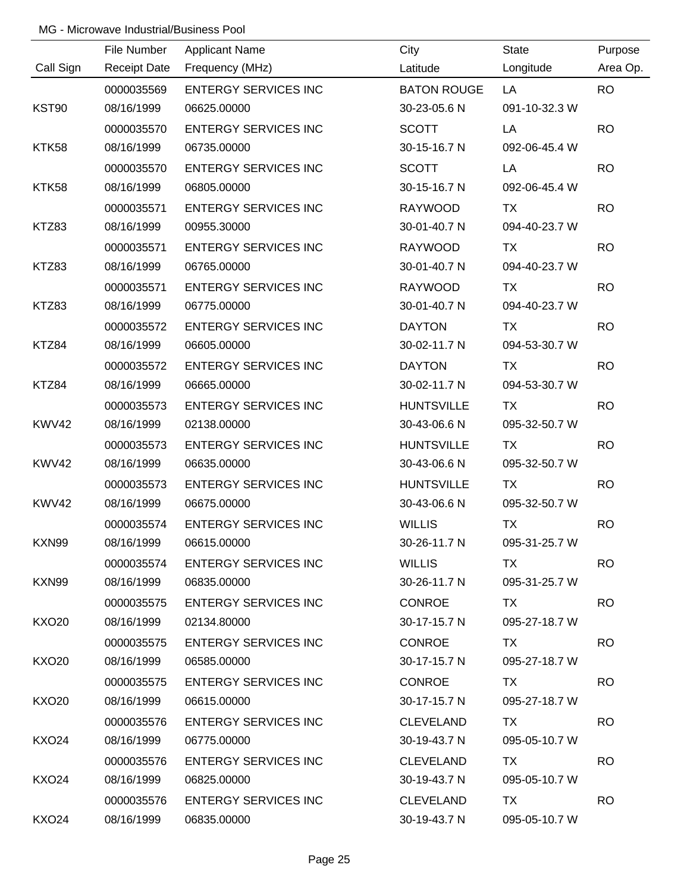|                   | File Number         | <b>Applicant Name</b>       | City               | <b>State</b>  | Purpose   |
|-------------------|---------------------|-----------------------------|--------------------|---------------|-----------|
| Call Sign         | <b>Receipt Date</b> | Frequency (MHz)             | Latitude           | Longitude     | Area Op.  |
|                   | 0000035569          | <b>ENTERGY SERVICES INC</b> | <b>BATON ROUGE</b> | LA            | <b>RO</b> |
| KST90             | 08/16/1999          | 06625.00000                 | 30-23-05.6 N       | 091-10-32.3 W |           |
|                   | 0000035570          | <b>ENTERGY SERVICES INC</b> | <b>SCOTT</b>       | LA            | <b>RO</b> |
| KTK58             | 08/16/1999          | 06735.00000                 | 30-15-16.7 N       | 092-06-45.4 W |           |
|                   | 0000035570          | <b>ENTERGY SERVICES INC</b> | <b>SCOTT</b>       | LA            | <b>RO</b> |
| KTK58             | 08/16/1999          | 06805.00000                 | 30-15-16.7 N       | 092-06-45.4 W |           |
|                   | 0000035571          | <b>ENTERGY SERVICES INC</b> | <b>RAYWOOD</b>     | <b>TX</b>     | <b>RO</b> |
| KTZ83             | 08/16/1999          | 00955.30000                 | 30-01-40.7 N       | 094-40-23.7 W |           |
|                   | 0000035571          | <b>ENTERGY SERVICES INC</b> | <b>RAYWOOD</b>     | TX            | <b>RO</b> |
| KTZ83             | 08/16/1999          | 06765.00000                 | 30-01-40.7 N       | 094-40-23.7 W |           |
|                   | 0000035571          | <b>ENTERGY SERVICES INC</b> | <b>RAYWOOD</b>     | <b>TX</b>     | <b>RO</b> |
| KTZ83             | 08/16/1999          | 06775.00000                 | 30-01-40.7 N       | 094-40-23.7 W |           |
|                   | 0000035572          | <b>ENTERGY SERVICES INC</b> | <b>DAYTON</b>      | TX            | <b>RO</b> |
| KTZ84             | 08/16/1999          | 06605.00000                 | 30-02-11.7 N       | 094-53-30.7 W |           |
|                   | 0000035572          | <b>ENTERGY SERVICES INC</b> | <b>DAYTON</b>      | TX            | <b>RO</b> |
| KTZ84             | 08/16/1999          | 06665.00000                 | 30-02-11.7 N       | 094-53-30.7 W |           |
|                   | 0000035573          | <b>ENTERGY SERVICES INC</b> | <b>HUNTSVILLE</b>  | <b>TX</b>     | <b>RO</b> |
| KWV42             | 08/16/1999          | 02138.00000                 | 30-43-06.6 N       | 095-32-50.7 W |           |
|                   | 0000035573          | <b>ENTERGY SERVICES INC</b> | <b>HUNTSVILLE</b>  | <b>TX</b>     | <b>RO</b> |
| KWV42             | 08/16/1999          | 06635.00000                 | 30-43-06.6 N       | 095-32-50.7 W |           |
|                   | 0000035573          | <b>ENTERGY SERVICES INC</b> | <b>HUNTSVILLE</b>  | <b>TX</b>     | <b>RO</b> |
| KWV42             | 08/16/1999          | 06675.00000                 | 30-43-06.6 N       | 095-32-50.7 W |           |
|                   | 0000035574          | <b>ENTERGY SERVICES INC</b> | <b>WILLIS</b>      | <b>TX</b>     | <b>RO</b> |
| KXN99             | 08/16/1999          | 06615.00000                 | 30-26-11.7 N       | 095-31-25.7 W |           |
|                   | 0000035574          | <b>ENTERGY SERVICES INC</b> | <b>WILLIS</b>      | <b>TX</b>     | <b>RO</b> |
| KXN99             | 08/16/1999          | 06835.00000                 | 30-26-11.7 N       | 095-31-25.7 W |           |
|                   | 0000035575          | <b>ENTERGY SERVICES INC</b> | <b>CONROE</b>      | TX.           | <b>RO</b> |
| <b>KXO20</b>      | 08/16/1999          | 02134.80000                 | 30-17-15.7 N       | 095-27-18.7 W |           |
|                   | 0000035575          | <b>ENTERGY SERVICES INC</b> | <b>CONROE</b>      | TX            | <b>RO</b> |
| <b>KXO20</b>      | 08/16/1999          | 06585.00000                 | 30-17-15.7 N       | 095-27-18.7 W |           |
|                   | 0000035575          | <b>ENTERGY SERVICES INC</b> | <b>CONROE</b>      | TX            | <b>RO</b> |
| KXO20             | 08/16/1999          | 06615.00000                 | 30-17-15.7 N       | 095-27-18.7 W |           |
|                   | 0000035576          | <b>ENTERGY SERVICES INC</b> | <b>CLEVELAND</b>   | TX            | <b>RO</b> |
| KXO24             | 08/16/1999          | 06775.00000                 | 30-19-43.7 N       | 095-05-10.7 W |           |
|                   | 0000035576          | <b>ENTERGY SERVICES INC</b> | <b>CLEVELAND</b>   | <b>TX</b>     | <b>RO</b> |
| KXO <sub>24</sub> | 08/16/1999          | 06825.00000                 | 30-19-43.7 N       | 095-05-10.7 W |           |
|                   | 0000035576          | <b>ENTERGY SERVICES INC</b> | <b>CLEVELAND</b>   | TX            | <b>RO</b> |
| <b>KXO24</b>      | 08/16/1999          | 06835.00000                 | 30-19-43.7 N       | 095-05-10.7 W |           |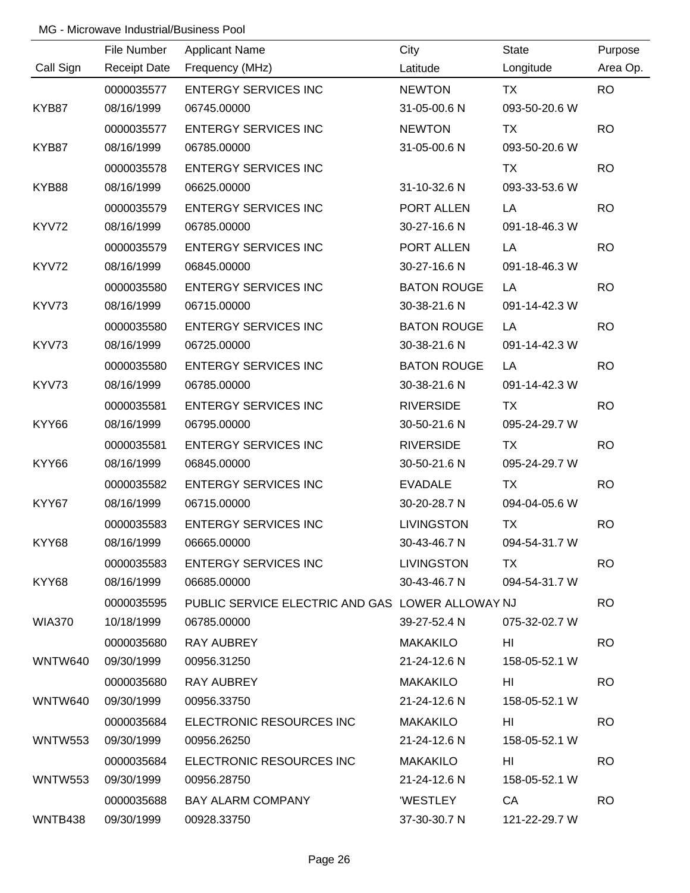|           | File Number         | <b>Applicant Name</b>                            | City               | <b>State</b>  | Purpose   |
|-----------|---------------------|--------------------------------------------------|--------------------|---------------|-----------|
| Call Sign | <b>Receipt Date</b> | Frequency (MHz)                                  | Latitude           | Longitude     | Area Op.  |
|           | 0000035577          | <b>ENTERGY SERVICES INC</b>                      | <b>NEWTON</b>      | <b>TX</b>     | <b>RO</b> |
| KYB87     | 08/16/1999          | 06745.00000                                      | 31-05-00.6 N       | 093-50-20.6 W |           |
|           | 0000035577          | <b>ENTERGY SERVICES INC</b>                      | <b>NEWTON</b>      | <b>TX</b>     | <b>RO</b> |
| KYB87     | 08/16/1999          | 06785.00000                                      | 31-05-00.6 N       | 093-50-20.6 W |           |
|           | 0000035578          | <b>ENTERGY SERVICES INC</b>                      |                    | <b>TX</b>     | <b>RO</b> |
| KYB88     | 08/16/1999          | 06625.00000                                      | 31-10-32.6 N       | 093-33-53.6 W |           |
|           | 0000035579          | <b>ENTERGY SERVICES INC</b>                      | PORT ALLEN         | LA            | <b>RO</b> |
| KYV72     | 08/16/1999          | 06785.00000                                      | 30-27-16.6 N       | 091-18-46.3 W |           |
|           | 0000035579          | <b>ENTERGY SERVICES INC</b>                      | PORT ALLEN         | LA            | <b>RO</b> |
| KYV72     | 08/16/1999          | 06845.00000                                      | 30-27-16.6 N       | 091-18-46.3 W |           |
|           | 0000035580          | <b>ENTERGY SERVICES INC</b>                      | <b>BATON ROUGE</b> | LA            | <b>RO</b> |
| KYV73     | 08/16/1999          | 06715.00000                                      | 30-38-21.6 N       | 091-14-42.3 W |           |
|           | 0000035580          | <b>ENTERGY SERVICES INC</b>                      | <b>BATON ROUGE</b> | LA            | <b>RO</b> |
| KYV73     | 08/16/1999          | 06725.00000                                      | 30-38-21.6 N       | 091-14-42.3 W |           |
|           | 0000035580          | <b>ENTERGY SERVICES INC</b>                      | <b>BATON ROUGE</b> | LA            | <b>RO</b> |
| KYV73     | 08/16/1999          | 06785.00000                                      | 30-38-21.6 N       | 091-14-42.3 W |           |
|           | 0000035581          | <b>ENTERGY SERVICES INC</b>                      | <b>RIVERSIDE</b>   | <b>TX</b>     | <b>RO</b> |
| KYY66     | 08/16/1999          | 06795.00000                                      | 30-50-21.6 N       | 095-24-29.7 W |           |
|           | 0000035581          | <b>ENTERGY SERVICES INC</b>                      | <b>RIVERSIDE</b>   | <b>TX</b>     | <b>RO</b> |
| KYY66     | 08/16/1999          | 06845.00000                                      | 30-50-21.6 N       | 095-24-29.7 W |           |
|           | 0000035582          | <b>ENTERGY SERVICES INC</b>                      | <b>EVADALE</b>     | <b>TX</b>     | <b>RO</b> |
| KYY67     | 08/16/1999          | 06715.00000                                      | 30-20-28.7 N       | 094-04-05.6 W |           |
|           | 0000035583          | <b>ENTERGY SERVICES INC</b>                      | <b>LIVINGSTON</b>  | <b>TX</b>     | <b>RO</b> |
| KYY68     | 08/16/1999          | 06665.00000                                      | 30-43-46.7 N       | 094-54-31.7 W |           |
|           | 0000035583          | <b>ENTERGY SERVICES INC</b>                      | <b>LIVINGSTON</b>  | <b>TX</b>     | <b>RO</b> |
| KYY68     | 08/16/1999          | 06685.00000                                      | 30-43-46.7 N       | 094-54-31.7 W |           |
|           | 0000035595          | PUBLIC SERVICE ELECTRIC AND GAS LOWER ALLOWAY NJ |                    |               | <b>RO</b> |
| WIA370    | 10/18/1999          | 06785.00000                                      | 39-27-52.4 N       | 075-32-02.7 W |           |
|           | 0000035680          | RAY AUBREY                                       | <b>MAKAKILO</b>    | HI            | <b>RO</b> |
| WNTW640   | 09/30/1999          | 00956.31250                                      | 21-24-12.6 N       | 158-05-52.1 W |           |
|           | 0000035680          | RAY AUBREY                                       | MAKAKILO           | HI            | <b>RO</b> |
| WNTW640   | 09/30/1999          | 00956.33750                                      | 21-24-12.6 N       | 158-05-52.1 W |           |
|           | 0000035684          | ELECTRONIC RESOURCES INC                         | MAKAKILO           | HI            | <b>RO</b> |
| WNTW553   | 09/30/1999          | 00956.26250                                      | 21-24-12.6 N       | 158-05-52.1 W |           |
|           | 0000035684          | ELECTRONIC RESOURCES INC                         | MAKAKILO           | HI            | <b>RO</b> |
| WNTW553   | 09/30/1999          | 00956.28750                                      | 21-24-12.6 N       | 158-05-52.1 W |           |
|           | 0000035688          | <b>BAY ALARM COMPANY</b>                         | <b>WESTLEY</b>     | <b>CA</b>     | <b>RO</b> |
| WNTB438   | 09/30/1999          | 00928.33750                                      | 37-30-30.7 N       | 121-22-29.7 W |           |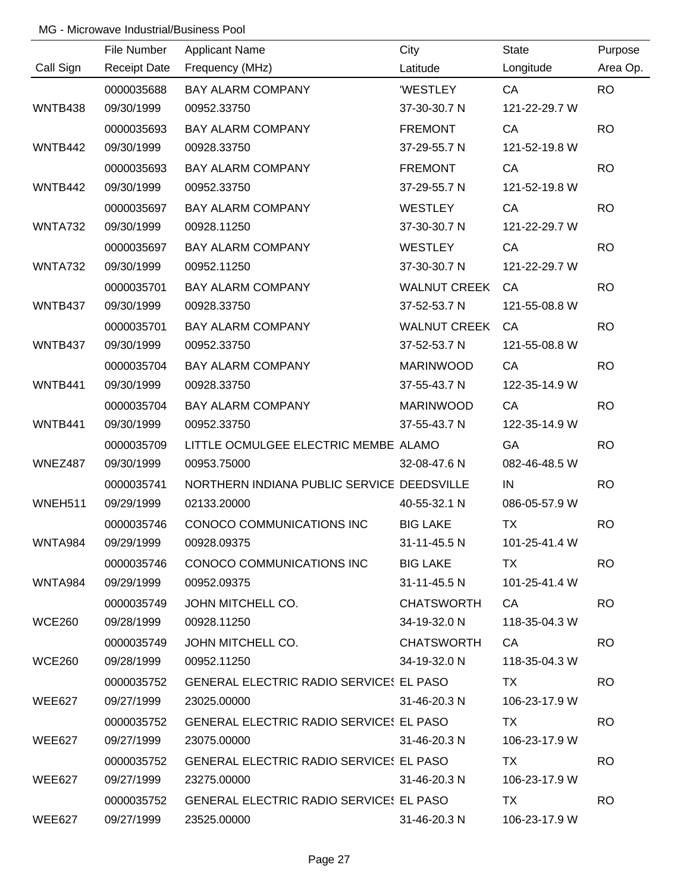|               | File Number         | <b>Applicant Name</b>                      | City                | <b>State</b>  | Purpose   |
|---------------|---------------------|--------------------------------------------|---------------------|---------------|-----------|
| Call Sign     | <b>Receipt Date</b> | Frequency (MHz)                            | Latitude            | Longitude     | Area Op.  |
|               | 0000035688          | <b>BAY ALARM COMPANY</b>                   | <b>WESTLEY</b>      | CA            | <b>RO</b> |
| WNTB438       | 09/30/1999          | 00952.33750                                | 37-30-30.7 N        | 121-22-29.7 W |           |
|               | 0000035693          | <b>BAY ALARM COMPANY</b>                   | <b>FREMONT</b>      | CA            | <b>RO</b> |
| WNTB442       | 09/30/1999          | 00928.33750                                | 37-29-55.7 N        | 121-52-19.8 W |           |
|               | 0000035693          | <b>BAY ALARM COMPANY</b>                   | <b>FREMONT</b>      | CA            | <b>RO</b> |
| WNTB442       | 09/30/1999          | 00952.33750                                | 37-29-55.7 N        | 121-52-19.8 W |           |
|               | 0000035697          | <b>BAY ALARM COMPANY</b>                   | <b>WESTLEY</b>      | CA            | <b>RO</b> |
| WNTA732       | 09/30/1999          | 00928.11250                                | 37-30-30.7 N        | 121-22-29.7 W |           |
|               | 0000035697          | <b>BAY ALARM COMPANY</b>                   | <b>WESTLEY</b>      | CA            | <b>RO</b> |
| WNTA732       | 09/30/1999          | 00952.11250                                | 37-30-30.7 N        | 121-22-29.7 W |           |
|               | 0000035701          | <b>BAY ALARM COMPANY</b>                   | <b>WALNUT CREEK</b> | CA            | <b>RO</b> |
| WNTB437       | 09/30/1999          | 00928.33750                                | 37-52-53.7 N        | 121-55-08.8 W |           |
|               | 0000035701          | <b>BAY ALARM COMPANY</b>                   | <b>WALNUT CREEK</b> | CA            | <b>RO</b> |
| WNTB437       | 09/30/1999          | 00952.33750                                | 37-52-53.7 N        | 121-55-08.8 W |           |
|               | 0000035704          | <b>BAY ALARM COMPANY</b>                   | <b>MARINWOOD</b>    | CA            | <b>RO</b> |
| WNTB441       | 09/30/1999          | 00928.33750                                | 37-55-43.7 N        | 122-35-14.9 W |           |
|               | 0000035704          | <b>BAY ALARM COMPANY</b>                   | <b>MARINWOOD</b>    | CA            | <b>RO</b> |
| WNTB441       | 09/30/1999          | 00952.33750                                | 37-55-43.7 N        | 122-35-14.9 W |           |
|               | 0000035709          | LITTLE OCMULGEE ELECTRIC MEMBE ALAMO       |                     | GA            | <b>RO</b> |
| WNEZ487       | 09/30/1999          | 00953.75000                                | 32-08-47.6 N        | 082-46-48.5 W |           |
|               | 0000035741          | NORTHERN INDIANA PUBLIC SERVICE DEEDSVILLE |                     | IN            | <b>RO</b> |
| WNEH511       | 09/29/1999          | 02133.20000                                | 40-55-32.1 N        | 086-05-57.9 W |           |
|               | 0000035746          | CONOCO COMMUNICATIONS INC                  | <b>BIG LAKE</b>     | <b>TX</b>     | <b>RO</b> |
| WNTA984       | 09/29/1999          | 00928.09375                                | 31-11-45.5 N        | 101-25-41.4 W |           |
|               | 0000035746          | CONOCO COMMUNICATIONS INC                  | <b>BIG LAKE</b>     | <b>TX</b>     | <b>RO</b> |
| WNTA984       | 09/29/1999          | 00952.09375                                | 31-11-45.5 N        | 101-25-41.4 W |           |
|               | 0000035749          | JOHN MITCHELL CO.                          | <b>CHATSWORTH</b>   | CA            | <b>RO</b> |
| <b>WCE260</b> | 09/28/1999          | 00928.11250                                | 34-19-32.0 N        | 118-35-04.3 W |           |
|               | 0000035749          | JOHN MITCHELL CO.                          | <b>CHATSWORTH</b>   | CA            | <b>RO</b> |
| <b>WCE260</b> | 09/28/1999          | 00952.11250                                | 34-19-32.0 N        | 118-35-04.3 W |           |
|               | 0000035752          | GENERAL ELECTRIC RADIO SERVICES EL PASO    |                     | <b>TX</b>     | <b>RO</b> |
| WEE627        | 09/27/1999          | 23025.00000                                | 31-46-20.3 N        | 106-23-17.9 W |           |
|               | 0000035752          | GENERAL ELECTRIC RADIO SERVICES EL PASO    |                     | TX.           | <b>RO</b> |
| WEE627        | 09/27/1999          | 23075.00000                                | 31-46-20.3 N        | 106-23-17.9 W |           |
|               | 0000035752          | GENERAL ELECTRIC RADIO SERVICES EL PASO    |                     | <b>TX</b>     | <b>RO</b> |
| WEE627        | 09/27/1999          | 23275.00000                                | 31-46-20.3 N        | 106-23-17.9 W |           |
|               | 0000035752          | GENERAL ELECTRIC RADIO SERVICES EL PASO    |                     | TX TX         | <b>RO</b> |
| WEE627        | 09/27/1999          | 23525.00000                                | 31-46-20.3 N        | 106-23-17.9 W |           |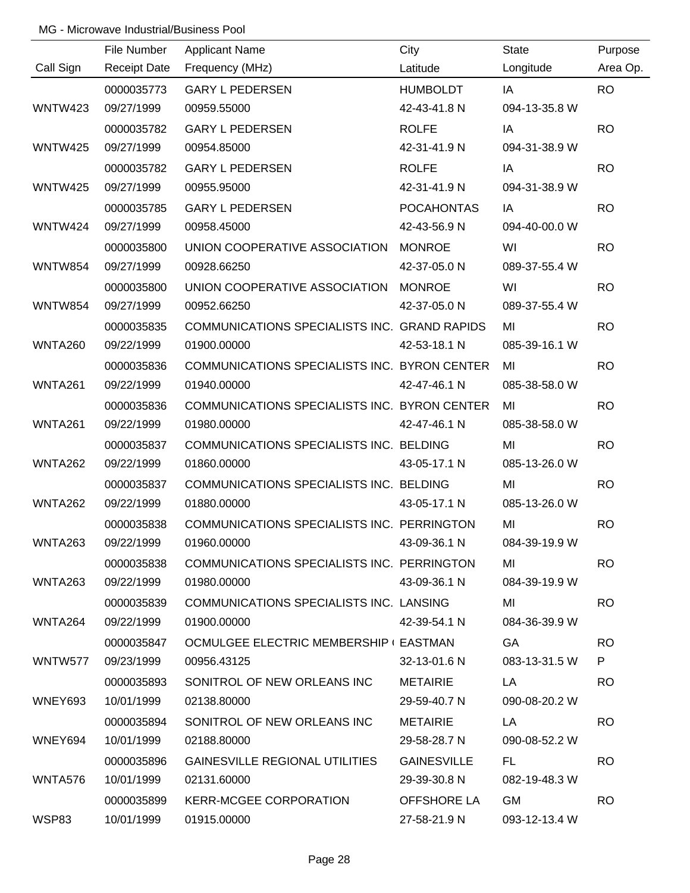|                | File Number         | <b>Applicant Name</b>                        | City               | <b>State</b>  | Purpose   |
|----------------|---------------------|----------------------------------------------|--------------------|---------------|-----------|
| Call Sign      | <b>Receipt Date</b> | Frequency (MHz)                              | Latitude           | Longitude     | Area Op.  |
|                | 0000035773          | <b>GARY L PEDERSEN</b>                       | <b>HUMBOLDT</b>    | IA            | <b>RO</b> |
| WNTW423        | 09/27/1999          | 00959.55000                                  | 42-43-41.8 N       | 094-13-35.8 W |           |
|                | 0000035782          | <b>GARY L PEDERSEN</b>                       | <b>ROLFE</b>       | IA            | <b>RO</b> |
| <b>WNTW425</b> | 09/27/1999          | 00954.85000                                  | 42-31-41.9 N       | 094-31-38.9 W |           |
|                | 0000035782          | <b>GARY L PEDERSEN</b>                       | <b>ROLFE</b>       | IA            | <b>RO</b> |
| <b>WNTW425</b> | 09/27/1999          | 00955.95000                                  | 42-31-41.9 N       | 094-31-38.9 W |           |
|                | 0000035785          | <b>GARY L PEDERSEN</b>                       | <b>POCAHONTAS</b>  | IA            | <b>RO</b> |
| WNTW424        | 09/27/1999          | 00958.45000                                  | 42-43-56.9 N       | 094-40-00.0 W |           |
|                | 0000035800          | UNION COOPERATIVE ASSOCIATION MONROE         |                    | WI            | <b>RO</b> |
| <b>WNTW854</b> | 09/27/1999          | 00928.66250                                  | 42-37-05.0 N       | 089-37-55.4 W |           |
|                | 0000035800          | UNION COOPERATIVE ASSOCIATION MONROE         |                    | WI            | <b>RO</b> |
| <b>WNTW854</b> | 09/27/1999          | 00952.66250                                  | 42-37-05.0 N       | 089-37-55.4 W |           |
|                | 0000035835          | COMMUNICATIONS SPECIALISTS INC. GRAND RAPIDS |                    | MI            | <b>RO</b> |
| <b>WNTA260</b> | 09/22/1999          | 01900.00000                                  | 42-53-18.1 N       | 085-39-16.1 W |           |
|                | 0000035836          | COMMUNICATIONS SPECIALISTS INC. BYRON CENTER |                    | MI            | <b>RO</b> |
| WNTA261        | 09/22/1999          | 01940.00000                                  | 42-47-46.1 N       | 085-38-58.0 W |           |
|                | 0000035836          | COMMUNICATIONS SPECIALISTS INC. BYRON CENTER |                    | MI            | <b>RO</b> |
| <b>WNTA261</b> | 09/22/1999          | 01980.00000                                  | 42-47-46.1 N       | 085-38-58.0 W |           |
|                | 0000035837          | COMMUNICATIONS SPECIALISTS INC. BELDING      |                    | MI            | <b>RO</b> |
| WNTA262        | 09/22/1999          | 01860.00000                                  | 43-05-17.1 N       | 085-13-26.0 W |           |
|                | 0000035837          | COMMUNICATIONS SPECIALISTS INC. BELDING      |                    | MI            | <b>RO</b> |
| WNTA262        | 09/22/1999          | 01880.00000                                  | 43-05-17.1 N       | 085-13-26.0 W |           |
|                | 0000035838          | COMMUNICATIONS SPECIALISTS INC. PERRINGTON   |                    | MI            | <b>RO</b> |
| WNTA263        | 09/22/1999          | 01960.00000                                  | 43-09-36.1 N       | 084-39-19.9 W |           |
|                | 0000035838          | COMMUNICATIONS SPECIALISTS INC. PERRINGTON   |                    | MI            | <b>RO</b> |
| WNTA263        | 09/22/1999          | 01980.00000                                  | 43-09-36.1 N       | 084-39-19.9 W |           |
|                | 0000035839          | COMMUNICATIONS SPECIALISTS INC. LANSING      |                    | MI            | <b>RO</b> |
| WNTA264        | 09/22/1999          | 01900.00000                                  | 42-39-54.1 N       | 084-36-39.9 W |           |
|                | 0000035847          | OCMULGEE ELECTRIC MEMBERSHIP ( EASTMAN       |                    | <b>GA</b>     | <b>RO</b> |
| WNTW577        | 09/23/1999          | 00956.43125                                  | 32-13-01.6 N       | 083-13-31.5 W | P         |
|                | 0000035893          | SONITROL OF NEW ORLEANS INC                  | <b>METAIRIE</b>    | LA            | <b>RO</b> |
| WNEY693        | 10/01/1999          | 02138.80000                                  | 29-59-40.7 N       | 090-08-20.2 W |           |
|                | 0000035894          | SONITROL OF NEW ORLEANS INC                  | METAIRIE           | LA            | <b>RO</b> |
| WNEY694        | 10/01/1999          | 02188.80000                                  | 29-58-28.7 N       | 090-08-52.2 W |           |
|                | 0000035896          | GAINESVILLE REGIONAL UTILITIES               | <b>GAINESVILLE</b> | FL.           | <b>RO</b> |
| WNTA576        | 10/01/1999          | 02131.60000                                  | 29-39-30.8 N       | 082-19-48.3 W |           |
|                | 0000035899          | KERR-MCGEE CORPORATION                       | OFFSHORE LA        | <b>GM</b>     | <b>RO</b> |
| WSP83          | 10/01/1999          | 01915.00000                                  | 27-58-21.9 N       | 093-12-13.4 W |           |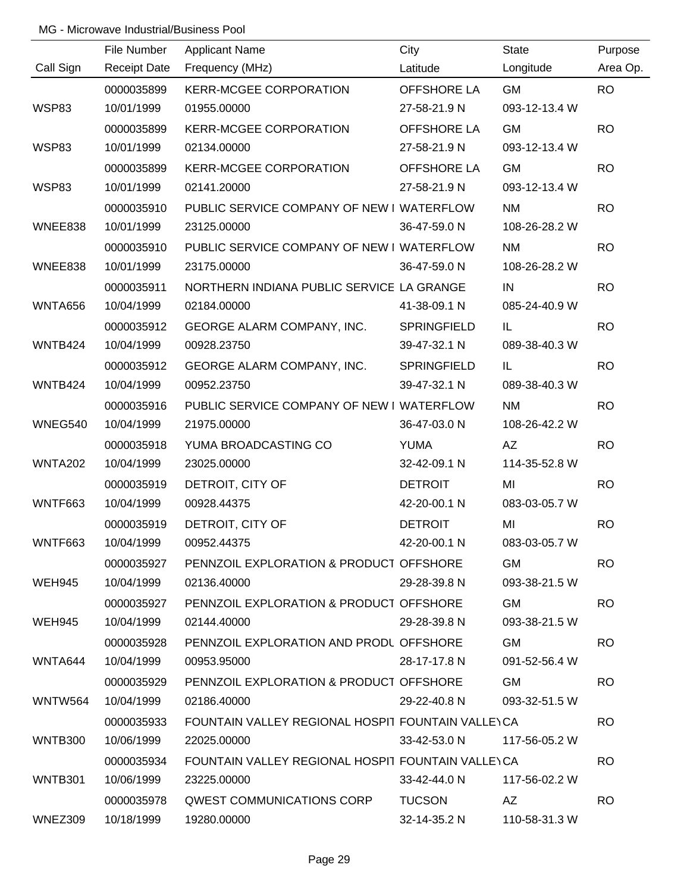|                | File Number         | <b>Applicant Name</b>                              | City                       | <b>State</b>  | Purpose   |
|----------------|---------------------|----------------------------------------------------|----------------------------|---------------|-----------|
| Call Sign      | <b>Receipt Date</b> | Frequency (MHz)                                    | Latitude                   | Longitude     | Area Op.  |
|                | 0000035899          | <b>KERR-MCGEE CORPORATION</b>                      | <b>OFFSHORE LA</b>         | <b>GM</b>     | <b>RO</b> |
| <b>WSP83</b>   | 10/01/1999          | 01955.00000                                        | 27-58-21.9 N               | 093-12-13.4 W |           |
|                | 0000035899          | <b>KERR-MCGEE CORPORATION</b>                      | OFFSHORE LA                | <b>GM</b>     | <b>RO</b> |
| <b>WSP83</b>   | 10/01/1999          | 02134.00000                                        | 27-58-21.9 N               | 093-12-13.4 W |           |
|                | 0000035899          | <b>KERR-MCGEE CORPORATION</b>                      | OFFSHORE LA                | <b>GM</b>     | <b>RO</b> |
| WSP83          | 10/01/1999          | 02141.20000                                        | 27-58-21.9 N               | 093-12-13.4 W |           |
|                | 0000035910          | PUBLIC SERVICE COMPANY OF NEW I WATERFLOW          |                            | <b>NM</b>     | <b>RO</b> |
| WNEE838        | 10/01/1999          | 23125.00000                                        | 36-47-59.0 N               | 108-26-28.2 W |           |
|                | 0000035910          | PUBLIC SERVICE COMPANY OF NEW I WATERFLOW          |                            | <b>NM</b>     | <b>RO</b> |
| WNEE838        | 10/01/1999          | 23175.00000                                        | 36-47-59.0 N               | 108-26-28.2 W |           |
|                | 0000035911          | NORTHERN INDIANA PUBLIC SERVICE LA GRANGE          |                            | IN            | <b>RO</b> |
| <b>WNTA656</b> | 10/04/1999          | 02184.00000                                        | 41-38-09.1 N               | 085-24-40.9 W |           |
|                | 0000035912          | GEORGE ALARM COMPANY, INC.                         | <b>SPRINGFIELD</b>         | IL            | <b>RO</b> |
| WNTB424        | 10/04/1999          | 00928.23750                                        | 39-47-32.1 N               | 089-38-40.3 W |           |
|                | 0000035912          | GEORGE ALARM COMPANY, INC.                         | <b>SPRINGFIELD</b>         | IL            | <b>RO</b> |
| WNTB424        | 10/04/1999          | 00952.23750                                        | 39-47-32.1 N               | 089-38-40.3 W |           |
|                | 0000035916          | PUBLIC SERVICE COMPANY OF NEW I WATERFLOW          |                            | <b>NM</b>     | <b>RO</b> |
| WNEG540        | 10/04/1999          | 21975.00000                                        | 36-47-03.0 N               | 108-26-42.2 W |           |
|                | 0000035918          | YUMA BROADCASTING CO                               | <b>YUMA</b>                | AZ            | <b>RO</b> |
| <b>WNTA202</b> | 10/04/1999          | 23025.00000                                        | 32-42-09.1 N               | 114-35-52.8 W |           |
|                | 0000035919          | DETROIT, CITY OF                                   | <b>DETROIT</b>             | MI            | <b>RO</b> |
| <b>WNTF663</b> | 10/04/1999          | 00928.44375                                        | 42-20-00.1 N               | 083-03-05.7 W |           |
|                | 0000035919          | DETROIT, CITY OF                                   | <b>DETROIT</b>             | MI            | <b>RO</b> |
| <b>WNTF663</b> | 10/04/1999          | 00952.44375                                        | 42-20-00.1 N               | 083-03-05.7 W |           |
|                | 0000035927          | PENNZOIL EXPLORATION & PRODUCT OFFSHORE            |                            | <b>GM</b>     | <b>RO</b> |
| WEH945         | 10/04/1999          | 02136.40000                                        | 29-28-39.8 N               | 093-38-21.5 W |           |
|                | 0000035927          | PENNZOIL EXPLORATION & PRODUCT OFFSHORE            |                            | GM            | <b>RO</b> |
| WEH945         | 10/04/1999          | 02144.40000                                        | 29-28-39.8 N               | 093-38-21.5 W |           |
|                | 0000035928          | PENNZOIL EXPLORATION AND PRODL OFFSHORE            |                            | GM            | <b>RO</b> |
| WNTA644        | 10/04/1999          | 00953.95000                                        | 28-17-17.8 N               | 091-52-56.4 W |           |
|                | 0000035929          | PENNZOIL EXPLORATION & PRODUCT OFFSHORE            |                            | GM            | <b>RO</b> |
| WNTW564        | 10/04/1999          | 02186.40000                                        | 29-22-40.8 N               | 093-32-51.5 W |           |
|                | 0000035933          | FOUNTAIN VALLEY REGIONAL HOSPIT FOUNTAIN VALLEY CA |                            |               | <b>RO</b> |
| WNTB300        | 10/06/1999          | 22025.00000                                        | 33-42-53.0 N               | 117-56-05.2 W |           |
|                | 0000035934          | FOUNTAIN VALLEY REGIONAL HOSPIT FOUNTAIN VALLEY CA |                            |               | <b>RO</b> |
| WNTB301        | 10/06/1999          | 23225.00000                                        | 33-42-44.0 N               | 117-56-02.2 W |           |
|                | 0000035978          | QWEST COMMUNICATIONS CORP TUCSON                   |                            | AZ.           | <b>RO</b> |
| WNEZ309        | 10/18/1999          | 19280.00000                                        | 32-14-35.2 N 110-58-31.3 W |               |           |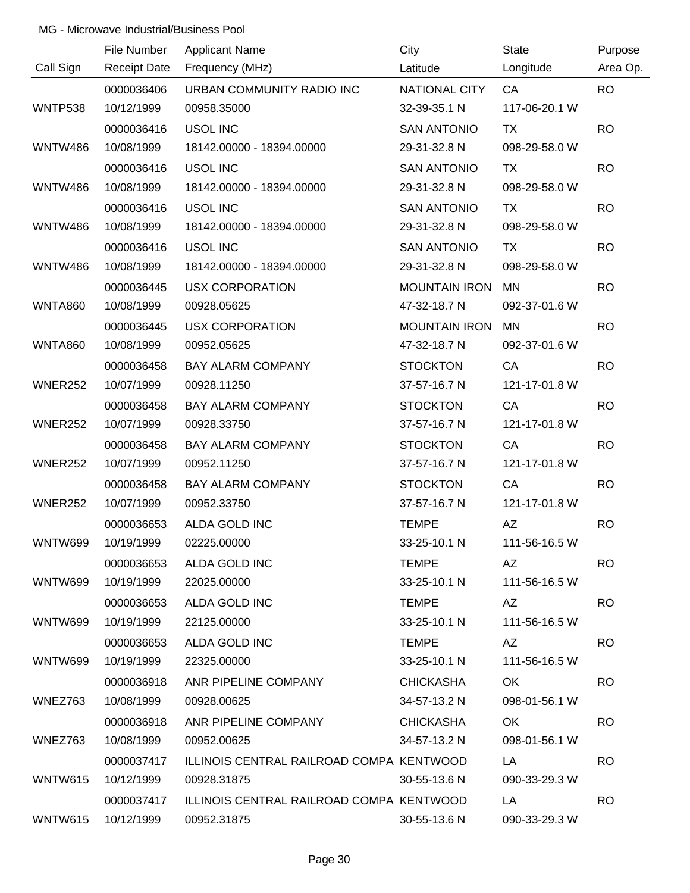|                | File Number         | <b>Applicant Name</b>                    | City                 | <b>State</b>  | Purpose   |
|----------------|---------------------|------------------------------------------|----------------------|---------------|-----------|
| Call Sign      | <b>Receipt Date</b> | Frequency (MHz)                          | Latitude             | Longitude     | Area Op.  |
|                | 0000036406          | URBAN COMMUNITY RADIO INC                | NATIONAL CITY        | CA            | <b>RO</b> |
| <b>WNTP538</b> | 10/12/1999          | 00958.35000                              | 32-39-35.1 N         | 117-06-20.1 W |           |
|                | 0000036416          | <b>USOL INC</b>                          | <b>SAN ANTONIO</b>   | <b>TX</b>     | <b>RO</b> |
| <b>WNTW486</b> | 10/08/1999          | 18142.00000 - 18394.00000                | 29-31-32.8 N         | 098-29-58.0 W |           |
|                | 0000036416          | <b>USOL INC</b>                          | <b>SAN ANTONIO</b>   | <b>TX</b>     | <b>RO</b> |
| <b>WNTW486</b> | 10/08/1999          | 18142.00000 - 18394.00000                | 29-31-32.8 N         | 098-29-58.0 W |           |
|                | 0000036416          | <b>USOL INC</b>                          | <b>SAN ANTONIO</b>   | <b>TX</b>     | <b>RO</b> |
| <b>WNTW486</b> | 10/08/1999          | 18142.00000 - 18394.00000                | 29-31-32.8 N         | 098-29-58.0 W |           |
|                | 0000036416          | <b>USOL INC</b>                          | <b>SAN ANTONIO</b>   | <b>TX</b>     | <b>RO</b> |
| <b>WNTW486</b> | 10/08/1999          | 18142.00000 - 18394.00000                | 29-31-32.8 N         | 098-29-58.0 W |           |
|                | 0000036445          | <b>USX CORPORATION</b>                   | <b>MOUNTAIN IRON</b> | <b>MN</b>     | <b>RO</b> |
| <b>WNTA860</b> | 10/08/1999          | 00928.05625                              | 47-32-18.7 N         | 092-37-01.6 W |           |
|                | 0000036445          | <b>USX CORPORATION</b>                   | <b>MOUNTAIN IRON</b> | <b>MN</b>     | <b>RO</b> |
| <b>WNTA860</b> | 10/08/1999          | 00952.05625                              | 47-32-18.7 N         | 092-37-01.6 W |           |
|                | 0000036458          | <b>BAY ALARM COMPANY</b>                 | <b>STOCKTON</b>      | CA            | <b>RO</b> |
| WNER252        | 10/07/1999          | 00928.11250                              | 37-57-16.7 N         | 121-17-01.8 W |           |
|                | 0000036458          | <b>BAY ALARM COMPANY</b>                 | <b>STOCKTON</b>      | CA            | <b>RO</b> |
| WNER252        | 10/07/1999          | 00928.33750                              | 37-57-16.7 N         | 121-17-01.8 W |           |
|                | 0000036458          | <b>BAY ALARM COMPANY</b>                 | <b>STOCKTON</b>      | CA            | <b>RO</b> |
| WNER252        | 10/07/1999          | 00952.11250                              | 37-57-16.7 N         | 121-17-01.8 W |           |
|                | 0000036458          | <b>BAY ALARM COMPANY</b>                 | <b>STOCKTON</b>      | CA            | <b>RO</b> |
| WNER252        | 10/07/1999          | 00952.33750                              | 37-57-16.7 N         | 121-17-01.8 W |           |
|                | 0000036653          | ALDA GOLD INC                            | <b>TEMPE</b>         | AZ            | <b>RO</b> |
| WNTW699        | 10/19/1999          | 02225.00000                              | 33-25-10.1 N         | 111-56-16.5 W |           |
|                | 0000036653          | ALDA GOLD INC                            | <b>TEMPE</b>         | AZ            | <b>RO</b> |
| WNTW699        | 10/19/1999          | 22025.00000                              | 33-25-10.1 N         | 111-56-16.5 W |           |
|                | 0000036653          | ALDA GOLD INC                            | <b>TEMPE</b>         | AZ            | <b>RO</b> |
| WNTW699        | 10/19/1999          | 22125.00000                              | $33 - 25 - 10.1$ N   | 111-56-16.5 W |           |
|                | 0000036653          | ALDA GOLD INC                            | <b>TEMPE</b>         | AZ.           | <b>RO</b> |
| WNTW699        | 10/19/1999          | 22325.00000                              | 33-25-10.1 N         | 111-56-16.5 W |           |
|                | 0000036918          | ANR PIPELINE COMPANY                     | <b>CHICKASHA</b>     | OK.           | <b>RO</b> |
| WNEZ763        | 10/08/1999          | 00928.00625                              | 34-57-13.2 N         | 098-01-56.1 W |           |
|                | 0000036918          | ANR PIPELINE COMPANY                     | <b>CHICKASHA</b>     | OK            | <b>RO</b> |
| WNEZ763        | 10/08/1999          | 00952.00625                              | 34-57-13.2 N         | 098-01-56.1 W |           |
|                | 0000037417          | ILLINOIS CENTRAL RAILROAD COMPA KENTWOOD |                      | LA            | <b>RO</b> |
| <b>WNTW615</b> | 10/12/1999          | 00928.31875                              | $30 - 55 - 13.6$ N   | 090-33-29.3 W |           |
|                | 0000037417          | ILLINOIS CENTRAL RAILROAD COMPA KENTWOOD |                      | LA            | <b>RO</b> |
| WNTW615        | 10/12/1999          | 00952.31875                              | 30-55-13.6 N         | 090-33-29.3 W |           |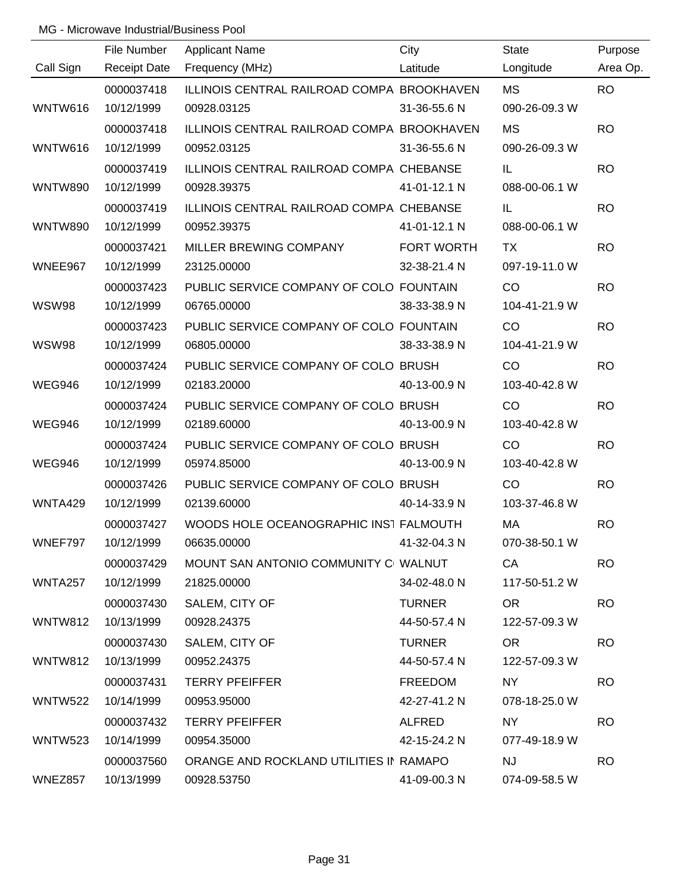|                | File Number         | <b>Applicant Name</b>                      | City          | <b>State</b>  | Purpose   |
|----------------|---------------------|--------------------------------------------|---------------|---------------|-----------|
| Call Sign      | <b>Receipt Date</b> | Frequency (MHz)                            | Latitude      | Longitude     | Area Op.  |
|                | 0000037418          | ILLINOIS CENTRAL RAILROAD COMPA BROOKHAVEN |               | <b>MS</b>     | <b>RO</b> |
| WNTW616        | 10/12/1999          | 00928.03125                                | 31-36-55.6 N  | 090-26-09.3 W |           |
|                | 0000037418          | ILLINOIS CENTRAL RAILROAD COMPA BROOKHAVEN |               | MS            | <b>RO</b> |
| WNTW616        | 10/12/1999          | 00952.03125                                | 31-36-55.6 N  | 090-26-09.3 W |           |
|                | 0000037419          | ILLINOIS CENTRAL RAILROAD COMPA CHEBANSE   |               | IL            | <b>RO</b> |
| <b>WNTW890</b> | 10/12/1999          | 00928.39375                                | 41-01-12.1 N  | 088-00-06.1 W |           |
|                | 0000037419          | ILLINOIS CENTRAL RAILROAD COMPA CHEBANSE   |               | IL            | <b>RO</b> |
| <b>WNTW890</b> | 10/12/1999          | 00952.39375                                | 41-01-12.1 N  | 088-00-06.1 W |           |
|                | 0000037421          | MILLER BREWING COMPANY                     | FORT WORTH    | TX            | <b>RO</b> |
| WNEE967        | 10/12/1999          | 23125.00000                                | 32-38-21.4 N  | 097-19-11.0 W |           |
|                | 0000037423          | PUBLIC SERVICE COMPANY OF COLO FOUNTAIN    |               | CO            | <b>RO</b> |
| <b>WSW98</b>   | 10/12/1999          | 06765.00000                                | 38-33-38.9 N  | 104-41-21.9 W |           |
|                | 0000037423          | PUBLIC SERVICE COMPANY OF COLO FOUNTAIN    |               | CO            | <b>RO</b> |
| <b>WSW98</b>   | 10/12/1999          | 06805.00000                                | 38-33-38.9 N  | 104-41-21.9 W |           |
|                | 0000037424          | PUBLIC SERVICE COMPANY OF COLO BRUSH       |               | CO            | <b>RO</b> |
| <b>WEG946</b>  | 10/12/1999          | 02183.20000                                | 40-13-00.9 N  | 103-40-42.8 W |           |
|                | 0000037424          | PUBLIC SERVICE COMPANY OF COLO BRUSH       |               | CO            | <b>RO</b> |
| <b>WEG946</b>  | 10/12/1999          | 02189.60000                                | 40-13-00.9 N  | 103-40-42.8 W |           |
|                | 0000037424          | PUBLIC SERVICE COMPANY OF COLO BRUSH       |               | CO            | <b>RO</b> |
| <b>WEG946</b>  | 10/12/1999          | 05974.85000                                | 40-13-00.9 N  | 103-40-42.8 W |           |
|                | 0000037426          | PUBLIC SERVICE COMPANY OF COLO BRUSH       |               | CO            | <b>RO</b> |
| WNTA429        | 10/12/1999          | 02139.60000                                | 40-14-33.9 N  | 103-37-46.8 W |           |
|                | 0000037427          | WOODS HOLE OCEANOGRAPHIC INST FALMOUTH     |               | МA            | <b>RO</b> |
| WNEF797        | 10/12/1999          | 06635.00000                                | 41-32-04.3 N  | 070-38-50.1 W |           |
|                | 0000037429          | MOUNT SAN ANTONIO COMMUNITY C WALNUT       |               | CA            | <b>RO</b> |
| <b>WNTA257</b> | 10/12/1999          | 21825.00000                                | 34-02-48.0 N  | 117-50-51.2 W |           |
|                | 0000037430          | SALEM, CITY OF                             | <b>TURNER</b> | OR.           | <b>RO</b> |
| WNTW812        | 10/13/1999          | 00928.24375                                | 44-50-57.4 N  | 122-57-09.3 W |           |
|                | 0000037430          | SALEM, CITY OF                             | <b>TURNER</b> | OR.           | <b>RO</b> |
| WNTW812        | 10/13/1999          | 00952.24375                                | 44-50-57.4 N  | 122-57-09.3 W |           |
|                | 0000037431          | <b>TERRY PFEIFFER</b>                      | FREEDOM       | <b>NY</b>     | <b>RO</b> |
| <b>WNTW522</b> | 10/14/1999          | 00953.95000                                | 42-27-41.2 N  | 078-18-25.0 W |           |
|                | 0000037432          | <b>TERRY PFEIFFER</b>                      | ALFRED        | <b>NY</b>     | <b>RO</b> |
| <b>WNTW523</b> | 10/14/1999          | 00954.35000                                | 42-15-24.2 N  | 077-49-18.9 W |           |
|                | 0000037560          | ORANGE AND ROCKLAND UTILITIES IN RAMAPO    |               | <b>NJ</b>     | <b>RO</b> |
| WNEZ857        | 10/13/1999          | 00928.53750                                | 41-09-00.3 N  | 074-09-58.5 W |           |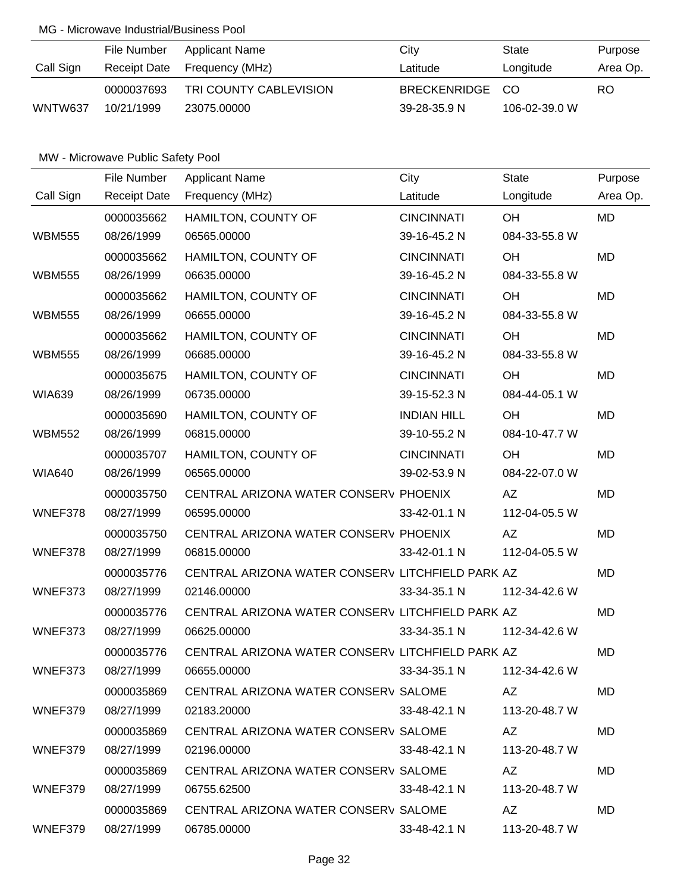|           | File Number  | <b>Applicant Name</b>  | City               | State         | Purpose  |
|-----------|--------------|------------------------|--------------------|---------------|----------|
| Call Sign | Receipt Date | Frequency (MHz)        | Latitude           | Longitude     | Area Op. |
|           | 0000037693   | TRI COUNTY CABLEVISION | BRECKENRIDGE CO    |               | RO       |
| WNTW637   | 10/21/1999   | 23075,00000            | $39 - 28 - 35.9$ N | 106-02-39.0 W |          |

|               | File Number         | <b>Applicant Name</b>                            | City               | <b>State</b>  | Purpose   |
|---------------|---------------------|--------------------------------------------------|--------------------|---------------|-----------|
| Call Sign     | <b>Receipt Date</b> | Frequency (MHz)                                  | Latitude           | Longitude     | Area Op.  |
|               | 0000035662          | HAMILTON, COUNTY OF                              | <b>CINCINNATI</b>  | OH            | <b>MD</b> |
| <b>WBM555</b> | 08/26/1999          | 06565.00000                                      | 39-16-45.2 N       | 084-33-55.8 W |           |
|               | 0000035662          | HAMILTON, COUNTY OF                              | <b>CINCINNATI</b>  | OH            | <b>MD</b> |
| <b>WBM555</b> | 08/26/1999          | 06635.00000                                      | 39-16-45.2 N       | 084-33-55.8 W |           |
|               | 0000035662          | HAMILTON, COUNTY OF                              | <b>CINCINNATI</b>  | OH            | <b>MD</b> |
| <b>WBM555</b> | 08/26/1999          | 06655.00000                                      | 39-16-45.2 N       | 084-33-55.8 W |           |
|               | 0000035662          | HAMILTON, COUNTY OF                              | <b>CINCINNATI</b>  | OH            | <b>MD</b> |
| <b>WBM555</b> | 08/26/1999          | 06685.00000                                      | 39-16-45.2 N       | 084-33-55.8 W |           |
|               | 0000035675          | HAMILTON, COUNTY OF                              | <b>CINCINNATI</b>  | OH            | <b>MD</b> |
| <b>WIA639</b> | 08/26/1999          | 06735.00000                                      | 39-15-52.3 N       | 084-44-05.1 W |           |
|               | 0000035690          | HAMILTON, COUNTY OF                              | <b>INDIAN HILL</b> | OH            | <b>MD</b> |
| <b>WBM552</b> | 08/26/1999          | 06815.00000                                      | 39-10-55.2 N       | 084-10-47.7 W |           |
|               | 0000035707          | HAMILTON, COUNTY OF                              | <b>CINCINNATI</b>  | OH            | <b>MD</b> |
| <b>WIA640</b> | 08/26/1999          | 06565.00000                                      | 39-02-53.9 N       | 084-22-07.0 W |           |
|               | 0000035750          | CENTRAL ARIZONA WATER CONSERV PHOENIX            |                    | AZ            | <b>MD</b> |
| WNEF378       | 08/27/1999          | 06595.00000                                      | 33-42-01.1 N       | 112-04-05.5 W |           |
|               | 0000035750          | CENTRAL ARIZONA WATER CONSERV PHOENIX            |                    | AZ            | <b>MD</b> |
| WNEF378       | 08/27/1999          | 06815.00000                                      | 33-42-01.1 N       | 112-04-05.5 W |           |
|               | 0000035776          | CENTRAL ARIZONA WATER CONSERV LITCHFIELD PARK AZ |                    |               | <b>MD</b> |
| WNEF373       | 08/27/1999          | 02146.00000                                      | 33-34-35.1 N       | 112-34-42.6 W |           |
|               | 0000035776          | CENTRAL ARIZONA WATER CONSERV LITCHFIELD PARK AZ |                    |               | <b>MD</b> |
| WNEF373       | 08/27/1999          | 06625.00000                                      | 33-34-35.1 N       | 112-34-42.6 W |           |
|               | 0000035776          | CENTRAL ARIZONA WATER CONSERV LITCHFIELD PARK AZ |                    |               | <b>MD</b> |
| WNEF373       | 08/27/1999          | 06655.00000                                      | $33 - 34 - 35.1$ N | 112-34-42.6 W |           |
|               | 0000035869          | CENTRAL ARIZONA WATER CONSERV SALOME             |                    | AZ            | <b>MD</b> |
| WNEF379       | 08/27/1999          | 02183.20000                                      | 33-48-42.1 N       | 113-20-48.7 W |           |
|               | 0000035869          | CENTRAL ARIZONA WATER CONSERV SALOME             |                    | AZ            | <b>MD</b> |
| WNEF379       | 08/27/1999          | 02196.00000                                      | 33-48-42.1 N       | 113-20-48.7 W |           |
|               | 0000035869          | CENTRAL ARIZONA WATER CONSERV SALOME             |                    | AZ            | MD.       |
| WNEF379       | 08/27/1999          | 06755.62500                                      | 33-48-42.1 N       | 113-20-48.7 W |           |
|               | 0000035869          | CENTRAL ARIZONA WATER CONSERV SALOME             |                    | AZ            | MD        |
| WNEF379       | 08/27/1999          | 06785.00000                                      | 33-48-42.1 N       | 113-20-48.7 W |           |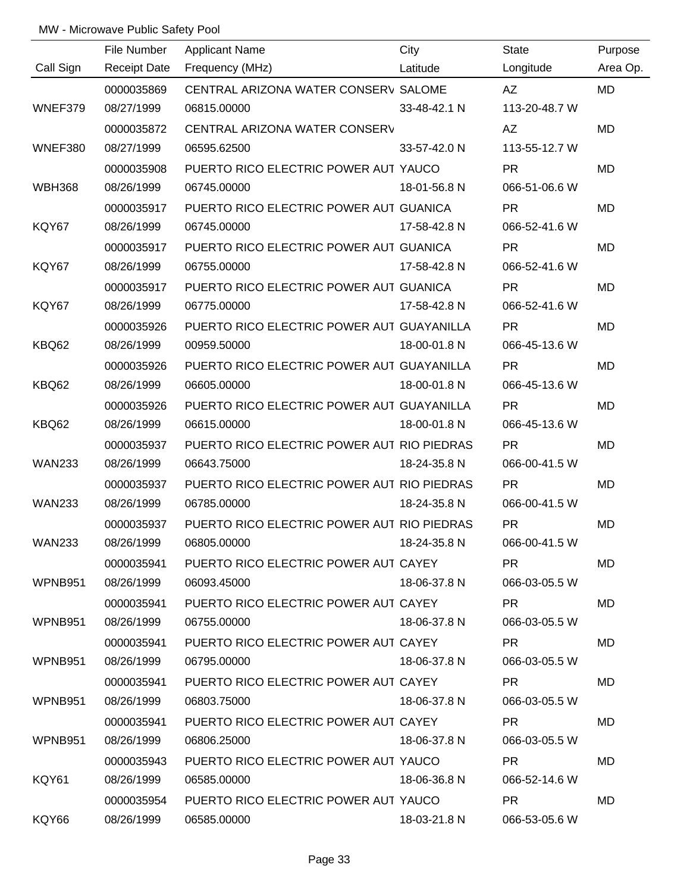|               | File Number         | <b>Applicant Name</b>                      | City         | State           | Purpose   |
|---------------|---------------------|--------------------------------------------|--------------|-----------------|-----------|
| Call Sign     | <b>Receipt Date</b> | Frequency (MHz)                            | Latitude     | Longitude       | Area Op.  |
|               | 0000035869          | CENTRAL ARIZONA WATER CONSERV SALOME       |              | AZ              | <b>MD</b> |
| WNEF379       | 08/27/1999          | 06815.00000                                | 33-48-42.1 N | 113-20-48.7 W   |           |
|               | 0000035872          | CENTRAL ARIZONA WATER CONSERV              |              | AZ              | MD        |
| WNEF380       | 08/27/1999          | 06595.62500                                | 33-57-42.0 N | 113-55-12.7 W   |           |
|               | 0000035908          | PUERTO RICO ELECTRIC POWER AUT YAUCO       |              | <b>PR</b>       | <b>MD</b> |
| <b>WBH368</b> | 08/26/1999          | 06745.00000                                | 18-01-56.8 N | 066-51-06.6 W   |           |
|               | 0000035917          | PUERTO RICO ELECTRIC POWER AUT GUANICA     |              | <b>PR</b>       | MD        |
| KQY67         | 08/26/1999          | 06745.00000                                | 17-58-42.8 N | 066-52-41.6 W   |           |
|               | 0000035917          | PUERTO RICO ELECTRIC POWER AUT GUANICA     |              | <b>PR</b>       | MD        |
| KQY67         | 08/26/1999          | 06755.00000                                | 17-58-42.8 N | 066-52-41.6 W   |           |
|               | 0000035917          | PUERTO RICO ELECTRIC POWER AUT GUANICA     |              | <b>PR</b>       | <b>MD</b> |
| KQY67         | 08/26/1999          | 06775.00000                                | 17-58-42.8 N | 066-52-41.6 W   |           |
|               | 0000035926          | PUERTO RICO ELECTRIC POWER AUT GUAYANILLA  |              | <b>PR</b>       | MD        |
| KBQ62         | 08/26/1999          | 00959.50000                                | 18-00-01.8 N | 066-45-13.6 W   |           |
|               | 0000035926          | PUERTO RICO ELECTRIC POWER AUT GUAYANILLA  |              | <b>PR</b>       | <b>MD</b> |
| KBQ62         | 08/26/1999          | 06605.00000                                | 18-00-01.8 N | 066-45-13.6 W   |           |
|               | 0000035926          | PUERTO RICO ELECTRIC POWER AUT GUAYANILLA  |              | <b>PR</b>       | <b>MD</b> |
| KBQ62         | 08/26/1999          | 06615.00000                                | 18-00-01.8 N | 066-45-13.6 W   |           |
|               | 0000035937          | PUERTO RICO ELECTRIC POWER AUT RIO PIEDRAS |              | <b>PR</b>       | MD        |
| <b>WAN233</b> | 08/26/1999          | 06643.75000                                | 18-24-35.8 N | 066-00-41.5 W   |           |
|               | 0000035937          | PUERTO RICO ELECTRIC POWER AUT RIO PIEDRAS |              | <b>PR</b>       | <b>MD</b> |
| <b>WAN233</b> | 08/26/1999          | 06785.00000                                | 18-24-35.8 N | 066-00-41.5 W   |           |
|               | 0000035937          | PUERTO RICO ELECTRIC POWER AUT RIO PIEDRAS |              | <b>PR</b>       | <b>MD</b> |
| <b>WAN233</b> | 08/26/1999          | 06805.00000 18-24-35.8 N                   |              | 066-00-41.5 W   |           |
|               | 0000035941          | PUERTO RICO ELECTRIC POWER AUT CAYEY       |              | PR.             | MD        |
| WPNB951       | 08/26/1999          | 06093.45000                                | 18-06-37.8 N | 066-03-05.5 W   |           |
|               | 0000035941          | PUERTO RICO ELECTRIC POWER AUT CAYEY       |              | PR.             | <b>MD</b> |
| WPNB951       | 08/26/1999          | 06755.00000                                | 18-06-37.8 N | 066-03-05.5 W   |           |
|               | 0000035941          | PUERTO RICO ELECTRIC POWER AUT CAYEY       |              | PR.             | MD        |
| WPNB951       | 08/26/1999          | 06795.00000                                | 18-06-37.8 N | 066-03-05.5 W   |           |
|               | 0000035941          | PUERTO RICO ELECTRIC POWER AUT CAYEY       |              | <b>PR</b>       | MD        |
| WPNB951       | 08/26/1999          | 06803.75000                                | 18-06-37.8 N | 066-03-05.5 W   |           |
|               | 0000035941          | PUERTO RICO ELECTRIC POWER AUT CAYEY       |              | PR.             | <b>MD</b> |
| WPNB951       | 08/26/1999          | 06806.25000                                | 18-06-37.8 N | 066-03-05.5 W   |           |
|               | 0000035943          | PUERTO RICO ELECTRIC POWER AUT YAUCO       |              | <b>PR</b>       | <b>MD</b> |
| KQY61         | 08/26/1999          | 06585.00000                                | 18-06-36.8 N | 066-52-14.6 W   |           |
|               | 0000035954          | PUERTO RICO ELECTRIC POWER AUT YAUCO       |              | PR <sub>2</sub> | <b>MD</b> |
| KQY66         | 08/26/1999          | 06585.00000                                | 18-03-21.8 N | 066-53-05.6 W   |           |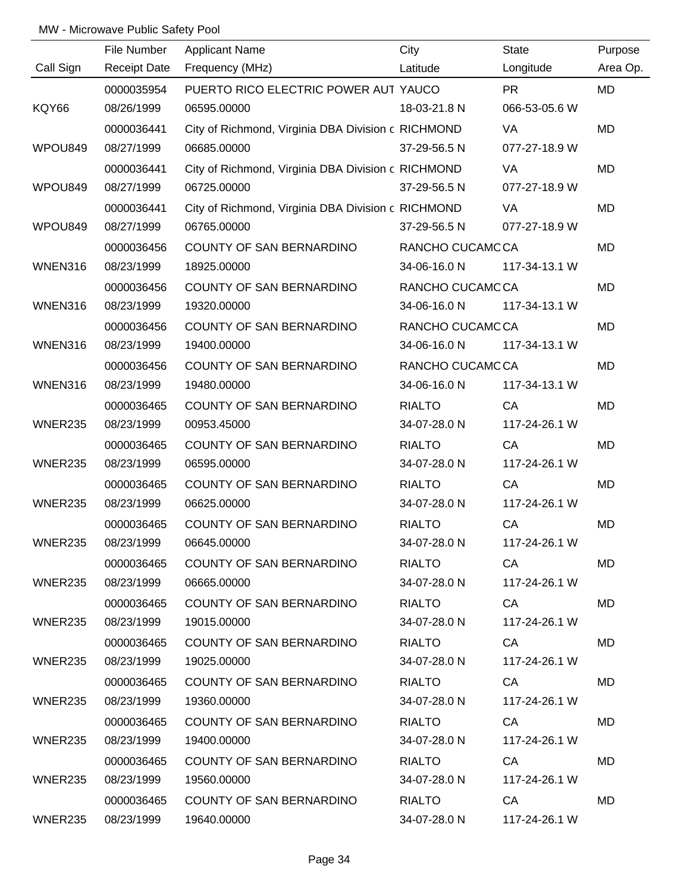|                | File Number         | <b>Applicant Name</b>                              | City            | State         | Purpose   |
|----------------|---------------------|----------------------------------------------------|-----------------|---------------|-----------|
| Call Sign      | <b>Receipt Date</b> | Frequency (MHz)                                    | Latitude        | Longitude     | Area Op.  |
|                | 0000035954          | PUERTO RICO ELECTRIC POWER AUT YAUCO               |                 | <b>PR</b>     | <b>MD</b> |
| KQY66          | 08/26/1999          | 06595.00000                                        | 18-03-21.8 N    | 066-53-05.6 W |           |
|                | 0000036441          | City of Richmond, Virginia DBA Division c RICHMOND |                 | VA            | <b>MD</b> |
| WPOU849        | 08/27/1999          | 06685.00000                                        | 37-29-56.5 N    | 077-27-18.9 W |           |
|                | 0000036441          | City of Richmond, Virginia DBA Division c RICHMOND |                 | VA            | <b>MD</b> |
| WPOU849        | 08/27/1999          | 06725.00000                                        | 37-29-56.5 N    | 077-27-18.9 W |           |
|                | 0000036441          | City of Richmond, Virginia DBA Division c RICHMOND |                 | VA            | MD        |
| WPOU849        | 08/27/1999          | 06765.00000                                        | 37-29-56.5 N    | 077-27-18.9 W |           |
|                | 0000036456          | COUNTY OF SAN BERNARDINO                           | RANCHO CUCAMCCA |               | MD        |
| WNEN316        | 08/23/1999          | 18925.00000                                        | 34-06-16.0 N    | 117-34-13.1 W |           |
|                | 0000036456          | COUNTY OF SAN BERNARDINO                           | RANCHO CUCAMCCA |               | <b>MD</b> |
| WNEN316        | 08/23/1999          | 19320.00000                                        | 34-06-16.0 N    | 117-34-13.1 W |           |
|                | 0000036456          | COUNTY OF SAN BERNARDINO                           | RANCHO CUCAMCCA |               | MD        |
| WNEN316        | 08/23/1999          | 19400.00000                                        | 34-06-16.0 N    | 117-34-13.1 W |           |
|                | 0000036456          | COUNTY OF SAN BERNARDINO                           | RANCHO CUCAMCCA |               | MD        |
| WNEN316        | 08/23/1999          | 19480.00000                                        | 34-06-16.0 N    | 117-34-13.1 W |           |
|                | 0000036465          | COUNTY OF SAN BERNARDINO                           | <b>RIALTO</b>   | CA            | <b>MD</b> |
| WNER235        | 08/23/1999          | 00953.45000                                        | 34-07-28.0 N    | 117-24-26.1 W |           |
|                | 0000036465          | COUNTY OF SAN BERNARDINO                           | <b>RIALTO</b>   | CA            | MD        |
| WNER235        | 08/23/1999          | 06595.00000                                        | 34-07-28.0 N    | 117-24-26.1 W |           |
|                | 0000036465          | COUNTY OF SAN BERNARDINO                           | <b>RIALTO</b>   | CA            | MD        |
| <b>WNER235</b> | 08/23/1999          | 06625.00000                                        | 34-07-28.0 N    | 117-24-26.1 W |           |
|                | 0000036465          | COUNTY OF SAN BERNARDINO                           | <b>RIALTO</b>   | CA            | <b>MD</b> |
| WNER235        | 08/23/1999          | 06645.00000                                        | 34-07-28.0 N    | 117-24-26.1 W |           |
|                | 0000036465          | COUNTY OF SAN BERNARDINO                           | <b>RIALTO</b>   | CA            | <b>MD</b> |
| WNER235        | 08/23/1999          | 06665.00000                                        | 34-07-28.0 N    | 117-24-26.1 W |           |
|                | 0000036465          | COUNTY OF SAN BERNARDINO                           | <b>RIALTO</b>   | CA            | MD        |
| WNER235        | 08/23/1999          | 19015.00000                                        | 34-07-28.0 N    | 117-24-26.1 W |           |
|                | 0000036465          | COUNTY OF SAN BERNARDINO                           | <b>RIALTO</b>   | CA            | MD        |
| WNER235        | 08/23/1999          | 19025.00000                                        | 34-07-28.0 N    | 117-24-26.1 W |           |
|                | 0000036465          | COUNTY OF SAN BERNARDINO                           | <b>RIALTO</b>   | CA            | MD.       |
| WNER235        | 08/23/1999          | 19360.00000                                        | 34-07-28.0 N    | 117-24-26.1 W |           |
|                | 0000036465          | COUNTY OF SAN BERNARDINO                           | <b>RIALTO</b>   | CA            | MD        |
| WNER235        | 08/23/1999          | 19400.00000                                        | 34-07-28.0 N    | 117-24-26.1 W |           |
|                | 0000036465          | COUNTY OF SAN BERNARDINO                           | <b>RIALTO</b>   | CA            | MD        |
| WNER235        | 08/23/1999          | 19560.00000                                        | 34-07-28.0 N    | 117-24-26.1 W |           |
|                | 0000036465          | COUNTY OF SAN BERNARDINO                           | RIALTO          | CA —          | <b>MD</b> |
| WNER235        | 08/23/1999          | 19640.00000                                        | 34-07-28.0 N    | 117-24-26.1 W |           |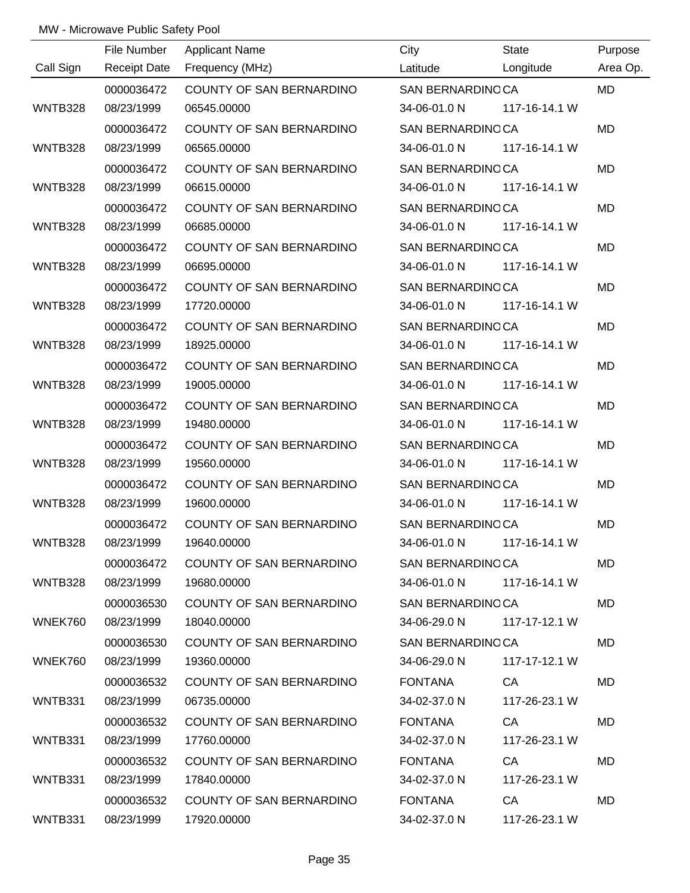|                | File Number         | <b>Applicant Name</b>           | City                    | State                      | Purpose   |
|----------------|---------------------|---------------------------------|-------------------------|----------------------------|-----------|
| Call Sign      | <b>Receipt Date</b> | Frequency (MHz)                 | Latitude                | Longitude                  | Area Op.  |
|                | 0000036472          | COUNTY OF SAN BERNARDINO        | SAN BERNARDINOCA        |                            | <b>MD</b> |
| WNTB328        | 08/23/1999          | 06545.00000                     |                         | 34-06-01.0 N 117-16-14.1 W |           |
|                | 0000036472          | COUNTY OF SAN BERNARDINO        | SAN BERNARDINOCA        |                            | <b>MD</b> |
| <b>WNTB328</b> | 08/23/1999          | 06565.00000                     | 34-06-01.0 N            | 117-16-14.1 W              |           |
|                | 0000036472          | COUNTY OF SAN BERNARDINO        | SAN BERNARDINGCA        |                            | <b>MD</b> |
| <b>WNTB328</b> | 08/23/1999          | 06615.00000                     | 34-06-01.0 N            | 117-16-14.1 W              |           |
|                | 0000036472          | <b>COUNTY OF SAN BERNARDINO</b> | SAN BERNARDINOCA        |                            | <b>MD</b> |
| WNTB328        | 08/23/1999          | 06685.00000                     | 34-06-01.0 N            | 117-16-14.1 W              |           |
|                | 0000036472          | COUNTY OF SAN BERNARDINO        | SAN BERNARDINOCA        |                            | MD        |
| WNTB328        | 08/23/1999          | 06695.00000                     | 34-06-01.0 N            | 117-16-14.1 W              |           |
|                | 0000036472          | COUNTY OF SAN BERNARDINO        | <b>SAN BERNARDINOCA</b> |                            | <b>MD</b> |
| WNTB328        | 08/23/1999          | 17720.00000                     | 34-06-01.0 N            | 117-16-14.1 W              |           |
|                | 0000036472          | COUNTY OF SAN BERNARDINO        | SAN BERNARDINOCA        |                            | <b>MD</b> |
| <b>WNTB328</b> | 08/23/1999          | 18925.00000                     | 34-06-01.0 N            | 117-16-14.1 W              |           |
|                | 0000036472          | COUNTY OF SAN BERNARDINO        | SAN BERNARDINOCA        |                            | <b>MD</b> |
| <b>WNTB328</b> | 08/23/1999          | 19005.00000                     | 34-06-01.0 N            | 117-16-14.1 W              |           |
|                | 0000036472          | COUNTY OF SAN BERNARDINO        | SAN BERNARDINOCA        |                            | <b>MD</b> |
| <b>WNTB328</b> | 08/23/1999          | 19480.00000                     | 34-06-01.0 N            | 117-16-14.1 W              |           |
|                | 0000036472          | COUNTY OF SAN BERNARDINO        | SAN BERNARDINOCA        |                            | <b>MD</b> |
| WNTB328        | 08/23/1999          | 19560.00000                     | 34-06-01.0 N            | 117-16-14.1 W              |           |
|                | 0000036472          | COUNTY OF SAN BERNARDINO        | SAN BERNARDINOCA        |                            | <b>MD</b> |
| WNTB328        | 08/23/1999          | 19600.00000                     | 34-06-01.0 N            | 117-16-14.1 W              |           |
|                | 0000036472          | <b>COUNTY OF SAN BERNARDINO</b> | SAN BERNARDINOCA        |                            | <b>MD</b> |
| WNTB328        | 08/23/1999          | 19640.00000                     |                         | 34-06-01.0 N 117-16-14.1 W |           |
|                | 0000036472          | COUNTY OF SAN BERNARDINO        | SAN BERNARDINO CA       |                            | MD.       |
| WNTB328        | 08/23/1999          | 19680.00000                     |                         | 34-06-01.0 N 117-16-14.1 W |           |
|                | 0000036530          | COUNTY OF SAN BERNARDINO        | SAN BERNARDINOCA        |                            | <b>MD</b> |
| WNEK760        | 08/23/1999          | 18040.00000                     | 34-06-29.0 N            | 117-17-12.1 W              |           |
|                | 0000036530          | COUNTY OF SAN BERNARDINO        | SAN BERNARDINOCA        |                            | <b>MD</b> |
| WNEK760        | 08/23/1999          | 19360.00000                     | 34-06-29.0 N            | 117-17-12.1 W              |           |
|                | 0000036532          | COUNTY OF SAN BERNARDINO        | <b>FONTANA</b>          | CA                         | MD.       |
| WNTB331        | 08/23/1999          | 06735.00000                     | 34-02-37.0 N            | 117-26-23.1 W              |           |
|                | 0000036532          | COUNTY OF SAN BERNARDINO        | <b>FONTANA</b>          | CA                         | <b>MD</b> |
| WNTB331        | 08/23/1999          | 17760.00000                     | 34-02-37.0 N            | 117-26-23.1 W              |           |
|                | 0000036532          | COUNTY OF SAN BERNARDINO        | FONTANA                 | CA                         | <b>MD</b> |
| WNTB331        | 08/23/1999          | 17840.00000                     | 34-02-37.0 N            | 117-26-23.1 W              |           |
|                | 0000036532          | COUNTY OF SAN BERNARDINO        | FONTANA                 | CA cases                   | MD        |
| WNTB331        | 08/23/1999          | 17920.00000                     | 34-02-37.0 N            | 117-26-23.1 W              |           |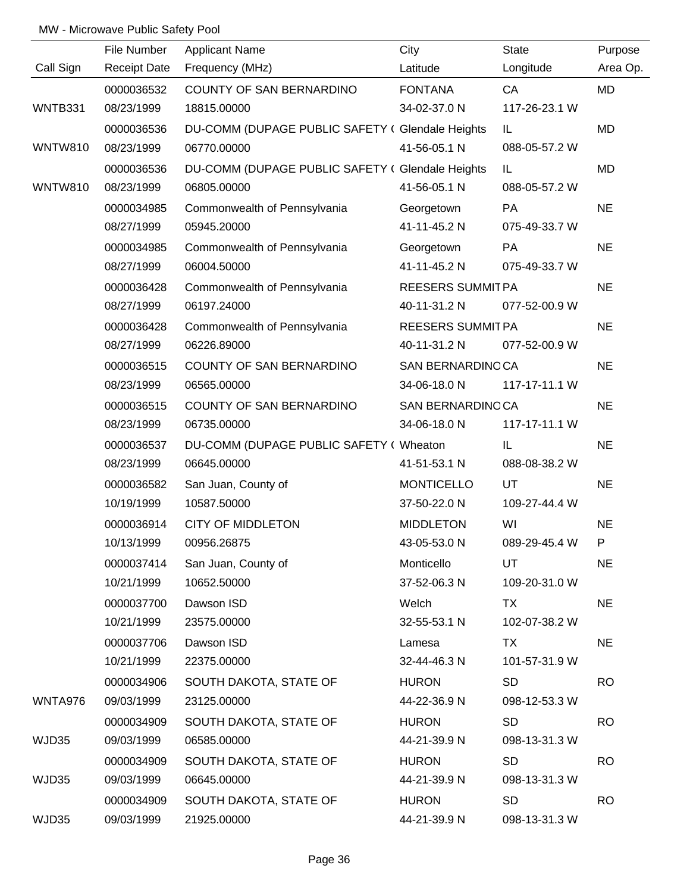|                | File Number         | <b>Applicant Name</b>                            | City                    | <b>State</b>  | Purpose   |
|----------------|---------------------|--------------------------------------------------|-------------------------|---------------|-----------|
| Call Sign      | <b>Receipt Date</b> | Frequency (MHz)                                  | Latitude                | Longitude     | Area Op.  |
|                | 0000036532          | COUNTY OF SAN BERNARDINO                         | <b>FONTANA</b>          | CA            | MD        |
| WNTB331        | 08/23/1999          | 18815.00000                                      | 34-02-37.0 N            | 117-26-23.1 W |           |
|                | 0000036536          | DU-COMM (DUPAGE PUBLIC SAFETY ( Glendale Heights |                         | IL.           | <b>MD</b> |
| <b>WNTW810</b> | 08/23/1999          | 06770.00000                                      | 41-56-05.1 N            | 088-05-57.2 W |           |
|                | 0000036536          | DU-COMM (DUPAGE PUBLIC SAFETY ( Glendale Heights |                         | IL.           | MD        |
| <b>WNTW810</b> | 08/23/1999          | 06805.00000                                      | 41-56-05.1 N            | 088-05-57.2 W |           |
|                | 0000034985          | Commonwealth of Pennsylvania                     | Georgetown              | PA            | <b>NE</b> |
|                | 08/27/1999          | 05945.20000                                      | 41-11-45.2 N            | 075-49-33.7 W |           |
|                | 0000034985          | Commonwealth of Pennsylvania                     | Georgetown              | PA            | <b>NE</b> |
|                | 08/27/1999          | 06004.50000                                      | 41-11-45.2 N            | 075-49-33.7 W |           |
|                | 0000036428          | Commonwealth of Pennsylvania                     | <b>REESERS SUMMITPA</b> |               | <b>NE</b> |
|                | 08/27/1999          | 06197.24000                                      | 40-11-31.2 N            | 077-52-00.9 W |           |
|                | 0000036428          | Commonwealth of Pennsylvania                     | <b>REESERS SUMMITPA</b> |               | <b>NE</b> |
|                | 08/27/1999          | 06226.89000                                      | 40-11-31.2 N            | 077-52-00.9 W |           |
|                | 0000036515          | COUNTY OF SAN BERNARDINO                         | SAN BERNARDINOCA        |               | <b>NE</b> |
|                | 08/23/1999          | 06565.00000                                      | 34-06-18.0 N            | 117-17-11.1 W |           |
|                | 0000036515          | COUNTY OF SAN BERNARDINO                         | SAN BERNARDINOCA        |               | <b>NE</b> |
|                | 08/23/1999          | 06735.00000                                      | 34-06-18.0 N            | 117-17-11.1 W |           |
|                | 0000036537          | DU-COMM (DUPAGE PUBLIC SAFETY ( Wheaton          |                         | IL.           | <b>NE</b> |
|                | 08/23/1999          | 06645.00000                                      | 41-51-53.1 N            | 088-08-38.2 W |           |
|                | 0000036582          | San Juan, County of                              | <b>MONTICELLO</b>       | UT            | <b>NE</b> |
|                | 10/19/1999          | 10587.50000                                      | 37-50-22.0 N            | 109-27-44.4 W |           |
|                | 0000036914          | <b>CITY OF MIDDLETON</b>                         | <b>MIDDLETON</b>        | WI            | <b>NE</b> |
|                | 10/13/1999          | 00956.26875                                      | 43-05-53.0 N            | 089-29-45.4 W | P         |
|                | 0000037414          | San Juan, County of                              | Monticello              | UT            | <b>NE</b> |
|                | 10/21/1999          | 10652.50000                                      | 37-52-06.3 N            | 109-20-31.0 W |           |
|                | 0000037700          | Dawson ISD                                       | Welch                   | TX            | <b>NE</b> |
|                | 10/21/1999          | 23575.00000                                      | 32-55-53.1 N            | 102-07-38.2 W |           |
|                | 0000037706          | Dawson ISD                                       | Lamesa                  | TX            | <b>NE</b> |
|                | 10/21/1999          | 22375.00000                                      | 32-44-46.3 N            | 101-57-31.9 W |           |
|                | 0000034906          | SOUTH DAKOTA, STATE OF                           | <b>HURON</b>            | <b>SD</b>     | <b>RO</b> |
| WNTA976        | 09/03/1999          | 23125.00000                                      | 44-22-36.9 N            | 098-12-53.3 W |           |
|                | 0000034909          | SOUTH DAKOTA, STATE OF                           | <b>HURON</b>            | <b>SD</b>     | <b>RO</b> |
| WJD35          | 09/03/1999          | 06585.00000                                      | 44-21-39.9 N            | 098-13-31.3 W |           |
|                | 0000034909          | SOUTH DAKOTA, STATE OF                           | <b>HURON</b>            | <b>SD</b>     | <b>RO</b> |
| WJD35          | 09/03/1999          | 06645.00000                                      | 44-21-39.9 N            | 098-13-31.3 W |           |
|                | 0000034909          | SOUTH DAKOTA, STATE OF                           | <b>HURON</b>            | <b>SD</b>     | <b>RO</b> |
| WJD35          | 09/03/1999          | 21925.00000                                      | 44-21-39.9 N            | 098-13-31.3 W |           |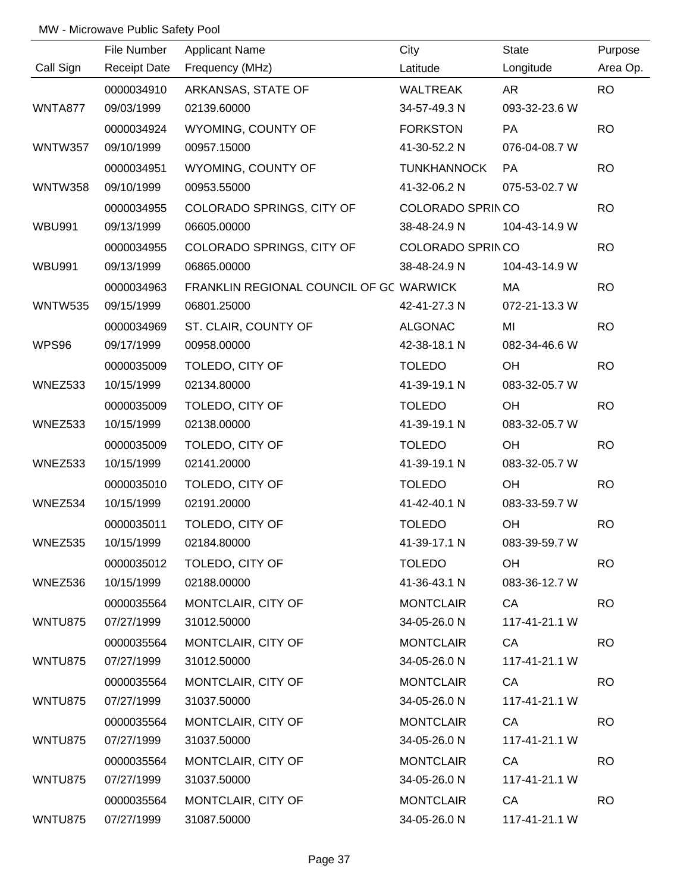|                | File Number         | <b>Applicant Name</b>                   | City                    | State         | Purpose   |
|----------------|---------------------|-----------------------------------------|-------------------------|---------------|-----------|
| Call Sign      | <b>Receipt Date</b> | Frequency (MHz)                         | Latitude                | Longitude     | Area Op.  |
|                | 0000034910          | ARKANSAS, STATE OF                      | <b>WALTREAK</b>         | <b>AR</b>     | <b>RO</b> |
| WNTA877        | 09/03/1999          | 02139.60000                             | 34-57-49.3 N            | 093-32-23.6 W |           |
|                | 0000034924          | WYOMING, COUNTY OF                      | <b>FORKSTON</b>         | PA            | <b>RO</b> |
| <b>WNTW357</b> | 09/10/1999          | 00957.15000                             | 41-30-52.2 N            | 076-04-08.7 W |           |
|                | 0000034951          | WYOMING, COUNTY OF                      | <b>TUNKHANNOCK</b>      | PA            | <b>RO</b> |
| <b>WNTW358</b> | 09/10/1999          | 00953.55000                             | 41-32-06.2 N            | 075-53-02.7 W |           |
|                | 0000034955          | COLORADO SPRINGS, CITY OF               | COLORADO SPRINCO        |               | <b>RO</b> |
| <b>WBU991</b>  | 09/13/1999          | 06605.00000                             | 38-48-24.9 N            | 104-43-14.9 W |           |
|                | 0000034955          | COLORADO SPRINGS, CITY OF               | <b>COLORADO SPRINCO</b> |               | <b>RO</b> |
| <b>WBU991</b>  | 09/13/1999          | 06865.00000                             | 38-48-24.9 N            | 104-43-14.9 W |           |
|                | 0000034963          | FRANKLIN REGIONAL COUNCIL OF GC WARWICK |                         | MA            | <b>RO</b> |
| <b>WNTW535</b> | 09/15/1999          | 06801.25000                             | 42-41-27.3 N            | 072-21-13.3 W |           |
|                | 0000034969          | ST. CLAIR, COUNTY OF                    | <b>ALGONAC</b>          | MI            | <b>RO</b> |
| WPS96          | 09/17/1999          | 00958.00000                             | 42-38-18.1 N            | 082-34-46.6 W |           |
|                | 0000035009          | TOLEDO, CITY OF                         | <b>TOLEDO</b>           | OH            | <b>RO</b> |
| WNEZ533        | 10/15/1999          | 02134.80000                             | 41-39-19.1 N            | 083-32-05.7 W |           |
|                | 0000035009          | TOLEDO, CITY OF                         | <b>TOLEDO</b>           | OH            | <b>RO</b> |
| WNEZ533        | 10/15/1999          | 02138.00000                             | 41-39-19.1 N            | 083-32-05.7 W |           |
|                | 0000035009          | TOLEDO, CITY OF                         | <b>TOLEDO</b>           | OH            | <b>RO</b> |
| WNEZ533        | 10/15/1999          | 02141.20000                             | 41-39-19.1 N            | 083-32-05.7 W |           |
|                | 0000035010          | TOLEDO, CITY OF                         | <b>TOLEDO</b>           | OH            | <b>RO</b> |
| WNEZ534        | 10/15/1999          | 02191.20000                             | 41-42-40.1 N            | 083-33-59.7 W |           |
|                | 0000035011          | TOLEDO, CITY OF                         | <b>TOLEDO</b>           | OH            | <b>RO</b> |
| WNEZ535        | 10/15/1999          | 02184.80000                             | 41-39-17.1 N            | 083-39-59.7 W |           |
|                | 0000035012          | TOLEDO, CITY OF                         | <b>TOLEDO</b>           | OH            | <b>RO</b> |
| WNEZ536        | 10/15/1999          | 02188.00000                             | 41-36-43.1 N            | 083-36-12.7 W |           |
|                | 0000035564          | MONTCLAIR, CITY OF                      | <b>MONTCLAIR</b>        | CA            | <b>RO</b> |
| WNTU875        | 07/27/1999          | 31012.50000                             | 34-05-26.0 N            | 117-41-21.1 W |           |
|                | 0000035564          | MONTCLAIR, CITY OF                      | <b>MONTCLAIR</b>        | CA            | <b>RO</b> |
| <b>WNTU875</b> | 07/27/1999          | 31012.50000                             | 34-05-26.0 N            | 117-41-21.1 W |           |
|                | 0000035564          | MONTCLAIR, CITY OF                      | <b>MONTCLAIR</b>        | CA            | <b>RO</b> |
| <b>WNTU875</b> | 07/27/1999          | 31037.50000                             | 34-05-26.0 N            | 117-41-21.1 W |           |
|                | 0000035564          | MONTCLAIR, CITY OF                      | <b>MONTCLAIR</b>        | CA            | <b>RO</b> |
| <b>WNTU875</b> | 07/27/1999          | 31037.50000                             | 34-05-26.0 N            | 117-41-21.1 W |           |
|                | 0000035564          | MONTCLAIR, CITY OF                      | <b>MONTCLAIR</b>        | CA            | <b>RO</b> |
| WNTU875        | 07/27/1999          | 31037.50000                             | 34-05-26.0 N            | 117-41-21.1 W |           |
|                | 0000035564          | MONTCLAIR, CITY OF                      | <b>MONTCLAIR</b>        | CA            | <b>RO</b> |
| WNTU875        | 07/27/1999          | 31087.50000                             | 34-05-26.0 N            | 117-41-21.1 W |           |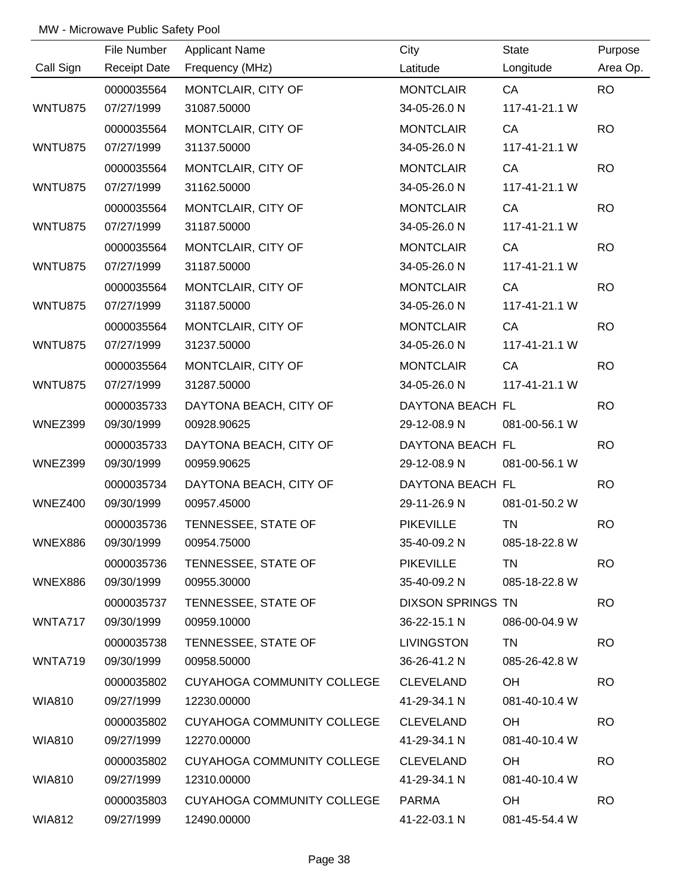|                | File Number         | <b>Applicant Name</b>      | City                     | State         | Purpose   |
|----------------|---------------------|----------------------------|--------------------------|---------------|-----------|
| Call Sign      | <b>Receipt Date</b> | Frequency (MHz)            | Latitude                 | Longitude     | Area Op.  |
|                | 0000035564          | MONTCLAIR, CITY OF         | <b>MONTCLAIR</b>         | CA            | <b>RO</b> |
| <b>WNTU875</b> | 07/27/1999          | 31087.50000                | 34-05-26.0 N             | 117-41-21.1 W |           |
|                | 0000035564          | MONTCLAIR, CITY OF         | <b>MONTCLAIR</b>         | CA            | <b>RO</b> |
| WNTU875        | 07/27/1999          | 31137.50000                | 34-05-26.0 N             | 117-41-21.1 W |           |
|                | 0000035564          | MONTCLAIR, CITY OF         | <b>MONTCLAIR</b>         | CA            | <b>RO</b> |
| <b>WNTU875</b> | 07/27/1999          | 31162.50000                | 34-05-26.0 N             | 117-41-21.1 W |           |
|                | 0000035564          | MONTCLAIR, CITY OF         | <b>MONTCLAIR</b>         | CA            | <b>RO</b> |
| <b>WNTU875</b> | 07/27/1999          | 31187.50000                | 34-05-26.0 N             | 117-41-21.1 W |           |
|                | 0000035564          | MONTCLAIR, CITY OF         | <b>MONTCLAIR</b>         | CA            | <b>RO</b> |
| WNTU875        | 07/27/1999          | 31187.50000                | 34-05-26.0 N             | 117-41-21.1 W |           |
|                | 0000035564          | MONTCLAIR, CITY OF         | <b>MONTCLAIR</b>         | CA            | <b>RO</b> |
| <b>WNTU875</b> | 07/27/1999          | 31187.50000                | 34-05-26.0 N             | 117-41-21.1 W |           |
|                | 0000035564          | MONTCLAIR, CITY OF         | <b>MONTCLAIR</b>         | CA            | <b>RO</b> |
| <b>WNTU875</b> | 07/27/1999          | 31237.50000                | 34-05-26.0 N             | 117-41-21.1 W |           |
|                | 0000035564          | MONTCLAIR, CITY OF         | <b>MONTCLAIR</b>         | CA            | <b>RO</b> |
| WNTU875        | 07/27/1999          | 31287.50000                | 34-05-26.0 N             | 117-41-21.1 W |           |
|                | 0000035733          | DAYTONA BEACH, CITY OF     | DAYTONA BEACH FL         |               | <b>RO</b> |
| WNEZ399        | 09/30/1999          | 00928.90625                | 29-12-08.9 N             | 081-00-56.1 W |           |
|                | 0000035733          | DAYTONA BEACH, CITY OF     | DAYTONA BEACH FL         |               | <b>RO</b> |
| WNEZ399        | 09/30/1999          | 00959.90625                | 29-12-08.9 N             | 081-00-56.1 W |           |
|                | 0000035734          | DAYTONA BEACH, CITY OF     | DAYTONA BEACH FL         |               | <b>RO</b> |
| <b>WNEZ400</b> | 09/30/1999          | 00957.45000                | 29-11-26.9 N             | 081-01-50.2 W |           |
|                | 0000035736          | TENNESSEE, STATE OF        | <b>PIKEVILLE</b>         | <b>TN</b>     | <b>RO</b> |
| WNEX886        | 09/30/1999          | 00954.75000                | 35-40-09.2 N             | 085-18-22.8 W |           |
|                | 0000035736          | TENNESSEE, STATE OF        | <b>PIKEVILLE</b>         | <b>TN</b>     | <b>RO</b> |
| WNEX886        | 09/30/1999          | 00955.30000                | 35-40-09.2 N             | 085-18-22.8 W |           |
|                | 0000035737          | TENNESSEE, STATE OF        | <b>DIXSON SPRINGS TN</b> |               | <b>RO</b> |
| WNTA717        | 09/30/1999          | 00959.10000                | 36-22-15.1 N             | 086-00-04.9 W |           |
|                | 0000035738          | TENNESSEE, STATE OF        | <b>LIVINGSTON</b>        | TN            | <b>RO</b> |
| WNTA719        | 09/30/1999          | 00958.50000                | 36-26-41.2 N             | 085-26-42.8 W |           |
|                | 0000035802          | CUYAHOGA COMMUNITY COLLEGE | <b>CLEVELAND</b>         | OH            | <b>RO</b> |
| WIA810         | 09/27/1999          | 12230.00000                | 41-29-34.1 N             | 081-40-10.4 W |           |
|                | 0000035802          | CUYAHOGA COMMUNITY COLLEGE | <b>CLEVELAND</b>         | OH            | <b>RO</b> |
| WIA810         | 09/27/1999          | 12270.00000                | 41-29-34.1 N             | 081-40-10.4 W |           |
|                | 0000035802          | CUYAHOGA COMMUNITY COLLEGE | <b>CLEVELAND</b>         | OH            | <b>RO</b> |
| WIA810         | 09/27/1999          | 12310.00000                | 41-29-34.1 N             | 081-40-10.4 W |           |
|                | 0000035803          | CUYAHOGA COMMUNITY COLLEGE | PARMA                    | OH            | <b>RO</b> |
| <b>WIA812</b>  | 09/27/1999          | 12490.00000                | 41-22-03.1 N             | 081-45-54.4 W |           |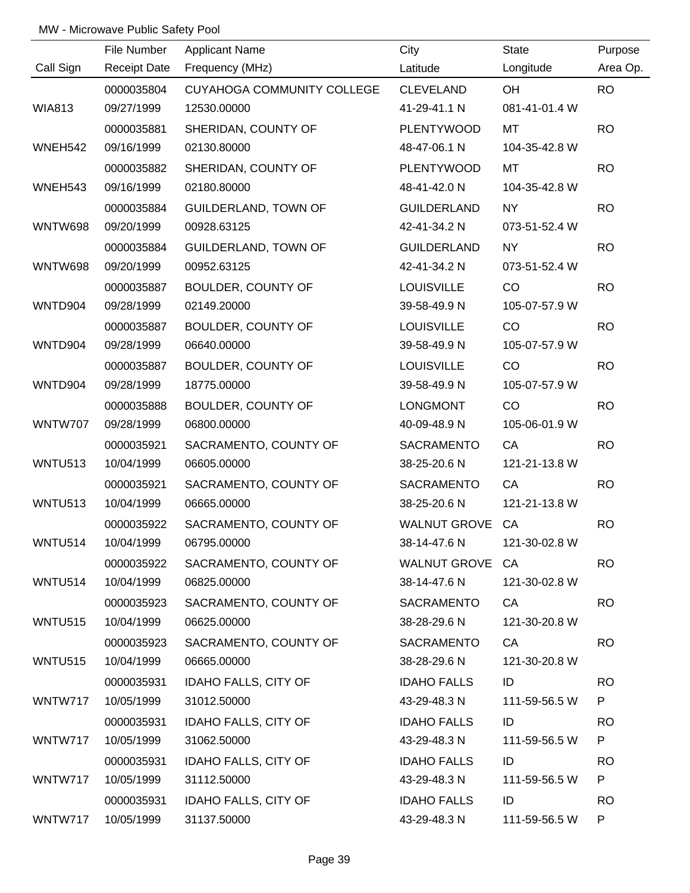|                | File Number         | <b>Applicant Name</b>       | City                       | <b>State</b>  | Purpose   |
|----------------|---------------------|-----------------------------|----------------------------|---------------|-----------|
| Call Sign      | <b>Receipt Date</b> | Frequency (MHz)             | Latitude                   | Longitude     | Area Op.  |
|                | 0000035804          | CUYAHOGA COMMUNITY COLLEGE  | <b>CLEVELAND</b>           | OH            | <b>RO</b> |
| <b>WIA813</b>  | 09/27/1999          | 12530.00000                 | 41-29-41.1 N               | 081-41-01.4 W |           |
|                | 0000035881          | SHERIDAN, COUNTY OF         | <b>PLENTYWOOD</b>          | <b>MT</b>     | <b>RO</b> |
| WNEH542        | 09/16/1999          | 02130.80000                 | 48-47-06.1 N               | 104-35-42.8 W |           |
|                | 0000035882          | SHERIDAN, COUNTY OF         | <b>PLENTYWOOD</b>          | <b>MT</b>     | <b>RO</b> |
| WNEH543        | 09/16/1999          | 02180.80000                 | 48-41-42.0 N               | 104-35-42.8 W |           |
|                | 0000035884          | <b>GUILDERLAND, TOWN OF</b> | <b>GUILDERLAND</b>         | NY            | <b>RO</b> |
| <b>WNTW698</b> | 09/20/1999          | 00928.63125                 | 42-41-34.2 N               | 073-51-52.4 W |           |
|                | 0000035884          | <b>GUILDERLAND, TOWN OF</b> | <b>GUILDERLAND</b>         | <b>NY</b>     | <b>RO</b> |
| <b>WNTW698</b> | 09/20/1999          | 00952.63125                 | 42-41-34.2 N               | 073-51-52.4 W |           |
|                | 0000035887          | BOULDER, COUNTY OF          | <b>LOUISVILLE</b>          | CO            | <b>RO</b> |
| WNTD904        | 09/28/1999          | 02149.20000                 | 39-58-49.9 N               | 105-07-57.9 W |           |
|                | 0000035887          | BOULDER, COUNTY OF          | <b>LOUISVILLE</b>          | CO            | <b>RO</b> |
| WNTD904        | 09/28/1999          | 06640.00000                 | 39-58-49.9 N               | 105-07-57.9 W |           |
|                | 0000035887          | BOULDER, COUNTY OF          | <b>LOUISVILLE</b>          | CO            | <b>RO</b> |
| WNTD904        | 09/28/1999          | 18775.00000                 | 39-58-49.9 N               | 105-07-57.9 W |           |
|                | 0000035888          | BOULDER, COUNTY OF          | <b>LONGMONT</b>            | CO            | <b>RO</b> |
| <b>WNTW707</b> | 09/28/1999          | 06800.00000                 | 40-09-48.9 N               | 105-06-01.9 W |           |
|                | 0000035921          | SACRAMENTO, COUNTY OF       | <b>SACRAMENTO</b>          | CA            | <b>RO</b> |
| WNTU513        | 10/04/1999          | 06605.00000                 | 38-25-20.6 N               | 121-21-13.8 W |           |
|                | 0000035921          | SACRAMENTO, COUNTY OF       | SACRAMENTO                 | CA            | <b>RO</b> |
| <b>WNTU513</b> | 10/04/1999          | 06665.00000                 | 38-25-20.6 N               | 121-21-13.8 W |           |
|                | 0000035922          | SACRAMENTO, COUNTY OF       | WALNUT GROVE CA            |               | <b>RO</b> |
| <b>WNTU514</b> | 10/04/1999          | 06795.00000                 | 38-14-47.6 N 121-30-02.8 W |               |           |
|                | 0000035922          | SACRAMENTO, COUNTY OF       | WALNUT GROVE CA            |               | <b>RO</b> |
| WNTU514        | 10/04/1999          | 06825.00000                 | 38-14-47.6 N               | 121-30-02.8 W |           |
|                | 0000035923          | SACRAMENTO, COUNTY OF       | SACRAMENTO                 | CA            | <b>RO</b> |
| <b>WNTU515</b> | 10/04/1999          | 06625.00000                 | 38-28-29.6 N               | 121-30-20.8 W |           |
|                | 0000035923          | SACRAMENTO, COUNTY OF       | SACRAMENTO                 | CA            | <b>RO</b> |
| WNTU515        | 10/04/1999          | 06665.00000                 | 38-28-29.6 N               | 121-30-20.8 W |           |
|                | 0000035931          | <b>IDAHO FALLS, CITY OF</b> | <b>IDAHO FALLS</b>         | ID            | <b>RO</b> |
| WNTW717        | 10/05/1999          | 31012.50000                 | 43-29-48.3 N               | 111-59-56.5 W | P.        |
|                | 0000035931          | <b>IDAHO FALLS, CITY OF</b> | <b>IDAHO FALLS</b>         | ID            | <b>RO</b> |
| WNTW717        | 10/05/1999          | 31062.50000                 | 43-29-48.3 N               | 111-59-56.5 W | P         |
|                | 0000035931          | <b>IDAHO FALLS, CITY OF</b> | <b>IDAHO FALLS</b>         | ID            | <b>RO</b> |
| WNTW717        | 10/05/1999          | 31112.50000                 | 43-29-48.3 N               | 111-59-56.5 W | P         |
|                | 0000035931          | <b>IDAHO FALLS, CITY OF</b> | <b>IDAHO FALLS</b>         | ID            | <b>RO</b> |
| WNTW717        | 10/05/1999          | 31137.50000                 | 43-29-48.3 N               | 111-59-56.5 W | P         |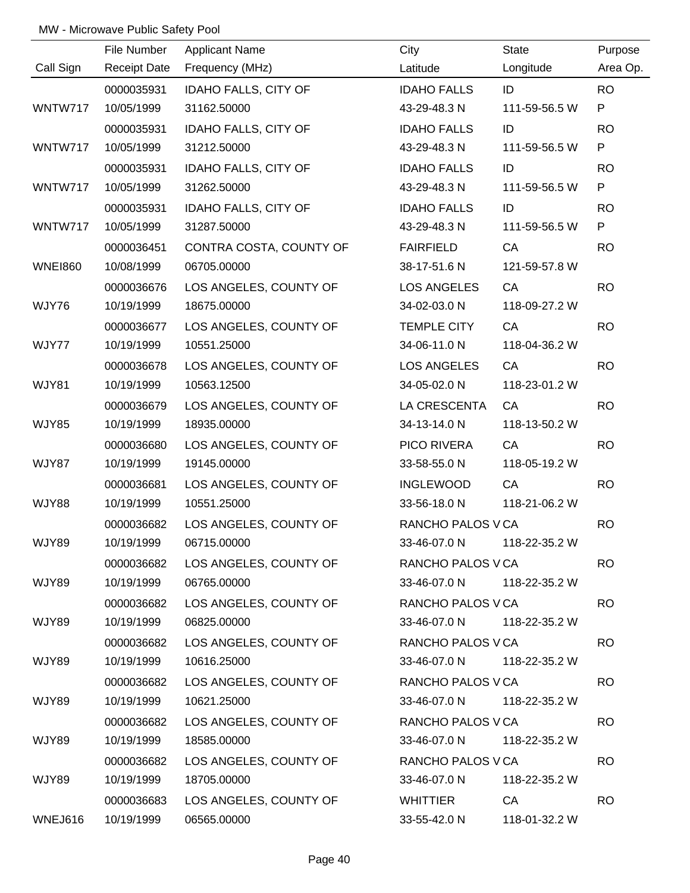|                | File Number         | <b>Applicant Name</b>       | City                       | State         | Purpose   |
|----------------|---------------------|-----------------------------|----------------------------|---------------|-----------|
| Call Sign      | <b>Receipt Date</b> | Frequency (MHz)             | Latitude                   | Longitude     | Area Op.  |
|                | 0000035931          | <b>IDAHO FALLS, CITY OF</b> | <b>IDAHO FALLS</b>         | ID            | <b>RO</b> |
| WNTW717        | 10/05/1999          | 31162.50000                 | 43-29-48.3 N               | 111-59-56.5 W | P         |
|                | 0000035931          | <b>IDAHO FALLS, CITY OF</b> | <b>IDAHO FALLS</b>         | ID            | <b>RO</b> |
| WNTW717        | 10/05/1999          | 31212.50000                 | 43-29-48.3 N               | 111-59-56.5 W | P         |
|                | 0000035931          | <b>IDAHO FALLS, CITY OF</b> | <b>IDAHO FALLS</b>         | ID            | <b>RO</b> |
| WNTW717        | 10/05/1999          | 31262.50000                 | 43-29-48.3 N               | 111-59-56.5 W | P         |
|                | 0000035931          | <b>IDAHO FALLS, CITY OF</b> | <b>IDAHO FALLS</b>         | ID            | <b>RO</b> |
| WNTW717        | 10/05/1999          | 31287.50000                 | 43-29-48.3 N               | 111-59-56.5 W | P         |
|                | 0000036451          | CONTRA COSTA, COUNTY OF     | <b>FAIRFIELD</b>           | CA            | <b>RO</b> |
| <b>WNE1860</b> | 10/08/1999          | 06705.00000                 | 38-17-51.6 N               | 121-59-57.8 W |           |
|                | 0000036676          | LOS ANGELES, COUNTY OF      | <b>LOS ANGELES</b>         | CA            | <b>RO</b> |
| WJY76          | 10/19/1999          | 18675.00000                 | 34-02-03.0 N               | 118-09-27.2 W |           |
|                | 0000036677          | LOS ANGELES, COUNTY OF      | <b>TEMPLE CITY</b>         | CA            | <b>RO</b> |
| WJY77          | 10/19/1999          | 10551.25000                 | 34-06-11.0 N               | 118-04-36.2 W |           |
|                | 0000036678          | LOS ANGELES, COUNTY OF      | <b>LOS ANGELES</b>         | CA            | <b>RO</b> |
| WJY81          | 10/19/1999          | 10563.12500                 | 34-05-02.0 N               | 118-23-01.2 W |           |
|                | 0000036679          | LOS ANGELES, COUNTY OF      | LA CRESCENTA               | CA            | <b>RO</b> |
| <b>WJY85</b>   | 10/19/1999          | 18935.00000                 | 34-13-14.0 N               | 118-13-50.2 W |           |
|                | 0000036680          | LOS ANGELES, COUNTY OF      | PICO RIVERA                | CA            | <b>RO</b> |
| WJY87          | 10/19/1999          | 19145.00000                 | 33-58-55.0 N               | 118-05-19.2 W |           |
|                | 0000036681          | LOS ANGELES, COUNTY OF      | <b>INGLEWOOD</b>           | CA            | <b>RO</b> |
| WJY88          | 10/19/1999          | 10551.25000                 | 33-56-18.0 N               | 118-21-06.2 W |           |
|                | 0000036682          | LOS ANGELES, COUNTY OF      | RANCHO PALOS V CA          |               | <b>RO</b> |
| WJY89          | 10/19/1999          | 06715.00000                 | 33-46-07.0 N 118-22-35.2 W |               |           |
|                | 0000036682          | LOS ANGELES, COUNTY OF      | RANCHO PALOS V CA          |               | <b>RO</b> |
| WJY89          | 10/19/1999          | 06765.00000                 | 33-46-07.0 N               | 118-22-35.2 W |           |
|                | 0000036682          | LOS ANGELES, COUNTY OF      | RANCHO PALOS V CA          |               | <b>RO</b> |
| WJY89          | 10/19/1999          | 06825.00000                 | 33-46-07.0 N               | 118-22-35.2 W |           |
|                | 0000036682          | LOS ANGELES, COUNTY OF      | RANCHO PALOS V CA          |               | <b>RO</b> |
| WJY89          | 10/19/1999          | 10616.25000                 | 33-46-07.0 N               | 118-22-35.2 W |           |
|                | 0000036682          | LOS ANGELES, COUNTY OF      | RANCHO PALOS V CA          |               | <b>RO</b> |
| WJY89          | 10/19/1999          | 10621.25000                 | 33-46-07.0 N               | 118-22-35.2 W |           |
|                | 0000036682          | LOS ANGELES, COUNTY OF      | RANCHO PALOS V CA          |               | <b>RO</b> |
| WJY89          | 10/19/1999          | 18585.00000                 | 33-46-07.0 N               | 118-22-35.2 W |           |
|                | 0000036682          | LOS ANGELES, COUNTY OF      | RANCHO PALOS V CA          |               | <b>RO</b> |
| WJY89          | 10/19/1999          | 18705.00000                 | 33-46-07.0 N               | 118-22-35.2 W |           |
|                | 0000036683          | LOS ANGELES, COUNTY OF      | WHITTIER                   | CA D          | <b>RO</b> |
| WNEJ616        | 10/19/1999          | 06565.00000                 | 33-55-42.0 N               | 118-01-32.2 W |           |